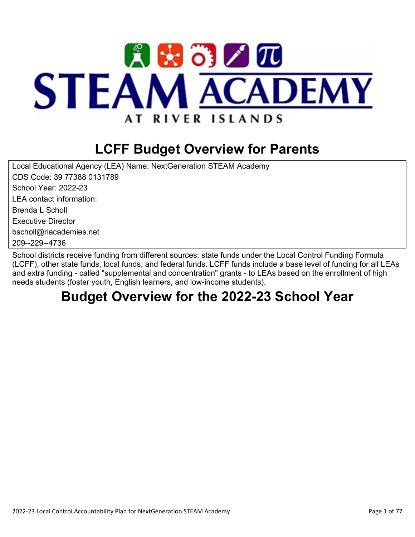

# **LCFF Budget Overview for Parents**

Local Educational Agency (LEA) Name: NextGeneration STEAM Academy CDS Code: 39 77388 0131789 School Year: 2022-23 LEA contact information: Brenda L Scholl Executive Director bscholl@riacademies.net 209--229--4736

School districts receive funding from different sources: state funds under the Local Control Funding Formula (LCFF), other state funds, local funds, and federal funds. LCFF funds include a base level of funding for all LEAs and extra funding - called "supplemental and concentration" grants - to LEAs based on the enrollment of high needs students (foster youth, English learners, and low-income students).

## **Budget Overview for the 2022-23 School Year**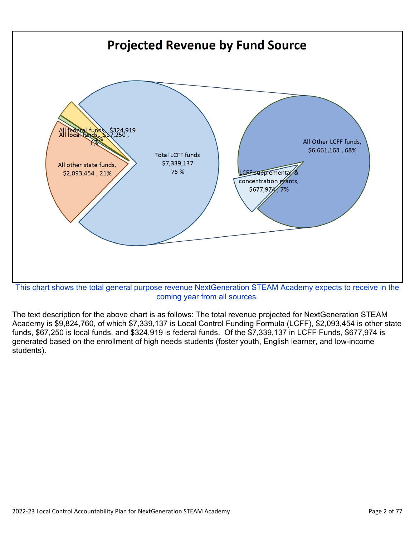

coming year from all sources.

The text description for the above chart is as follows: The total revenue projected for NextGeneration STEAM Academy is \$9,824,760, of which \$7,339,137 is Local Control Funding Formula (LCFF), \$2,093,454 is other state funds, \$67,250 is local funds, and \$324,919 is federal funds. Of the \$7,339,137 in LCFF Funds, \$677,974 is generated based on the enrollment of high needs students (foster youth, English learner, and low-income students).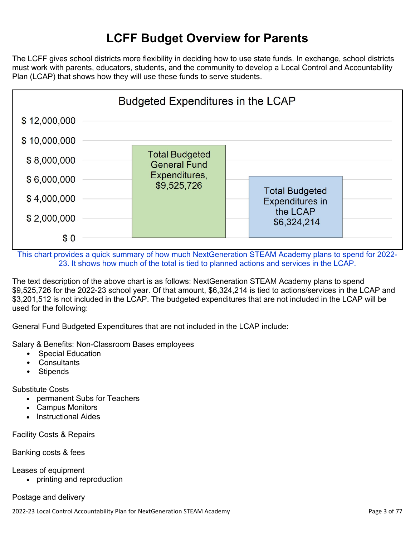## **LCFF Budget Overview for Parents**

The LCFF gives school districts more flexibility in deciding how to use state funds. In exchange, school districts must work with parents, educators, students, and the community to develop a Local Control and Accountability Plan (LCAP) that shows how they will use these funds to serve students.



This chart provides a quick summary of how much NextGeneration STEAM Academy plans to spend for 2022- 23. It shows how much of the total is tied to planned actions and services in the LCAP.

The text description of the above chart is as follows: NextGeneration STEAM Academy plans to spend \$9,525,726 for the 2022-23 school year. Of that amount, \$6,324,214 is tied to actions/services in the LCAP and \$3,201,512 is not included in the LCAP. The budgeted expenditures that are not included in the LCAP will be used for the following:

General Fund Budgeted Expenditures that are not included in the LCAP include:

Salary & Benefits: Non-Classroom Bases employees

- Special Education
- Consultants
- Stipends

Substitute Costs

- permanent Subs for Teachers
- Campus Monitors
- Instructional Aides

Facility Costs & Repairs

#### Banking costs & fees

Leases of equipment

• printing and reproduction

#### Postage and delivery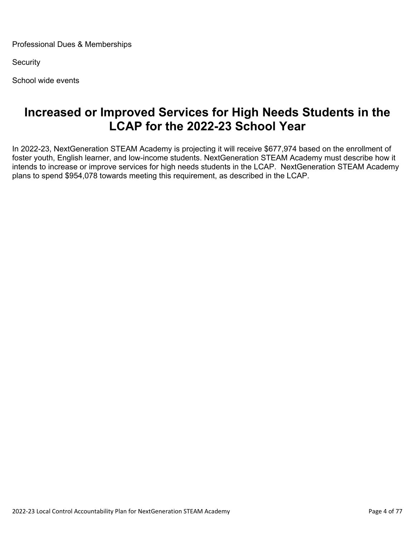Professional Dues & Memberships

**Security** 

School wide events

### **Increased or Improved Services for High Needs Students in the LCAP for the 2022-23 School Year**

In 2022-23, NextGeneration STEAM Academy is projecting it will receive \$677,974 based on the enrollment of foster youth, English learner, and low-income students. NextGeneration STEAM Academy must describe how it intends to increase or improve services for high needs students in the LCAP. NextGeneration STEAM Academy plans to spend \$954,078 towards meeting this requirement, as described in the LCAP.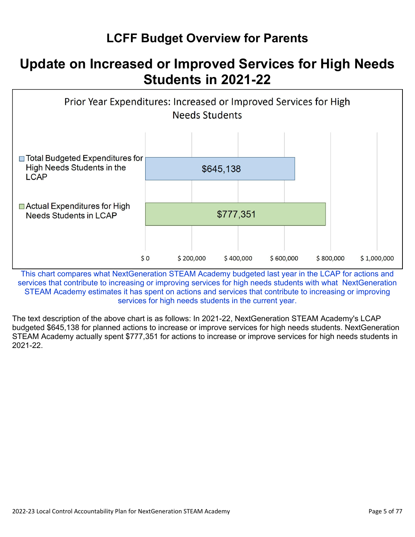## **LCFF Budget Overview for Parents**

## **Update on Increased or Improved Services for High Needs Students in 2021-22**



This chart compares what NextGeneration STEAM Academy budgeted last year in the LCAP for actions and services that contribute to increasing or improving services for high needs students with what NextGeneration STEAM Academy estimates it has spent on actions and services that contribute to increasing or improving services for high needs students in the current year.

The text description of the above chart is as follows: In 2021-22, NextGeneration STEAM Academy's LCAP budgeted \$645,138 for planned actions to increase or improve services for high needs students. NextGeneration STEAM Academy actually spent \$777,351 for actions to increase or improve services for high needs students in 2021-22.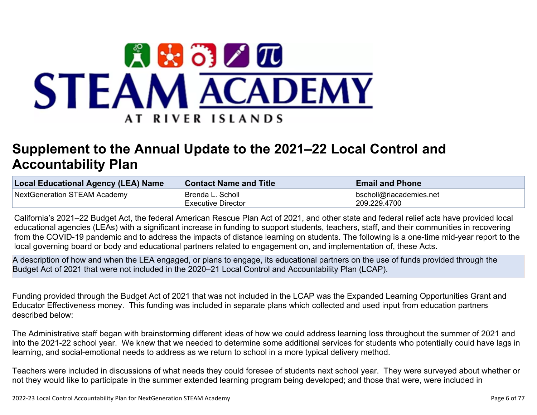

# **Supplement to the Annual Update to the 2021–22 Local Control and Accountability Plan**

| Local Educational Agency (LEA) Name | <b>Contact Name and Title</b> | <b>Email and Phone</b>  |
|-------------------------------------|-------------------------------|-------------------------|
| NextGeneration STEAM Academy        | <sup>∣</sup> Brenda L. Scholl | bscholl@riacademies.net |
|                                     | Executive Director            | 209.229.4700            |

California's 2021–22 Budget Act, the federal American Rescue Plan Act of 2021, and other state and federal relief acts have provided local educational agencies (LEAs) with a significant increase in funding to support students, teachers, staff, and their communities in recovering from the COVID-19 pandemic and to address the impacts of distance learning on students. The following is a one-time mid-year report to the local governing board or body and educational partners related to engagement on, and implementation of, these Acts.

A description of how and when the LEA engaged, or plans to engage, its educational partners on the use of funds provided through the Budget Act of 2021 that were not included in the 2020–21 Local Control and Accountability Plan (LCAP).

Funding provided through the Budget Act of 2021 that was not included in the LCAP was the Expanded Learning Opportunities Grant and Educator Effectiveness money. This funding was included in separate plans which collected and used input from education partners described below:

The Administrative staff began with brainstorming different ideas of how we could address learning loss throughout the summer of 2021 and into the 2021-22 school year. We knew that we needed to determine some additional services for students who potentially could have lags in learning, and social-emotional needs to address as we return to school in a more typical delivery method.

Teachers were included in discussions of what needs they could foresee of students next school year. They were surveyed about whether or not they would like to participate in the summer extended learning program being developed; and those that were, were included in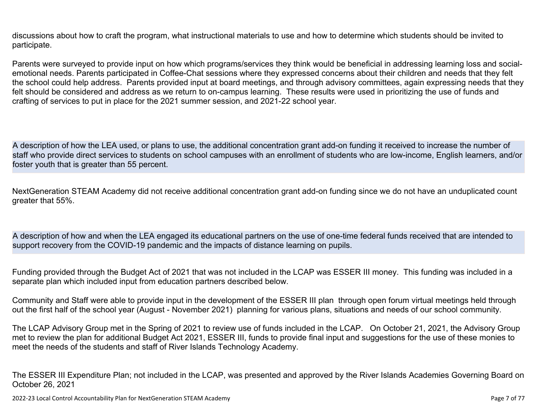discussions about how to craft the program, what instructional materials to use and how to determine which students should be invited to participate.

Parents were surveyed to provide input on how which programs/services they think would be beneficial in addressing learning loss and socialemotional needs. Parents participated in Coffee-Chat sessions where they expressed concerns about their children and needs that they felt the school could help address. Parents provided input at board meetings, and through advisory committees, again expressing needs that they felt should be considered and address as we return to on-campus learning. These results were used in prioritizing the use of funds and crafting of services to put in place for the 2021 summer session, and 2021-22 school year.

A description of how the LEA used, or plans to use, the additional concentration grant add-on funding it received to increase the number of staff who provide direct services to students on school campuses with an enrollment of students who are low-income, English learners, and/or foster youth that is greater than 55 percent.

NextGeneration STEAM Academy did not receive additional concentration grant add-on funding since we do not have an unduplicated count greater that 55%.

A description of how and when the LEA engaged its educational partners on the use of one-time federal funds received that are intended to support recovery from the COVID-19 pandemic and the impacts of distance learning on pupils.

Funding provided through the Budget Act of 2021 that was not included in the LCAP was ESSER III money. This funding was included in a separate plan which included input from education partners described below.

Community and Staff were able to provide input in the development of the ESSER III plan through open forum virtual meetings held through out the first half of the school year (August - November 2021) planning for various plans, situations and needs of our school community.

The LCAP Advisory Group met in the Spring of 2021 to review use of funds included in the LCAP. On October 21, 2021, the Advisory Group met to review the plan for additional Budget Act 2021, ESSER III, funds to provide final input and suggestions for the use of these monies to meet the needs of the students and staff of River Islands Technology Academy.

The ESSER III Expenditure Plan; not included in the LCAP, was presented and approved by the River Islands Academies Governing Board on October 26, 2021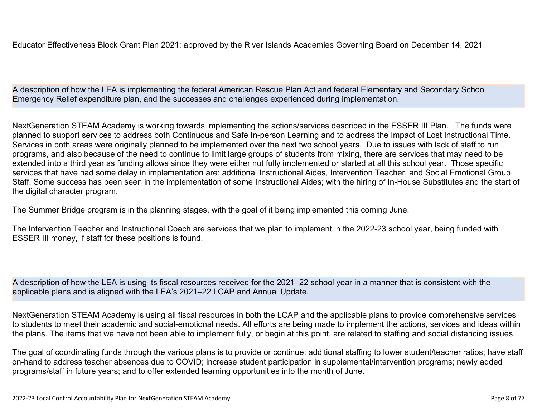Educator Effectiveness Block Grant Plan 2021; approved by the River Islands Academies Governing Board on December 14, 2021

A description of how the LEA is implementing the federal American Rescue Plan Act and federal Elementary and Secondary School Emergency Relief expenditure plan, and the successes and challenges experienced during implementation.

NextGeneration STEAM Academy is working towards implementing the actions/services described in the ESSER III Plan. The funds were planned to support services to address both Continuous and Safe In-person Learning and to address the Impact of Lost Instructional Time. Services in both areas were originally planned to be implemented over the next two school years. Due to issues with lack of staff to run programs, and also because of the need to continue to limit large groups of students from mixing, there are services that may need to be extended into a third year as funding allows since they were either not fully implemented or started at all this school year. Those specific services that have had some delay in implementation are: additional Instructional Aides, Intervention Teacher, and Social Emotional Group Staff. Some success has been seen in the implementation of some Instructional Aides; with the hiring of In-House Substitutes and the start of the digital character program.

The Summer Bridge program is in the planning stages, with the goal of it being implemented this coming June.

The Intervention Teacher and Instructional Coach are services that we plan to implement in the 2022-23 school year, being funded with ESSER III money, if staff for these positions is found.

A description of how the LEA is using its fiscal resources received for the 2021–22 school year in a manner that is consistent with the applicable plans and is aligned with the LEA's 2021–22 LCAP and Annual Update.

NextGeneration STEAM Academy is using all fiscal resources in both the LCAP and the applicable plans to provide comprehensive services to students to meet their academic and social-emotional needs. All efforts are being made to implement the actions, services and ideas within the plans. The items that we have not been able to implement fully, or begin at this point, are related to staffing and social distancing issues.

The goal of coordinating funds through the various plans is to provide or continue: additional staffing to lower student/teacher ratios; have staff on-hand to address teacher absences due to COVID; increase student participation in supplemental/intervention programs; newly added programs/staff in future years; and to offer extended learning opportunities into the month of June.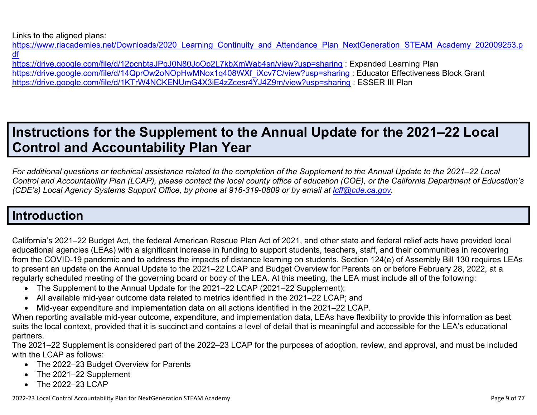Links to the aligned plans:

https://www.riacademies.net/Downloads/2020 Learning Continuity and Attendance Plan NextGeneration STEAM Academy 202009253.p [df](https://www.riacademies.net/Downloads/2020_Learning_Continuity_and_Attendance_Plan_NextGeneration_STEAM_Academy_202009253.pdf)

<https://drive.google.com/file/d/12pcnbtaJPqJ0N80JoOp2L7kbXmWab4sn/view?usp=sharing> : Expanded Learning Plan [https://drive.google.com/file/d/14QprOw2oNOpHwMNox1q408WXf\\_iXcv7C/view?usp=sharing](https://drive.google.com/file/d/14QprOw2oNOpHwMNox1q408WXf_iXcv7C/view?usp=sharing) : Educator Effectiveness Block Grant <https://drive.google.com/file/d/1KTrW4NCKENUmG4X3iE4zZcesr4YJ4Z9m/view?usp=sharing> : ESSER III Plan

# **Instructions for the Supplement to the Annual Update for the 2021–22 Local Control and Accountability Plan Year**

*For additional questions or technical assistance related to the completion of the Supplement to the Annual Update to the 2021–22 Local Control and Accountability Plan (LCAP), please contact the local county office of education (COE), or the California Department of Education's (CDE's)* Local Agency Systems Support Office, by phone at 916-319-0809 or by email at *[lcff@cde.ca.gov](mailto:lcff@cde.ca.gov)*.

## **Introduction**

California's 2021–22 Budget Act, the federal American Rescue Plan Act of 2021, and other state and federal relief acts have provided local educational agencies (LEAs) with a significant increase in funding to support students, teachers, staff, and their communities in recovering from the COVID-19 pandemic and to address the impacts of distance learning on students. Section 124(e) of Assembly Bill 130 requires LEAs to present an update on the Annual Update to the 2021–22 LCAP and Budget Overview for Parents on or before February 28, 2022, at a regularly scheduled meeting of the governing board or body of the LEA. At this meeting, the LEA must include all of the following:

- The Supplement to the Annual Update for the 2021–22 LCAP (2021–22 Supplement);
- All available mid-year outcome data related to metrics identified in the 2021–22 LCAP; and
- Mid-year expenditure and implementation data on all actions identified in the 2021–22 LCAP.

When reporting available mid-year outcome, expenditure, and implementation data, LEAs have flexibility to provide this information as best suits the local context, provided that it is succinct and contains a level of detail that is meaningful and accessible for the LEA's educational partners.

The 2021–22 Supplement is considered part of the 2022–23 LCAP for the purposes of adoption, review, and approval, and must be included with the LCAP as follows:

- The 2022–23 Budget Overview for Parents
- The 2021–22 Supplement
- The 2022-23 LCAP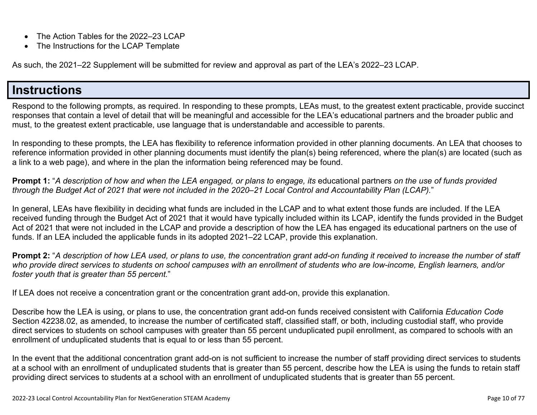- The Action Tables for the 2022–23 LCAP
- The Instructions for the LCAP Template

As such, the 2021–22 Supplement will be submitted for review and approval as part of the LEA's 2022–23 LCAP.

### **Instructions**

Respond to the following prompts, as required. In responding to these prompts, LEAs must, to the greatest extent practicable, provide succinct responses that contain a level of detail that will be meaningful and accessible for the LEA's educational partners and the broader public and must, to the greatest extent practicable, use language that is understandable and accessible to parents.

In responding to these prompts, the LEA has flexibility to reference information provided in other planning documents. An LEA that chooses to reference information provided in other planning documents must identify the plan(s) being referenced, where the plan(s) are located (such as a link to a web page), and where in the plan the information being referenced may be found.

**Prompt 1:** "*A description of how and when the LEA engaged, or plans to engage, its* educational partners *on the use of funds provided through the Budget Act of 2021 that were not included in the 2020–21 Local Control and Accountability Plan (LCAP).*"

In general, LEAs have flexibility in deciding what funds are included in the LCAP and to what extent those funds are included. If the LEA received funding through the Budget Act of 2021 that it would have typically included within its LCAP, identify the funds provided in the Budget Act of 2021 that were not included in the LCAP and provide a description of how the LEA has engaged its educational partners on the use of funds. If an LEA included the applicable funds in its adopted 2021–22 LCAP, provide this explanation.

**Prompt 2:** "*A description of how LEA used, or plans to use, the concentration grant add-on funding it received to increase the number of staff who provide direct services to students on school campuses with an enrollment of students who are low-income, English learners, and/or foster youth that is greater than 55 percent.*"

If LEA does not receive a concentration grant or the concentration grant add-on, provide this explanation.

Describe how the LEA is using, or plans to use, the concentration grant add-on funds received consistent with California *Education Code* Section 42238.02, as amended, to increase the number of certificated staff, classified staff, or both, including custodial staff, who provide direct services to students on school campuses with greater than 55 percent unduplicated pupil enrollment, as compared to schools with an enrollment of unduplicated students that is equal to or less than 55 percent.

In the event that the additional concentration grant add-on is not sufficient to increase the number of staff providing direct services to students at a school with an enrollment of unduplicated students that is greater than 55 percent, describe how the LEA is using the funds to retain staff providing direct services to students at a school with an enrollment of unduplicated students that is greater than 55 percent.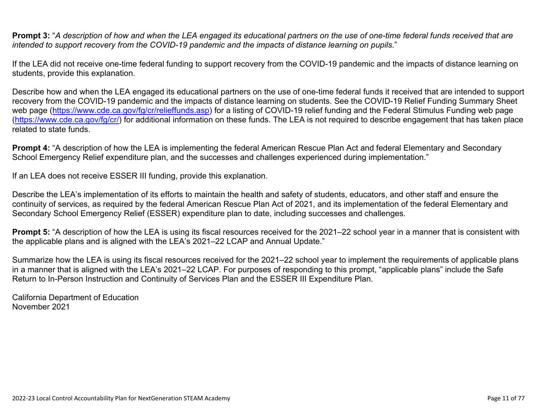**Prompt 3:** "*A description of how and when the LEA engaged its educational partners on the use of one-time federal funds received that are intended to support recovery from the COVID-19 pandemic and the impacts of distance learning on pupils.*"

If the LEA did not receive one-time federal funding to support recovery from the COVID-19 pandemic and the impacts of distance learning on students, provide this explanation.

Describe how and when the LEA engaged its educational partners on the use of one-time federal funds it received that are intended to support recovery from the COVID-19 pandemic and the impacts of distance learning on students. See the COVID-19 Relief Funding Summary Sheet web page [\(https://www.cde.ca.gov/fg/cr/relieffunds.asp\)](https://www.cde.ca.gov/fg/cr/relieffunds.asp) for a listing of COVID-19 relief funding and the Federal Stimulus Funding web page (<https://www.cde.ca.gov/fg/cr/>) for additional information on these funds. The LEA is not required to describe engagement that has taken place related to state funds.

**Prompt 4:** "A description of how the LEA is implementing the federal American Rescue Plan Act and federal Elementary and Secondary School Emergency Relief expenditure plan, and the successes and challenges experienced during implementation."

If an LEA does not receive ESSER III funding, provide this explanation.

Describe the LEA's implementation of its efforts to maintain the health and safety of students, educators, and other staff and ensure the continuity of services, as required by the federal American Rescue Plan Act of 2021, and its implementation of the federal Elementary and Secondary School Emergency Relief (ESSER) expenditure plan to date, including successes and challenges.

**Prompt 5:** "A description of how the LEA is using its fiscal resources received for the 2021–22 school year in a manner that is consistent with the applicable plans and is aligned with the LEA's 2021–22 LCAP and Annual Update."

Summarize how the LEA is using its fiscal resources received for the 2021–22 school year to implement the requirements of applicable plans in a manner that is aligned with the LEA's 2021–22 LCAP. For purposes of responding to this prompt, "applicable plans" include the Safe Return to In-Person Instruction and Continuity of Services Plan and the ESSER III Expenditure Plan.

California Department of Education November 2021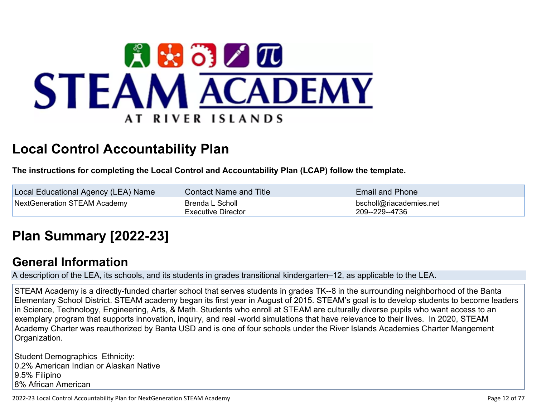

# **Local Control Accountability Plan**

**The instructions for completing the Local Control and Accountability Plan (LCAP) follow the template.**

| Local Educational Agency (LEA) Name | <b>Contact Name and Title</b>                | <b>Email and Phone</b>                    |
|-------------------------------------|----------------------------------------------|-------------------------------------------|
| NextGeneration STEAM Academy        | Brenda L Scholl<br><b>Executive Director</b> | bscholl@riacademies.net<br>209--229--4736 |

# **[Plan Summary \[2022-23\]](http://www.doc-tracking.com/screenshots/22LCAP/Instructions/22LCAPInstructions.htm#PlanSummary)**

### **[General Information](http://www.doc-tracking.com/screenshots/22LCAP/Instructions/22LCAPInstructions.htm#generalinformation)**

A description of the LEA, its schools, and its students in grades transitional kindergarten–12, as applicable to the LEA.

STEAM Academy is a directly-funded charter school that serves students in grades TK--8 in the surrounding neighborhood of the Banta Elementary School District. STEAM academy began its first year in August of 2015. STEAM's goal is to develop students to become leaders in Science, Technology, Engineering, Arts, & Math. Students who enroll at STEAM are culturally diverse pupils who want access to an exemplary program that supports innovation, inquiry, and real -world simulations that have relevance to their lives. In 2020, STEAM Academy Charter was reauthorized by Banta USD and is one of four schools under the River Islands Academies Charter Mangement Organization.

Student Demographics Ethnicity: 0.2% American Indian or Alaskan Native 9.5% Filipino 8% African American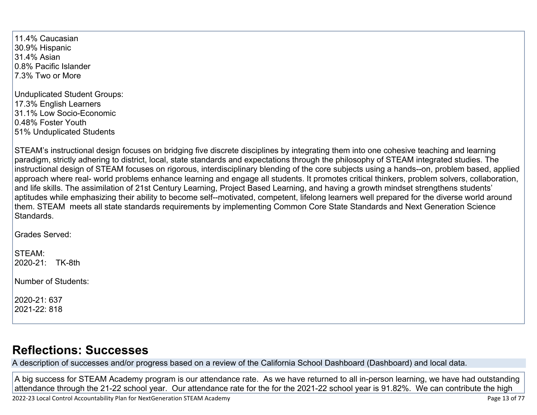11.4% Caucasian 30.9% Hispanic 31.4% Asian 0.8% Pacific Islander 7.3% Two or More

Unduplicated Student Groups: 17.3% English Learners 31.1% Low Socio-Economic 0.48% Foster Youth 51% Unduplicated Students

STEAM's instructional design focuses on bridging five discrete disciplines by integrating them into one cohesive teaching and learning paradigm, strictly adhering to district, local, state standards and expectations through the philosophy of STEAM integrated studies. The instructional design of STEAM focuses on rigorous, interdisciplinary blending of the core subjects using a hands--on, problem based, applied approach where real- world problems enhance learning and engage all students. It promotes critical thinkers, problem solvers, collaboration, and life skills. The assimilation of 21st Century Learning, Project Based Learning, and having a growth mindset strengthens students' aptitudes while emphasizing their ability to become self--motivated, competent, lifelong learners well prepared for the diverse world around them. STEAM meets all state standards requirements by implementing Common Core State Standards and Next Generation Science Standards.

Grades Served:

STEAM: 2020-21: TK-8th

Number of Students:

2020-21: 637 2021-22: 818

## **[Reflections: Successes](http://www.doc-tracking.com/screenshots/22LCAP/Instructions/22LCAPInstructions.htm#ReflectionsSuccesses)**

A description of successes and/or progress based on a review of the California School Dashboard (Dashboard) and local data.

A big success for STEAM Academy program is our attendance rate. As we have returned to all in-person learning, we have had outstanding attendance through the 21-22 school year. Our attendance rate for the for the 2021-22 school year is 91.82%. We can contribute the high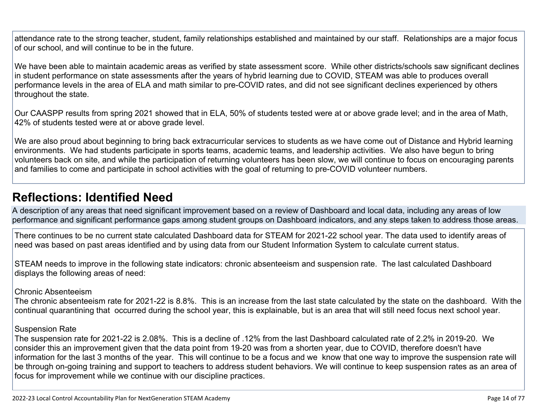attendance rate to the strong teacher, student, family relationships established and maintained by our staff. Relationships are a major focus of our school, and will continue to be in the future.

We have been able to maintain academic areas as verified by state assessment score. While other districts/schools saw significant declines in student performance on state assessments after the years of hybrid learning due to COVID, STEAM was able to produces overall performance levels in the area of ELA and math similar to pre-COVID rates, and did not see significant declines experienced by others throughout the state.

Our CAASPP results from spring 2021 showed that in ELA, 50% of students tested were at or above grade level; and in the area of Math, 42% of students tested were at or above grade level.

We are also proud about beginning to bring back extracurricular services to students as we have come out of Distance and Hybrid learning environments. We had students participate in sports teams, academic teams, and leadership activities. We also have begun to bring volunteers back on site, and while the participation of returning volunteers has been slow, we will continue to focus on encouraging parents and families to come and participate in school activities with the goal of returning to pre-COVID volunteer numbers.

### **[Reflections: Identified Need](http://www.doc-tracking.com/screenshots/22LCAP/Instructions/22LCAPInstructions.htm#ReflectionsIdentifiedNeed)**

A description of any areas that need significant improvement based on a review of Dashboard and local data, including any areas of low performance and significant performance gaps among student groups on Dashboard indicators, and any steps taken to address those areas.

There continues to be no current state calculated Dashboard data for STEAM for 2021-22 school year. The data used to identify areas of need was based on past areas identified and by using data from our Student Information System to calculate current status.

STEAM needs to improve in the following state indicators: chronic absenteeism and suspension rate. The last calculated Dashboard displays the following areas of need:

#### Chronic Absenteeism

The chronic absenteeism rate for 2021-22 is 8.8%. This is an increase from the last state calculated by the state on the dashboard. With the continual quarantining that occurred during the school year, this is explainable, but is an area that will still need focus next school year.

#### Suspension Rate

The suspension rate for 2021-22 is 2.08%. This is a decline of .12% from the last Dashboard calculated rate of 2.2% in 2019-20. We consider this an improvement given that the data point from 19-20 was from a shorten year, due to COVID, therefore doesn't have information for the last 3 months of the year. This will continue to be a focus and we know that one way to improve the suspension rate will be through on-going training and support to teachers to address student behaviors. We will continue to keep suspension rates as an area of focus for improvement while we continue with our discipline practices.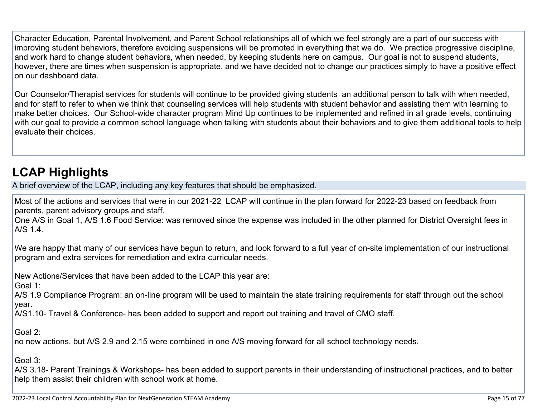Character Education, Parental Involvement, and Parent School relationships all of which we feel strongly are a part of our success with improving student behaviors, therefore avoiding suspensions will be promoted in everything that we do. We practice progressive discipline, and work hard to change student behaviors, when needed, by keeping students here on campus. Our goal is not to suspend students, however, there are times when suspension is appropriate, and we have decided not to change our practices simply to have a positive effect on our dashboard data.

Our Counselor/Therapist services for students will continue to be provided giving students an additional person to talk with when needed, and for staff to refer to when we think that counseling services will help students with student behavior and assisting them with learning to make better choices. Our School-wide character program Mind Up continues to be implemented and refined in all grade levels, continuing with our goal to provide a common school language when talking with students about their behaviors and to give them additional tools to help evaluate their choices.

# **[LCAP Highlights](http://www.doc-tracking.com/screenshots/22LCAP/Instructions/22LCAPInstructions.htm#LCAPHighlights)**

A brief overview of the LCAP, including any key features that should be emphasized.

Most of the actions and services that were in our 2021-22 LCAP will continue in the plan forward for 2022-23 based on feedback from parents, parent advisory groups and staff.

One A/S in Goal 1, A/S 1.6 Food Service: was removed since the expense was included in the other planned for District Oversight fees in A/S 1.4.

We are happy that many of our services have begun to return, and look forward to a full year of on-site implementation of our instructional program and extra services for remediation and extra curricular needs.

New Actions/Services that have been added to the LCAP this year are:

Goal 1:

A/S 1.9 Compliance Program: an on-line program will be used to maintain the state training requirements for staff through out the school year.

A/S1.10- Travel & Conference- has been added to support and report out training and travel of CMO staff.

Goal 2:

no new actions, but A/S 2.9 and 2.15 were combined in one A/S moving forward for all school technology needs.

Goal 3:

A/S 3.18- Parent Trainings & Workshops- has been added to support parents in their understanding of instructional practices, and to better help them assist their children with school work at home.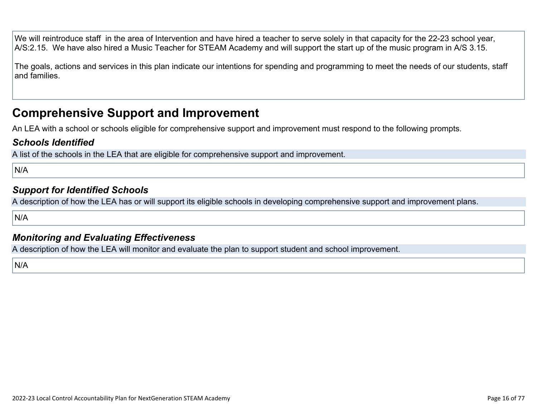We will reintroduce staff in the area of Intervention and have hired a teacher to serve solely in that capacity for the 22-23 school year, A/S:2.15. We have also hired a Music Teacher for STEAM Academy and will support the start up of the music program in A/S 3.15.

The goals, actions and services in this plan indicate our intentions for spending and programming to meet the needs of our students, staff and families.

### **Comprehensive Support and Improvement**

An LEA with a school or schools eligible for comprehensive support and improvement must respond to the following prompts.

#### *[Schools Identified](http://www.doc-tracking.com/screenshots/22LCAP/Instructions/22LCAPInstructions.htm#SchoolsIdentified)*

A list of the schools in the LEA that are eligible for comprehensive support and improvement.

N/A

#### *[Support for Identified Schools](http://www.doc-tracking.com/screenshots/22LCAP/Instructions/22LCAPInstructions.htm#SupportforIdentifiedSchools)*

A description of how the LEA has or will support its eligible schools in developing comprehensive support and improvement plans.

N/A

#### *[Monitoring and Evaluating Effectiveness](http://www.doc-tracking.com/screenshots/22LCAP/Instructions/22LCAPInstructions.htm#MonitoringandEvaluatingEffectiveness)*

A description of how the LEA will monitor and evaluate the plan to support student and school improvement.

N/A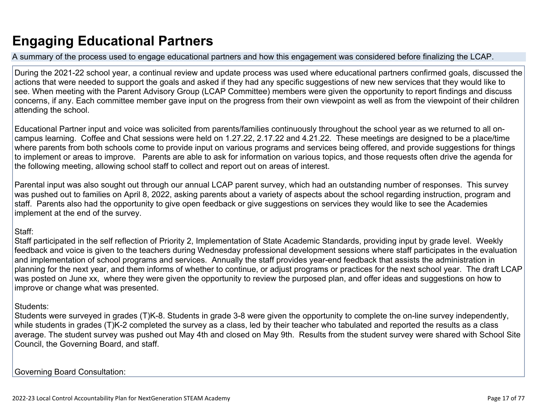# **Engaging Educational Partners**

A summary of the process used to engage educational partners and how this engagement was considered before finalizing the LCAP.

During the 2021-22 school year, a continual review and update process was used where educational partners confirmed goals, discussed the actions that were needed to support the goals and asked if they had any specific suggestions of new new services that they would like to see. When meeting with the Parent Advisory Group (LCAP Committee) members were given the opportunity to report findings and discuss concerns, if any. Each committee member gave input on the progress from their own viewpoint as well as from the viewpoint of their children attending the school.

Educational Partner input and voice was solicited from parents/families continuously throughout the school year as we returned to all oncampus learning. Coffee and Chat sessions were held on 1.27.22, 2.17.22 and 4.21.22. These meetings are designed to be a place/time where parents from both schools come to provide input on various programs and services being offered, and provide suggestions for things to implement or areas to improve. Parents are able to ask for information on various topics, and those requests often drive the agenda for the following meeting, allowing school staff to collect and report out on areas of interest.

Parental input was also sought out through our annual LCAP parent survey, which had an outstanding number of responses. This survey was pushed out to families on April 8, 2022, asking parents about a variety of aspects about the school regarding instruction, program and staff. Parents also had the opportunity to give open feedback or give suggestions on services they would like to see the Academies implement at the end of the survey.

#### Staff:

Staff participated in the self reflection of Priority 2, Implementation of State Academic Standards, providing input by grade level. Weekly feedback and voice is given to the teachers during Wednesday professional development sessions where staff participates in the evaluation and implementation of school programs and services. Annually the staff provides year-end feedback that assists the administration in planning for the next year, and them informs of whether to continue, or adjust programs or practices for the next school year. The draft LCAP was posted on June xx, where they were given the opportunity to review the purposed plan, and offer ideas and suggestions on how to improve or change what was presented.

#### Students:

Students were surveyed in grades (T)K-8. Students in grade 3-8 were given the opportunity to complete the on-line survey independently, while students in grades (T)K-2 completed the survey as a class, led by their teacher who tabulated and reported the results as a class average. The student survey was pushed out May 4th and closed on May 9th. Results from the student survey were shared with School Site Council, the Governing Board, and staff.

Governing Board Consultation: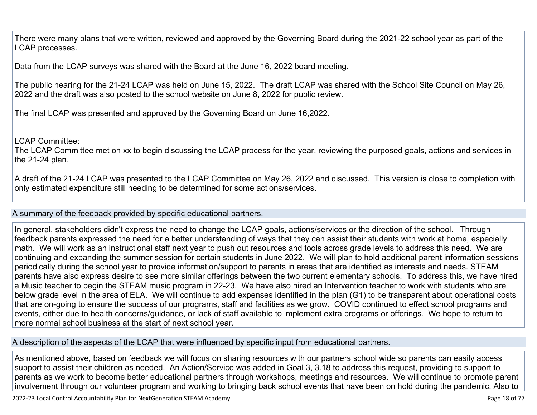There were many plans that were written, reviewed and approved by the Governing Board during the 2021-22 school year as part of the LCAP processes.

Data from the LCAP surveys was shared with the Board at the June 16, 2022 board meeting.

The public hearing for the 21-24 LCAP was held on June 15, 2022. The draft LCAP was shared with the School Site Council on May 26, 2022 and the draft was also posted to the school website on June 8, 2022 for public review.

The final LCAP was presented and approved by the Governing Board on June 16,2022.

LCAP Committee:

The LCAP Committee met on xx to begin discussing the LCAP process for the year, reviewing the purposed goals, actions and services in the 21-24 plan.

A draft of the 21-24 LCAP was presented to the LCAP Committee on May 26, 2022 and discussed. This version is close to completion with only estimated expenditure still needing to be determined for some actions/services.

A summary of the feedback provided by specific educational partners.

In general, stakeholders didn't express the need to change the LCAP goals, actions/services or the direction of the school. Through feedback parents expressed the need for a better understanding of ways that they can assist their students with work at home, especially math. We will work as an instructional staff next year to push out resources and tools across grade levels to address this need. We are continuing and expanding the summer session for certain students in June 2022. We will plan to hold additional parent information sessions periodically during the school year to provide information/support to parents in areas that are identified as interests and needs. STEAM parents have also express desire to see more similar offerings between the two current elementary schools. To address this, we have hired a Music teacher to begin the STEAM music program in 22-23. We have also hired an Intervention teacher to work with students who are below grade level in the area of ELA. We will continue to add expenses identified in the plan (G1) to be transparent about operational costs that are on-going to ensure the success of our programs, staff and facilities as we grow. COVID continued to effect school programs and events, either due to health concerns/guidance, or lack of staff available to implement extra programs or offerings. We hope to return to more normal school business at the start of next school year.

A description of the aspects of the LCAP that were influenced by specific input from educational partners.

As mentioned above, based on feedback we will focus on sharing resources with our partners school wide so parents can easily access support to assist their children as needed. An Action/Service was added in Goal 3, 3.18 to address this request, providing to support to parents as we work to become better educational partners through workshops, meetings and resources. We will continue to promote parent involvement through our volunteer program and working to bringing back school events that have been on hold during the pandemic. Also to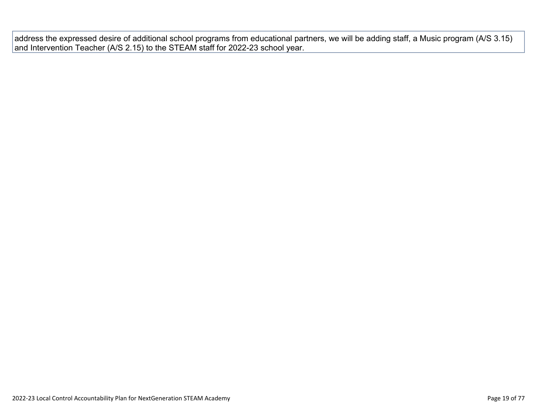address the expressed desire of additional school programs from educational partners, we will be adding staff, a Music program (A/S 3.15) and Intervention Teacher (A/S 2.15) to the STEAM staff for 2022-23 school year.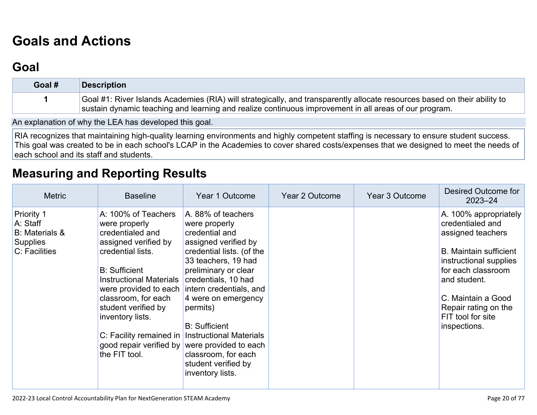# **[Goals and Actions](http://www.doc-tracking.com/screenshots/22LCAP/Instructions/22LCAPInstructions.htm#GoalsandActions)**

## **[Goal](http://www.doc-tracking.com/screenshots/22LCAP/Instructions/22LCAPInstructions.htm#goalDescription)**

| Goal # | <b>Description</b>                                                                                                        |
|--------|---------------------------------------------------------------------------------------------------------------------------|
|        | Goal #1: River Islands Academies (RIA) will strategically, and transparently allocate resources based on their ability to |
|        | sustain dynamic teaching and learning and realize continuous improvement in all areas of our program.                     |

An explanation of why the LEA has developed this goal.

RIA recognizes that maintaining high-quality learning environments and highly competent staffing is necessary to ensure student success. This goal was created to be in each school's LCAP in the Academies to cover shared costs/expenses that we designed to meet the needs of each school and its staff and students.

## **[Measuring and Reporting Results](http://www.doc-tracking.com/screenshots/22LCAP/Instructions/22LCAPInstructions.htm#MeasuringandReportingResults)**

| <b>Metric</b>                                                                       | <b>Baseline</b>                                                                                                                                                                                                                                                               | Year 1 Outcome                                                                                                                                                                                                                                                                                                                                                                                                                               | Year 2 Outcome | <b>Year 3 Outcome</b> | Desired Outcome for<br>$2023 - 24$                                                                                                                                                                                                                 |
|-------------------------------------------------------------------------------------|-------------------------------------------------------------------------------------------------------------------------------------------------------------------------------------------------------------------------------------------------------------------------------|----------------------------------------------------------------------------------------------------------------------------------------------------------------------------------------------------------------------------------------------------------------------------------------------------------------------------------------------------------------------------------------------------------------------------------------------|----------------|-----------------------|----------------------------------------------------------------------------------------------------------------------------------------------------------------------------------------------------------------------------------------------------|
| Priority 1<br>A: Staff<br><b>B:</b> Materials &<br><b>Supplies</b><br>C: Facilities | A: 100% of Teachers<br>were properly<br>credentialed and<br>assigned verified by<br>credential lists.<br><b>B:</b> Sufficient<br><b>Instructional Materials</b><br>classroom, for each<br>student verified by<br>inventory lists.<br>good repair verified by<br>the FIT tool. | A. 88% of teachers<br>were properly<br>credential and<br>assigned verified by<br>credential lists. (of the<br>33 teachers, 19 had<br>preliminary or clear<br>credentials, 10 had<br>were provided to each intern credentials, and<br>4 were on emergency<br>permits)<br><b>B: Sufficient</b><br>C: Facility remained in   Instructional Materials<br>were provided to each<br>classroom, for each<br>student verified by<br>inventory lists. |                |                       | A. 100% appropriately<br>credentialed and<br>assigned teachers<br><b>B.</b> Maintain sufficient<br>instructional supplies<br>for each classroom<br>and student.<br>C. Maintain a Good<br>Repair rating on the<br>FIT tool for site<br>inspections. |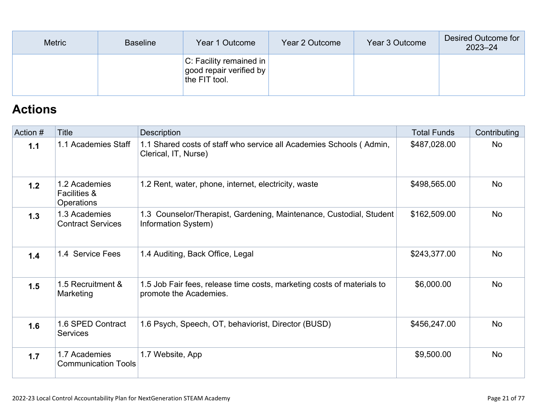| <b>Metric</b> | <b>Baseline</b> | Year 1 Outcome                                                          | Year 2 Outcome | Year 3 Outcome | Desired Outcome for<br>$2023 - 24$ |
|---------------|-----------------|-------------------------------------------------------------------------|----------------|----------------|------------------------------------|
|               |                 | $ C$ : Facility remained in<br>good repair verified by<br>the FIT tool. |                |                |                                    |

## **[Actions](http://www.doc-tracking.com/screenshots/22LCAP/Instructions/22LCAPInstructions.htm#actions)**

| Action # | <b>Title</b>                                           | Description                                                                                      | <b>Total Funds</b> | Contributing |
|----------|--------------------------------------------------------|--------------------------------------------------------------------------------------------------|--------------------|--------------|
| 1.1      | 1.1 Academies Staff                                    | 1.1 Shared costs of staff who service all Academies Schools (Admin,<br>Clerical, IT, Nurse)      | \$487,028.00       | <b>No</b>    |
| 1.2      | 1.2 Academies<br><b>Facilities &amp;</b><br>Operations | 1.2 Rent, water, phone, internet, electricity, waste                                             | \$498,565.00       | <b>No</b>    |
| 1.3      | 1.3 Academies<br><b>Contract Services</b>              | 1.3 Counselor/Therapist, Gardening, Maintenance, Custodial, Student<br>Information System)       | \$162,509.00       | <b>No</b>    |
| 1.4      | 1.4 Service Fees                                       | 1.4 Auditing, Back Office, Legal                                                                 | \$243,377.00       | <b>No</b>    |
| 1.5      | 1.5 Recruitment &<br>Marketing                         | 1.5 Job Fair fees, release time costs, marketing costs of materials to<br>promote the Academies. | \$6,000.00         | <b>No</b>    |
| 1.6      | 1.6 SPED Contract<br><b>Services</b>                   | 1.6 Psych, Speech, OT, behaviorist, Director (BUSD)                                              | \$456,247.00       | <b>No</b>    |
| 1.7      | 1.7 Academies<br><b>Communication Tools</b>            | 1.7 Website, App                                                                                 | \$9,500.00         | <b>No</b>    |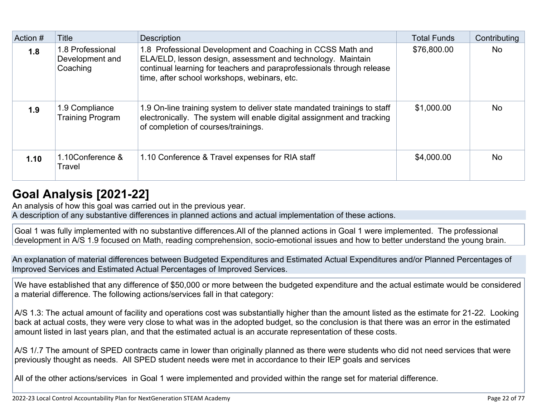| Action # | Title                                           | <b>Description</b>                                                                                                                                                                                                                                 | <b>Total Funds</b> | Contributing |
|----------|-------------------------------------------------|----------------------------------------------------------------------------------------------------------------------------------------------------------------------------------------------------------------------------------------------------|--------------------|--------------|
| 1.8      | 1.8 Professional<br>Development and<br>Coaching | 1.8 Professional Development and Coaching in CCSS Math and<br>ELA/ELD, lesson design, assessment and technology. Maintain<br>continual learning for teachers and paraprofessionals through release<br>time, after school workshops, webinars, etc. | \$76,800.00        | <b>No</b>    |
| 1.9      | 1.9 Compliance<br><b>Training Program</b>       | 1.9 On-line training system to deliver state mandated trainings to staff<br>electronically. The system will enable digital assignment and tracking<br>of completion of courses/trainings.                                                          | \$1,000.00         | <b>No</b>    |
| 1.10     | 1.10Conference &<br>Travel                      | 1.10 Conference & Travel expenses for RIA staff                                                                                                                                                                                                    | \$4,000.00         | <b>No</b>    |

## **[Goal Analysis \[2021-22\]](http://www.doc-tracking.com/screenshots/22LCAP/Instructions/22LCAPInstructions.htm#GoalAnalysis)**

An analysis of how this goal was carried out in the previous year.

A description of any substantive differences in planned actions and actual implementation of these actions.

Goal 1 was fully implemented with no substantive differences.All of the planned actions in Goal 1 were implemented. The professional development in A/S 1.9 focused on Math, reading comprehension, socio-emotional issues and how to better understand the young brain.

An explanation of material differences between Budgeted Expenditures and Estimated Actual Expenditures and/or Planned Percentages of Improved Services and Estimated Actual Percentages of Improved Services.

We have established that any difference of \$50,000 or more between the budgeted expenditure and the actual estimate would be considered a material difference. The following actions/services fall in that category:

A/S 1.3: The actual amount of facility and operations cost was substantially higher than the amount listed as the estimate for 21-22. Looking back at actual costs, they were very close to what was in the adopted budget, so the conclusion is that there was an error in the estimated amount listed in last years plan, and that the estimated actual is an accurate representation of these costs.

A/S 1/.7 The amount of SPED contracts came in lower than originally planned as there were students who did not need services that were previously thought as needs. All SPED student needs were met in accordance to their IEP goals and services

All of the other actions/services in Goal 1 were implemented and provided within the range set for material difference.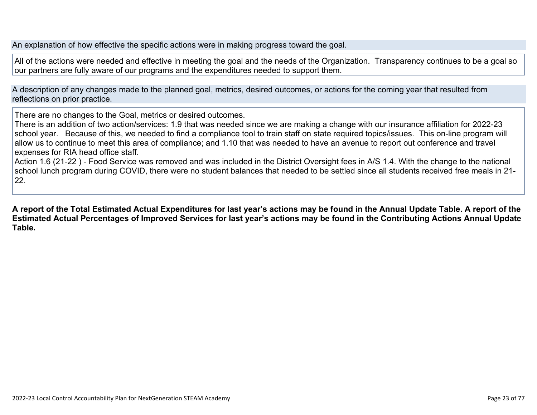An explanation of how effective the specific actions were in making progress toward the goal.

All of the actions were needed and effective in meeting the goal and the needs of the Organization. Transparency continues to be a goal so our partners are fully aware of our programs and the expenditures needed to support them.

A description of any changes made to the planned goal, metrics, desired outcomes, or actions for the coming year that resulted from reflections on prior practice.

There are no changes to the Goal, metrics or desired outcomes.

There is an addition of two action/services: 1.9 that was needed since we are making a change with our insurance affiliation for 2022-23 school year. Because of this, we needed to find a compliance tool to train staff on state required topics/issues. This on-line program will allow us to continue to meet this area of compliance; and 1.10 that was needed to have an avenue to report out conference and travel expenses for RIA head office staff.

Action 1.6 (21-22 ) - Food Service was removed and was included in the District Oversight fees in A/S 1.4. With the change to the national school lunch program during COVID, there were no student balances that needed to be settled since all students received free meals in 21- 22.

**A report of the Total Estimated Actual Expenditures for last year's actions may be found in the Annual Update Table. A report of the Estimated Actual Percentages of Improved Services for last year's actions may be found in the Contributing Actions Annual Update Table.**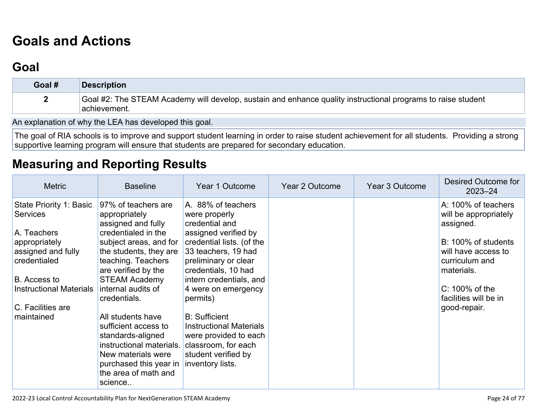# **[Goals and Actions](http://www.doc-tracking.com/screenshots/22LCAP/Instructions/22LCAPInstructions.htm#GoalsandActions)**

## **[Goal](http://www.doc-tracking.com/screenshots/22LCAP/Instructions/22LCAPInstructions.htm#goalDescription)**

| Goal # | <b>Description</b>                                                                                                           |
|--------|------------------------------------------------------------------------------------------------------------------------------|
|        | Goal #2: The STEAM Academy will develop, sustain and enhance quality instructional programs to raise student<br>achievement. |

An explanation of why the LEA has developed this goal.

The goal of RIA schools is to improve and support student learning in order to raise student achievement for all students. Providing a strong supportive learning program will ensure that students are prepared for secondary education.

### **[Measuring and Reporting Results](http://www.doc-tracking.com/screenshots/22LCAP/Instructions/22LCAPInstructions.htm#MeasuringandReportingResults)**

| <b>Metric</b>                                                                                                                    | <b>Baseline</b>                                                                                                                                                                                                     | Year 1 Outcome                                                                                                                                                                                              | Year 2 Outcome | Year 3 Outcome | Desired Outcome for<br>$2023 - 24$                                                                                                      |
|----------------------------------------------------------------------------------------------------------------------------------|---------------------------------------------------------------------------------------------------------------------------------------------------------------------------------------------------------------------|-------------------------------------------------------------------------------------------------------------------------------------------------------------------------------------------------------------|----------------|----------------|-----------------------------------------------------------------------------------------------------------------------------------------|
| State Priority 1: Basic<br><b>Services</b><br>A. Teachers<br>appropriately<br>assigned and fully<br>credentialed<br>B. Access to | 97% of teachers are<br>appropriately<br>assigned and fully<br>credentialed in the<br>subject areas, and for<br>the students, they are<br>teaching. Teachers<br>are verified by the<br><b>STEAM Academy</b>          | A. 88% of teachers<br>were properly<br>credential and<br>assigned verified by<br>credential lists. (of the<br>33 teachers, 19 had<br>preliminary or clear<br>credentials, 10 had<br>intern credentials, and |                |                | A: 100% of teachers<br>will be appropriately<br>assigned.<br>B: 100% of students<br>will have access to<br>curriculum and<br>materials. |
| <b>Instructional Materials</b><br>C. Facilities are<br>maintained                                                                | internal audits of<br>credentials.<br>All students have<br>sufficient access to<br>standards-aligned<br>instructional materials.<br>New materials were<br>purchased this year in<br>the area of math and<br>science | 4 were on emergency<br>permits)<br><b>B:</b> Sufficient<br><b>Instructional Materials</b><br>were provided to each<br>classroom, for each<br>student verified by<br>inventory lists.                        |                |                | $C: 100\%$ of the<br>facilities will be in<br>good-repair.                                                                              |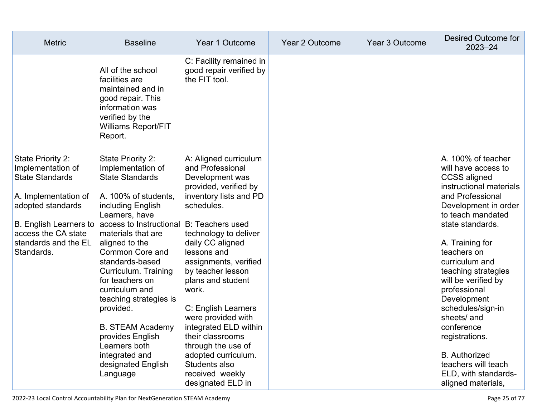| <b>Metric</b>                                                                                                                                                                                               | <b>Baseline</b>                                                                                                                                                                                                                                                                                                                                                                                                                                                                   | Year 1 Outcome                                                                                                                                                                                                                                                                                                                                                                                                                                                        | <b>Year 2 Outcome</b> | Year 3 Outcome | Desired Outcome for<br>$2023 - 24$                                                                                                                                                                                                                                                                                                                                                                                                                                                 |
|-------------------------------------------------------------------------------------------------------------------------------------------------------------------------------------------------------------|-----------------------------------------------------------------------------------------------------------------------------------------------------------------------------------------------------------------------------------------------------------------------------------------------------------------------------------------------------------------------------------------------------------------------------------------------------------------------------------|-----------------------------------------------------------------------------------------------------------------------------------------------------------------------------------------------------------------------------------------------------------------------------------------------------------------------------------------------------------------------------------------------------------------------------------------------------------------------|-----------------------|----------------|------------------------------------------------------------------------------------------------------------------------------------------------------------------------------------------------------------------------------------------------------------------------------------------------------------------------------------------------------------------------------------------------------------------------------------------------------------------------------------|
|                                                                                                                                                                                                             | All of the school<br>facilities are<br>maintained and in<br>good repair. This<br>information was<br>verified by the<br><b>Williams Report/FIT</b><br>Report.                                                                                                                                                                                                                                                                                                                      | C: Facility remained in<br>good repair verified by<br>the FIT tool.                                                                                                                                                                                                                                                                                                                                                                                                   |                       |                |                                                                                                                                                                                                                                                                                                                                                                                                                                                                                    |
| State Priority 2:<br>Implementation of<br><b>State Standards</b><br>A. Implementation of<br>adopted standards<br><b>B.</b> English Learners to<br>access the CA state<br>standards and the EL<br>Standards. | State Priority 2:<br>Implementation of<br><b>State Standards</b><br>A. 100% of students,<br>including English<br>Learners, have<br>access to Instructional B: Teachers used<br>materials that are<br>aligned to the<br>Common Core and<br>standards-based<br>Curriculum. Training<br>for teachers on<br>curriculum and<br>teaching strategies is<br>provided.<br><b>B. STEAM Academy</b><br>provides English<br>Learners both<br>integrated and<br>designated English<br>Language | A: Aligned curriculum<br>and Professional<br>Development was<br>provided, verified by<br>inventory lists and PD<br>schedules.<br>technology to deliver<br>daily CC aligned<br>lessons and<br>assignments, verified<br>by teacher lesson<br>plans and student<br>work.<br>C: English Learners<br>were provided with<br>integrated ELD within<br>their classrooms<br>through the use of<br>adopted curriculum.<br>Students also<br>received weekly<br>designated ELD in |                       |                | A. 100% of teacher<br>will have access to<br><b>CCSS</b> aligned<br>instructional materials<br>and Professional<br>Development in order<br>to teach mandated<br>state standards.<br>A. Training for<br>teachers on<br>curriculum and<br>teaching strategies<br>will be verified by<br>professional<br>Development<br>schedules/sign-in<br>sheets/ and<br>conference<br>registrations.<br><b>B.</b> Authorized<br>teachers will teach<br>ELD, with standards-<br>aligned materials, |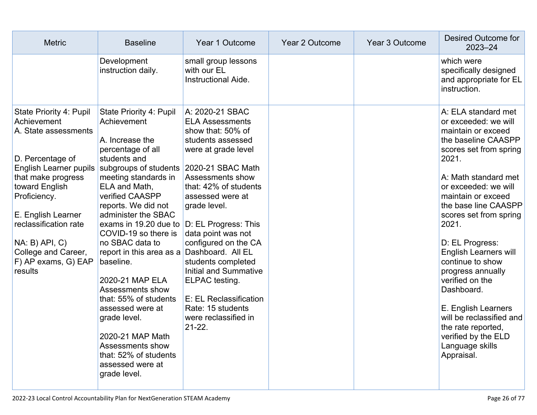| <b>Metric</b>                                                                                                                                                                                                                                                                                             | <b>Baseline</b>                                                                                                                                                                                                                                                                                                                                                                                                                                                                                                                                                                             | Year 1 Outcome                                                                                                                                                                                                                                                                                                                                                                                                           | <b>Year 2 Outcome</b> | Year 3 Outcome | Desired Outcome for<br>$2023 - 24$                                                                                                                                                                                                                                                                                                                                                                                                                                                                                         |
|-----------------------------------------------------------------------------------------------------------------------------------------------------------------------------------------------------------------------------------------------------------------------------------------------------------|---------------------------------------------------------------------------------------------------------------------------------------------------------------------------------------------------------------------------------------------------------------------------------------------------------------------------------------------------------------------------------------------------------------------------------------------------------------------------------------------------------------------------------------------------------------------------------------------|--------------------------------------------------------------------------------------------------------------------------------------------------------------------------------------------------------------------------------------------------------------------------------------------------------------------------------------------------------------------------------------------------------------------------|-----------------------|----------------|----------------------------------------------------------------------------------------------------------------------------------------------------------------------------------------------------------------------------------------------------------------------------------------------------------------------------------------------------------------------------------------------------------------------------------------------------------------------------------------------------------------------------|
|                                                                                                                                                                                                                                                                                                           | Development<br>instruction daily.                                                                                                                                                                                                                                                                                                                                                                                                                                                                                                                                                           | small group lessons<br>with our EL<br>Instructional Aide.                                                                                                                                                                                                                                                                                                                                                                |                       |                | which were<br>specifically designed<br>and appropriate for EL<br>instruction.                                                                                                                                                                                                                                                                                                                                                                                                                                              |
| State Priority 4: Pupil<br>Achievement<br>A. State assessments<br>D. Percentage of<br><b>English Learner pupils</b><br>that make progress<br>toward English<br>Proficiency.<br>E. English Learner<br>reclassification rate<br>$NA: B)$ $API, C)$<br>College and Career,<br>F) AP exams, G) EAP<br>results | State Priority 4: Pupil<br>Achievement<br>A. Increase the<br>percentage of all<br>students and<br>subgroups of students 2020-21 SBAC Math<br>meeting standards in<br>ELA and Math,<br>verified CAASPP<br>reports. We did not<br>administer the SBAC<br>exams in 19.20 due to<br>COVID-19 so there is<br>no SBAC data to<br>report in this area as a Dashboard. All EL<br>baseline.<br>2020-21 MAP ELA<br>Assessments show<br>that: 55% of students<br>assessed were at<br>grade level.<br>2020-21 MAP Math<br>Assessments show<br>that: 52% of students<br>assessed were at<br>grade level. | A: 2020-21 SBAC<br><b>ELA Assessments</b><br>show that: 50% of<br>students assessed<br>were at grade level<br>Assessments show<br>that: 42% of students<br>assessed were at<br>grade level.<br>D: EL Progress: This<br>data point was not<br>configured on the CA<br>students completed<br>Initial and Summative<br>ELPAC testing.<br>E: EL Reclassification<br>Rate: 15 students<br>were reclassified in<br>$21 - 22$ . |                       |                | A: ELA standard met<br>or exceeded: we will<br>maintain or exceed<br>the baseline CAASPP<br>scores set from spring<br>2021.<br>A: Math standard met<br>or exceeded: we will<br>maintain or exceed<br>the base line CAASPP<br>scores set from spring<br>2021.<br>D: EL Progress:<br><b>English Learners will</b><br>continue to show<br>progress annually<br>verified on the<br>Dashboard.<br>E. English Learners<br>will be reclassified and<br>the rate reported,<br>verified by the ELD<br>Language skills<br>Appraisal. |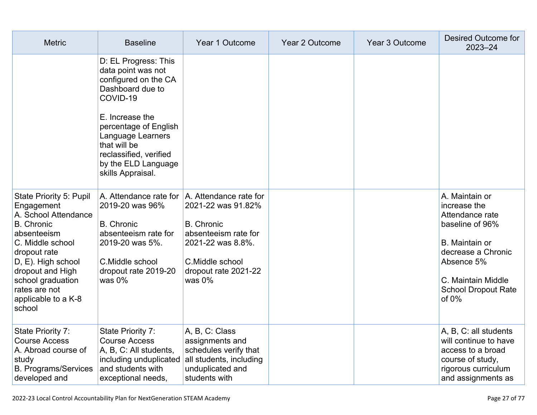| <b>Metric</b>                                                                                                                                                                                                                                          | <b>Baseline</b>                                                                                                                                                                                                                                           | Year 1 Outcome                                                                                                                               | Year 2 Outcome | Year 3 Outcome | <b>Desired Outcome for</b><br>$2023 - 24$                                                                                                                                                  |
|--------------------------------------------------------------------------------------------------------------------------------------------------------------------------------------------------------------------------------------------------------|-----------------------------------------------------------------------------------------------------------------------------------------------------------------------------------------------------------------------------------------------------------|----------------------------------------------------------------------------------------------------------------------------------------------|----------------|----------------|--------------------------------------------------------------------------------------------------------------------------------------------------------------------------------------------|
|                                                                                                                                                                                                                                                        | D: EL Progress: This<br>data point was not<br>configured on the CA<br>Dashboard due to<br>COVID-19<br>E. Increase the<br>percentage of English<br>Language Learners<br>that will be<br>reclassified, verified<br>by the ELD Language<br>skills Appraisal. |                                                                                                                                              |                |                |                                                                                                                                                                                            |
| State Priority 5: Pupil<br>Engagement<br>A. School Attendance<br><b>B.</b> Chronic<br>absenteeism<br>C. Middle school<br>dropout rate<br>D, E). High school<br>dropout and High<br>school graduation<br>rates are not<br>applicable to a K-8<br>school | A. Attendance rate for   A. Attendance rate for<br>2019-20 was 96%<br><b>B.</b> Chronic<br>absenteeism rate for<br>2019-20 was 5%.<br>C.Middle school<br>dropout rate 2019-20<br>was $0\%$                                                                | 2021-22 was 91.82%<br><b>B.</b> Chronic<br>absenteeism rate for<br>2021-22 was 8.8%.<br>C.Middle school<br>dropout rate 2021-22<br>was $0\%$ |                |                | A. Maintain or<br>increase the<br>Attendance rate<br>baseline of 96%<br>B. Maintain or<br>decrease a Chronic<br>Absence 5%<br>C. Maintain Middle<br><b>School Dropout Rate</b><br>of $0\%$ |
| State Priority 7:<br><b>Course Access</b><br>A. Abroad course of<br>study<br><b>B. Programs/Services</b><br>developed and                                                                                                                              | State Priority 7:<br><b>Course Access</b><br>A, B, C: All students,<br>including unduplicated<br>and students with<br>exceptional needs,                                                                                                                  | A, B, C: Class<br>assignments and<br>schedules verify that<br>all students, including<br>unduplicated and<br>students with                   |                |                | A, B, C: all students<br>will continue to have<br>access to a broad<br>course of study,<br>rigorous curriculum<br>and assignments as                                                       |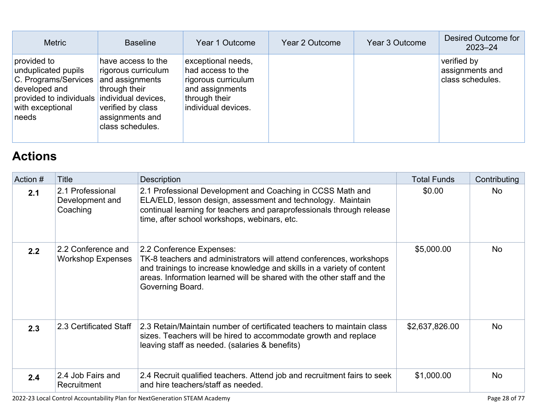| <b>Metric</b>                                                                                                                                           | <b>Baseline</b>                                                                                                                           | Year 1 Outcome                                                                                                            | Year 2 Outcome | Year 3 Outcome | Desired Outcome for<br>$2023 - 24$                 |
|---------------------------------------------------------------------------------------------------------------------------------------------------------|-------------------------------------------------------------------------------------------------------------------------------------------|---------------------------------------------------------------------------------------------------------------------------|----------------|----------------|----------------------------------------------------|
| provided to<br>unduplicated pupils<br>C. Programs/Services<br>developed and<br>provided to individuals individual devices,<br>with exceptional<br>needs | have access to the<br>rigorous curriculum<br>and assignments<br>through their<br>verified by class<br>assignments and<br>class schedules. | exceptional needs,<br>had access to the<br>rigorous curriculum<br>and assignments<br>through their<br>individual devices. |                |                | verified by<br>assignments and<br>class schedules. |

# **[Actions](http://www.doc-tracking.com/screenshots/22LCAP/Instructions/22LCAPInstructions.htm#actions)**

| Action # | <b>Title</b>                                    | <b>Description</b>                                                                                                                                                                                                                                                      | <b>Total Funds</b> | Contributing |
|----------|-------------------------------------------------|-------------------------------------------------------------------------------------------------------------------------------------------------------------------------------------------------------------------------------------------------------------------------|--------------------|--------------|
| 2.1      | 2.1 Professional<br>Development and<br>Coaching | 2.1 Professional Development and Coaching in CCSS Math and<br>ELA/ELD, lesson design, assessment and technology. Maintain<br>continual learning for teachers and paraprofessionals through release<br>time, after school workshops, webinars, etc.                      | \$0.00             | <b>No</b>    |
| 2.2      | 2.2 Conference and<br><b>Workshop Expenses</b>  | 2.2 Conference Expenses:<br>TK-8 teachers and administrators will attend conferences, workshops<br>and trainings to increase knowledge and skills in a variety of content<br>areas. Information learned will be shared with the other staff and the<br>Governing Board. | \$5,000.00         | <b>No</b>    |
| 2.3      | 2.3 Certificated Staff                          | 2.3 Retain/Maintain number of certificated teachers to maintain class<br>sizes. Teachers will be hired to accommodate growth and replace<br>leaving staff as needed. (salaries & benefits)                                                                              | \$2,637,826.00     | <b>No</b>    |
| 2.4      | 2.4 Job Fairs and<br>Recruitment                | 2.4 Recruit qualified teachers. Attend job and recruitment fairs to seek<br>and hire teachers/staff as needed.                                                                                                                                                          | \$1,000.00         | <b>No</b>    |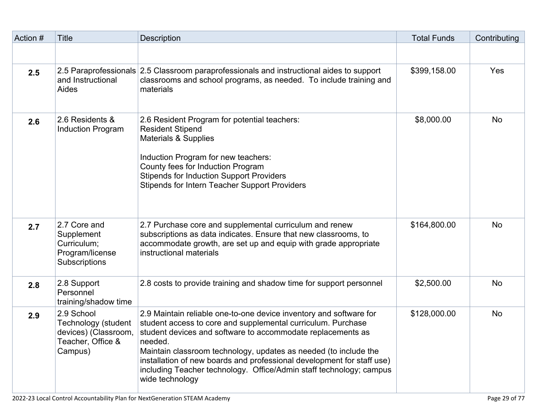| Action # | <b>Title</b>                                                                              | <b>Description</b>                                                                                                                                                                                                                                                                                                                                                                                                                                   | <b>Total Funds</b> | Contributing |
|----------|-------------------------------------------------------------------------------------------|------------------------------------------------------------------------------------------------------------------------------------------------------------------------------------------------------------------------------------------------------------------------------------------------------------------------------------------------------------------------------------------------------------------------------------------------------|--------------------|--------------|
|          |                                                                                           |                                                                                                                                                                                                                                                                                                                                                                                                                                                      |                    |              |
| 2.5      | and Instructional<br>Aides                                                                | 2.5 Paraprofessionals 2.5 Classroom paraprofessionals and instructional aides to support<br>classrooms and school programs, as needed. To include training and<br>materials                                                                                                                                                                                                                                                                          | \$399,158.00       | Yes          |
| 2.6      | 2.6 Residents &<br><b>Induction Program</b>                                               | 2.6 Resident Program for potential teachers:<br><b>Resident Stipend</b><br><b>Materials &amp; Supplies</b><br>Induction Program for new teachers:<br>County fees for Induction Program<br><b>Stipends for Induction Support Providers</b><br><b>Stipends for Intern Teacher Support Providers</b>                                                                                                                                                    | \$8,000.00         | <b>No</b>    |
| 2.7      | 2.7 Core and<br>Supplement<br>Curriculum;<br>Program/license<br>Subscriptions             | 2.7 Purchase core and supplemental curriculum and renew<br>subscriptions as data indicates. Ensure that new classrooms, to<br>accommodate growth, are set up and equip with grade appropriate<br>instructional materials                                                                                                                                                                                                                             | \$164,800.00       | <b>No</b>    |
| 2.8      | 2.8 Support<br>Personnel<br>training/shadow time                                          | 2.8 costs to provide training and shadow time for support personnel                                                                                                                                                                                                                                                                                                                                                                                  | \$2,500.00         | <b>No</b>    |
| 2.9      | 2.9 School<br>Technology (student<br>devices) (Classroom,<br>Teacher, Office &<br>Campus) | 2.9 Maintain reliable one-to-one device inventory and software for<br>student access to core and supplemental curriculum. Purchase<br>student devices and software to accommodate replacements as<br>needed.<br>Maintain classroom technology, updates as needed (to include the<br>installation of new boards and professional development for staff use)<br>including Teacher technology. Office/Admin staff technology; campus<br>wide technology | \$128,000.00       | <b>No</b>    |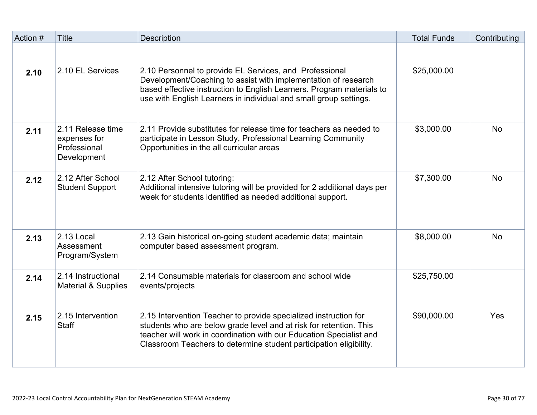| Action # | <b>Title</b>                                                     | Description                                                                                                                                                                                                                                                                         | <b>Total Funds</b> | Contributing |
|----------|------------------------------------------------------------------|-------------------------------------------------------------------------------------------------------------------------------------------------------------------------------------------------------------------------------------------------------------------------------------|--------------------|--------------|
|          |                                                                  |                                                                                                                                                                                                                                                                                     |                    |              |
| 2.10     | 2.10 EL Services                                                 | 2.10 Personnel to provide EL Services, and Professional<br>Development/Coaching to assist with implementation of research<br>based effective instruction to English Learners. Program materials to<br>use with English Learners in individual and small group settings.             | \$25,000.00        |              |
| 2.11     | 2.11 Release time<br>expenses for<br>Professional<br>Development | 2.11 Provide substitutes for release time for teachers as needed to<br>participate in Lesson Study, Professional Learning Community<br>Opportunities in the all curricular areas                                                                                                    | \$3,000.00         | <b>No</b>    |
| 2.12     | 2.12 After School<br><b>Student Support</b>                      | 2.12 After School tutoring:<br>Additional intensive tutoring will be provided for 2 additional days per<br>week for students identified as needed additional support.                                                                                                               | \$7,300.00         | <b>No</b>    |
| 2.13     | 2.13 Local<br>Assessment<br>Program/System                       | 2.13 Gain historical on-going student academic data; maintain<br>computer based assessment program.                                                                                                                                                                                 | \$8,000.00         | <b>No</b>    |
| 2.14     | 2.14 Instructional<br><b>Material &amp; Supplies</b>             | 2.14 Consumable materials for classroom and school wide<br>events/projects                                                                                                                                                                                                          | \$25,750.00        |              |
| 2.15     | 2.15 Intervention<br><b>Staff</b>                                | 2.15 Intervention Teacher to provide specialized instruction for<br>students who are below grade level and at risk for retention. This<br>teacher will work in coordination with our Education Specialist and<br>Classroom Teachers to determine student participation eligibility. | \$90,000.00        | Yes          |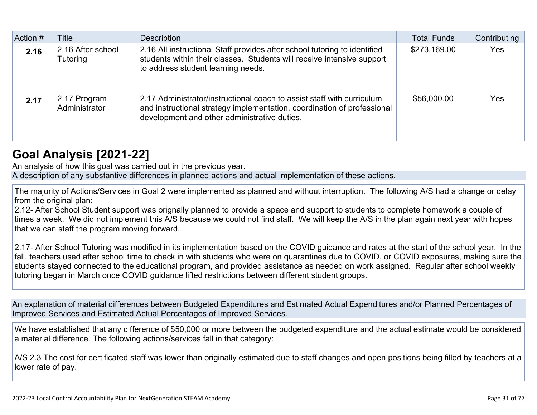| Action # | <b>Title</b>                  | <b>Description</b>                                                                                                                                                                                | <b>Total Funds</b> | Contributing |
|----------|-------------------------------|---------------------------------------------------------------------------------------------------------------------------------------------------------------------------------------------------|--------------------|--------------|
| 2.16     | 2.16 After school<br>Tutoring | 2.16 All instructional Staff provides after school tutoring to identified<br>students within their classes. Students will receive intensive support<br>to address student learning needs.         | \$273,169.00       | Yes          |
| 2.17     | 2.17 Program<br>Administrator | 2.17 Administrator/instructional coach to assist staff with curriculum<br>and instructional strategy implementation, coordination of professional<br>development and other administrative duties. | \$56,000.00        | Yes          |

### **[Goal Analysis \[2021-22\]](http://www.doc-tracking.com/screenshots/22LCAP/Instructions/22LCAPInstructions.htm#GoalAnalysis)**

An analysis of how this goal was carried out in the previous year.

A description of any substantive differences in planned actions and actual implementation of these actions.

The majority of Actions/Services in Goal 2 were implemented as planned and without interruption. The following A/S had a change or delay from the original plan:

2.12- After School Student support was orignally planned to provide a space and support to students to complete homework a couple of times a week. We did not implement this A/S because we could not find staff. We will keep the A/S in the plan again next year with hopes that we can staff the program moving forward.

2.17- After School Tutoring was modified in its implementation based on the COVID guidance and rates at the start of the school year. In the fall, teachers used after school time to check in with students who were on quarantines due to COVID, or COVID exposures, making sure the students stayed connected to the educational program, and provided assistance as needed on work assigned. Regular after school weekly tutoring began in March once COVID guidance lifted restrictions between different student groups.

An explanation of material differences between Budgeted Expenditures and Estimated Actual Expenditures and/or Planned Percentages of Improved Services and Estimated Actual Percentages of Improved Services.

We have established that any difference of \$50,000 or more between the budgeted expenditure and the actual estimate would be considered a material difference. The following actions/services fall in that category:

A/S 2.3 The cost for certificated staff was lower than originally estimated due to staff changes and open positions being filled by teachers at a lower rate of pay.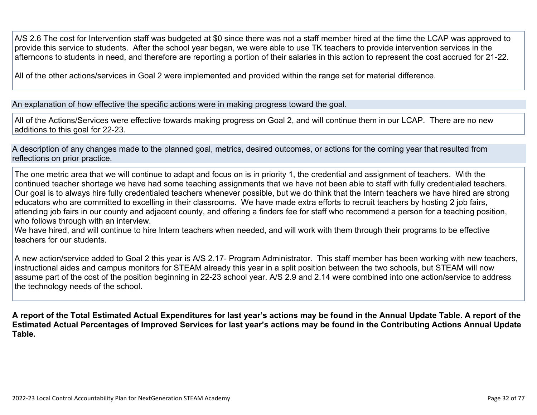A/S 2.6 The cost for Intervention staff was budgeted at \$0 since there was not a staff member hired at the time the LCAP was approved to provide this service to students. After the school year began, we were able to use TK teachers to provide intervention services in the afternoons to students in need, and therefore are reporting a portion of their salaries in this action to represent the cost accrued for 21-22.

All of the other actions/services in Goal 2 were implemented and provided within the range set for material difference.

An explanation of how effective the specific actions were in making progress toward the goal.

All of the Actions/Services were effective towards making progress on Goal 2, and will continue them in our LCAP. There are no new additions to this goal for 22-23.

A description of any changes made to the planned goal, metrics, desired outcomes, or actions for the coming year that resulted from reflections on prior practice.

The one metric area that we will continue to adapt and focus on is in priority 1, the credential and assignment of teachers. With the continued teacher shortage we have had some teaching assignments that we have not been able to staff with fully credentialed teachers. Our goal is to always hire fully credentialed teachers whenever possible, but we do think that the Intern teachers we have hired are strong educators who are committed to excelling in their classrooms. We have made extra efforts to recruit teachers by hosting 2 job fairs, attending job fairs in our county and adjacent county, and offering a finders fee for staff who recommend a person for a teaching position, who follows through with an interview.

We have hired, and will continue to hire Intern teachers when needed, and will work with them through their programs to be effective teachers for our students.

A new action/service added to Goal 2 this year is A/S 2.17- Program Administrator. This staff member has been working with new teachers, instructional aides and campus monitors for STEAM already this year in a split position between the two schools, but STEAM will now assume part of the cost of the position beginning in 22-23 school year. A/S 2.9 and 2.14 were combined into one action/service to address the technology needs of the school.

**A report of the Total Estimated Actual Expenditures for last year's actions may be found in the Annual Update Table. A report of the Estimated Actual Percentages of Improved Services for last year's actions may be found in the Contributing Actions Annual Update Table.**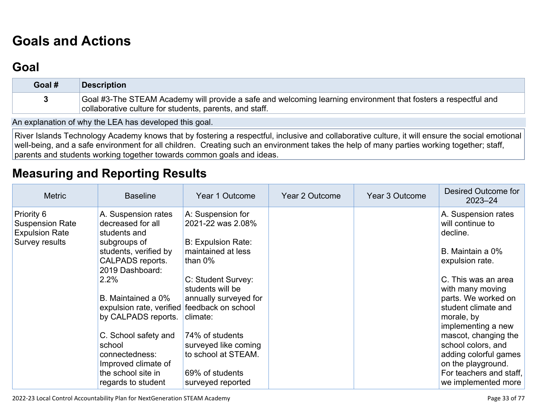# **[Goals and Actions](http://www.doc-tracking.com/screenshots/22LCAP/Instructions/22LCAPInstructions.htm#GoalsandActions)**

## **[Goal](http://www.doc-tracking.com/screenshots/22LCAP/Instructions/22LCAPInstructions.htm#goalDescription)**

| Goal # | <b>Description</b>                                                                                                                                                        |
|--------|---------------------------------------------------------------------------------------------------------------------------------------------------------------------------|
|        | Goal #3-The STEAM Academy will provide a safe and welcoming learning environment that fosters a respectful and<br>collaborative culture for students, parents, and staff. |

An explanation of why the LEA has developed this goal.

River Islands Technology Academy knows that by fostering a respectful, inclusive and collaborative culture, it will ensure the social emotional well-being, and a safe environment for all children. Creating such an environment takes the help of many parties working together; staff, parents and students working together towards common goals and ideas.

## **[Measuring and Reporting Results](http://www.doc-tracking.com/screenshots/22LCAP/Instructions/22LCAPInstructions.htm#MeasuringandReportingResults)**

| <b>Metric</b>                                                                   | <b>Baseline</b>                                                                                                                                                                                                                                                                                                                                                     | Year 1 Outcome                                                                                                                                                                                                                                                                                   | Year 2 Outcome | <b>Year 3 Outcome</b> | Desired Outcome for<br>$2023 - 24$                                                                                                                                                                                                                                                                                                                                     |
|---------------------------------------------------------------------------------|---------------------------------------------------------------------------------------------------------------------------------------------------------------------------------------------------------------------------------------------------------------------------------------------------------------------------------------------------------------------|--------------------------------------------------------------------------------------------------------------------------------------------------------------------------------------------------------------------------------------------------------------------------------------------------|----------------|-----------------------|------------------------------------------------------------------------------------------------------------------------------------------------------------------------------------------------------------------------------------------------------------------------------------------------------------------------------------------------------------------------|
| Priority 6<br><b>Suspension Rate</b><br><b>Expulsion Rate</b><br>Survey results | A. Suspension rates<br>decreased for all<br>students and<br>subgroups of<br>students, verified by<br>CALPADS reports.<br>2019 Dashboard:<br>2.2%<br>B. Maintained a 0%<br>expulsion rate, verified feedback on school<br>by CALPADS reports.<br>C. School safety and<br>school<br>connectedness:<br>Improved climate of<br>the school site in<br>regards to student | A: Suspension for<br>2021-22 was 2.08%<br><b>B: Expulsion Rate:</b><br>maintained at less<br>than $0\%$<br>C: Student Survey:<br>students will be<br>annually surveyed for<br>climate:<br>74% of students<br>surveyed like coming<br>to school at STEAM.<br>69% of students<br>surveyed reported |                |                       | A. Suspension rates<br>will continue to<br>decline.<br>B. Maintain a 0%<br>expulsion rate.<br>C. This was an area<br>with many moving<br>parts. We worked on<br>student climate and<br>morale, by<br>implementing a new<br>mascot, changing the<br>school colors, and<br>adding colorful games<br>on the playground.<br>For teachers and staff,<br>we implemented more |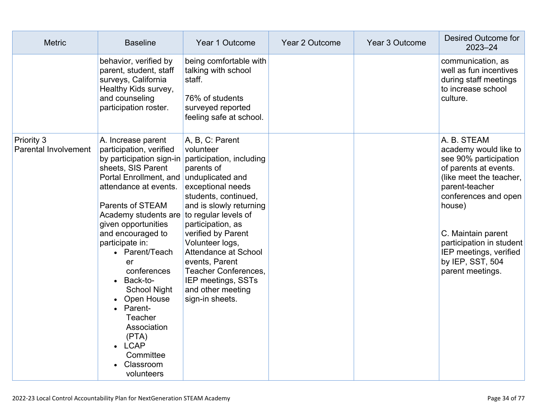| <b>Metric</b>                                    | <b>Baseline</b>                                                                                                                                                                                                                                                                                                                                                                                                                                                                                                      | Year 1 Outcome                                                                                                                                                                                                                                                                                                                                      | Year 2 Outcome | Year 3 Outcome | Desired Outcome for<br>$2023 - 24$                                                                                                                                                                                                                                                        |
|--------------------------------------------------|----------------------------------------------------------------------------------------------------------------------------------------------------------------------------------------------------------------------------------------------------------------------------------------------------------------------------------------------------------------------------------------------------------------------------------------------------------------------------------------------------------------------|-----------------------------------------------------------------------------------------------------------------------------------------------------------------------------------------------------------------------------------------------------------------------------------------------------------------------------------------------------|----------------|----------------|-------------------------------------------------------------------------------------------------------------------------------------------------------------------------------------------------------------------------------------------------------------------------------------------|
|                                                  | behavior, verified by<br>parent, student, staff<br>surveys, California<br>Healthy Kids survey,<br>and counseling<br>participation roster.                                                                                                                                                                                                                                                                                                                                                                            | being comfortable with<br>talking with school<br>staff.<br>76% of students<br>surveyed reported<br>feeling safe at school.                                                                                                                                                                                                                          |                |                | communication, as<br>well as fun incentives<br>during staff meetings<br>to increase school<br>culture.                                                                                                                                                                                    |
| <b>Priority 3</b><br><b>Parental Involvement</b> | A. Increase parent<br>participation, verified<br>by participation sign-in<br>sheets, SIS Parent<br>Portal Enrollment, and unduplicated and<br>attendance at events.<br><b>Parents of STEAM</b><br>Academy students are to regular levels of<br>given opportunities<br>and encouraged to<br>participate in:<br>• Parent/Teach<br>er<br>conferences<br>Back-to-<br>$\bullet$<br><b>School Night</b><br>Open House<br>Parent-<br>Teacher<br>Association<br>(PTA)<br><b>LCAP</b><br>Committee<br>Classroom<br>volunteers | A, B, C: Parent<br>volunteer<br>participation, including<br>parents of<br>exceptional needs<br>students, continued,<br>and is slowly returning<br>participation, as<br>verified by Parent<br>Volunteer logs,<br>Attendance at School<br>events, Parent<br><b>Teacher Conferences,</b><br>IEP meetings, SSTs<br>and other meeting<br>sign-in sheets. |                |                | A. B. STEAM<br>academy would like to<br>see 90% participation<br>of parents at events.<br>(like meet the teacher,<br>parent-teacher<br>conferences and open<br>house)<br>C. Maintain parent<br>participation in student<br>IEP meetings, verified<br>by IEP, SST, 504<br>parent meetings. |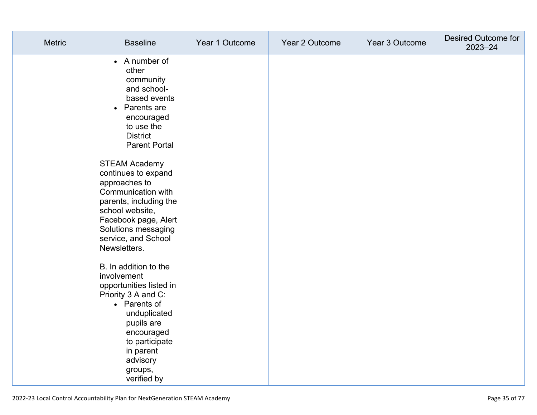| <b>Metric</b> | <b>Baseline</b>                                                                                                                                                                                                         | Year 1 Outcome | Year 2 Outcome | Year 3 Outcome | Desired Outcome for<br>$2023 - 24$ |
|---------------|-------------------------------------------------------------------------------------------------------------------------------------------------------------------------------------------------------------------------|----------------|----------------|----------------|------------------------------------|
|               | • A number of<br>other<br>community<br>and school-<br>based events<br>• Parents are<br>encouraged<br>to use the<br><b>District</b><br><b>Parent Portal</b>                                                              |                |                |                |                                    |
|               | <b>STEAM Academy</b><br>continues to expand<br>approaches to<br>Communication with<br>parents, including the<br>school website,<br>Facebook page, Alert<br>Solutions messaging<br>service, and School<br>Newsletters.   |                |                |                |                                    |
|               | B. In addition to the<br>involvement<br>opportunities listed in<br>Priority 3 A and C:<br>• Parents of<br>unduplicated<br>pupils are<br>encouraged<br>to participate<br>in parent<br>advisory<br>groups,<br>verified by |                |                |                |                                    |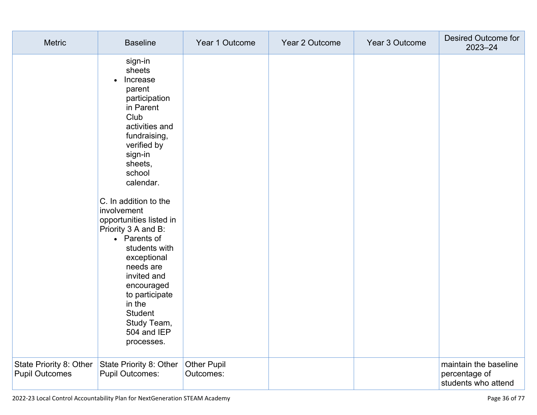| <b>Metric</b>                                    | <b>Baseline</b>                                                                                                                                                                                                                                                                                                                                                                                                                                                 | Year 1 Outcome                  | Year 2 Outcome | Year 3 Outcome | Desired Outcome for<br>2023-24                                |
|--------------------------------------------------|-----------------------------------------------------------------------------------------------------------------------------------------------------------------------------------------------------------------------------------------------------------------------------------------------------------------------------------------------------------------------------------------------------------------------------------------------------------------|---------------------------------|----------------|----------------|---------------------------------------------------------------|
|                                                  | sign-in<br>sheets<br>Increase<br>$\bullet$<br>parent<br>participation<br>in Parent<br>Club<br>activities and<br>fundraising,<br>verified by<br>sign-in<br>sheets,<br>school<br>calendar.<br>C. In addition to the<br>involvement<br>opportunities listed in<br>Priority 3 A and B:<br>• Parents of<br>students with<br>exceptional<br>needs are<br>invited and<br>encouraged<br>to participate<br>in the<br>Student<br>Study Team,<br>504 and IEP<br>processes. |                                 |                |                |                                                               |
| State Priority 8: Other<br><b>Pupil Outcomes</b> | State Priority 8: Other<br><b>Pupil Outcomes:</b>                                                                                                                                                                                                                                                                                                                                                                                                               | <b>Other Pupil</b><br>Outcomes: |                |                | maintain the baseline<br>percentage of<br>students who attend |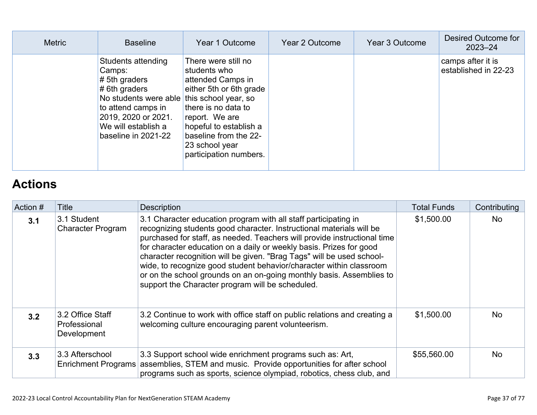| <b>Metric</b> | <b>Baseline</b>                                                                                                                                                                                              | Year 1 Outcome                                                                                                                                                                                                              | Year 2 Outcome | Year 3 Outcome | Desired Outcome for<br>$2023 - 24$        |
|---------------|--------------------------------------------------------------------------------------------------------------------------------------------------------------------------------------------------------------|-----------------------------------------------------------------------------------------------------------------------------------------------------------------------------------------------------------------------------|----------------|----------------|-------------------------------------------|
|               | Students attending<br>Camps:<br>$# 5$ th graders<br>$# 6th$ graders<br>No students were able this school year, so<br>to attend camps in<br>2019, 2020 or 2021.<br>We will establish a<br>baseline in 2021-22 | There were still no<br>students who<br>attended Camps in<br>either 5th or 6th grade<br>there is no data to<br>report. We are<br>hopeful to establish a<br>baseline from the 22-<br>23 school year<br>participation numbers. |                |                | camps after it is<br>established in 22-23 |

## **[Actions](http://www.doc-tracking.com/screenshots/22LCAP/Instructions/22LCAPInstructions.htm#actions)**

| Action # | Title                                           | <b>Description</b>                                                                                                                                                                                                                                                                                                                                                                                                                                                                                                                                                                                                                                                                                                                                                                                                                           | <b>Total Funds</b> | Contributing |
|----------|-------------------------------------------------|----------------------------------------------------------------------------------------------------------------------------------------------------------------------------------------------------------------------------------------------------------------------------------------------------------------------------------------------------------------------------------------------------------------------------------------------------------------------------------------------------------------------------------------------------------------------------------------------------------------------------------------------------------------------------------------------------------------------------------------------------------------------------------------------------------------------------------------------|--------------------|--------------|
| 3.1      | 3.1 Student<br><b>Character Program</b>         | 3.1 Character education program with all staff participating in<br>recognizing students good character. Instructional materials will be<br>purchased for staff, as needed. Teachers will provide instructional time<br>for character education on a daily or weekly basis. Prizes for good<br>character recognition will be given. "Brag Tags" will be used school-<br>wide, to recognize good student behavior/character within classroom<br>or on the school grounds on an on-going monthly basis. Assemblies to<br>support the Character program will be scheduled.<br>3.2 Continue to work with office staff on public relations and creating a<br>welcoming culture encouraging parent volunteerism.<br>3.3 Support school wide enrichment programs such as: Art,<br>assemblies, STEM and music. Provide opportunities for after school |                    | <b>No</b>    |
| 3.2      | 3.2 Office Staff<br>Professional<br>Development |                                                                                                                                                                                                                                                                                                                                                                                                                                                                                                                                                                                                                                                                                                                                                                                                                                              | \$1,500.00         | <b>No</b>    |
| 3.3      | 3.3 Afterschool<br><b>Enrichment Programs</b>   | programs such as sports, science olympiad, robotics, chess club, and                                                                                                                                                                                                                                                                                                                                                                                                                                                                                                                                                                                                                                                                                                                                                                         | \$55,560.00        | <b>No</b>    |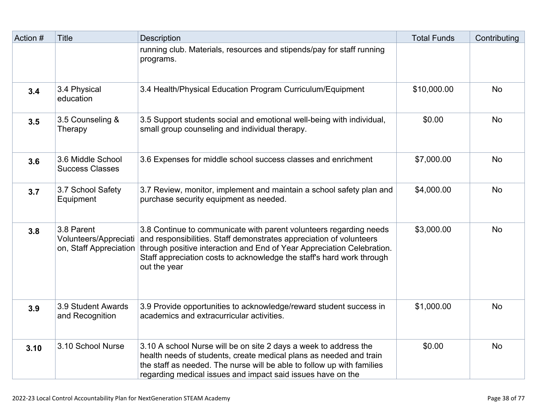| Action # | <b>Title</b>                                                  | Description                                                                                                                                                                                                                                                                                                  | <b>Total Funds</b> | Contributing |
|----------|---------------------------------------------------------------|--------------------------------------------------------------------------------------------------------------------------------------------------------------------------------------------------------------------------------------------------------------------------------------------------------------|--------------------|--------------|
|          |                                                               | running club. Materials, resources and stipends/pay for staff running<br>programs.                                                                                                                                                                                                                           |                    |              |
| 3.4      | 3.4 Physical<br>education                                     | 3.4 Health/Physical Education Program Curriculum/Equipment                                                                                                                                                                                                                                                   | \$10,000.00        | <b>No</b>    |
| 3.5      | 3.5 Counseling &<br>Therapy                                   | 3.5 Support students social and emotional well-being with individual,<br>small group counseling and individual therapy.                                                                                                                                                                                      | \$0.00             | <b>No</b>    |
| 3.6      | 3.6 Middle School<br><b>Success Classes</b>                   | 3.6 Expenses for middle school success classes and enrichment                                                                                                                                                                                                                                                | \$7,000.00         | <b>No</b>    |
| 3.7      | 3.7 School Safety<br>Equipment                                | 3.7 Review, monitor, implement and maintain a school safety plan and<br>purchase security equipment as needed.                                                                                                                                                                                               | \$4,000.00         | <b>No</b>    |
| 3.8      | 3.8 Parent<br>Volunteers/Appreciati<br>on, Staff Appreciation | 3.8 Continue to communicate with parent volunteers regarding needs<br>and responsibilities. Staff demonstrates appreciation of volunteers<br>through positive interaction and End of Year Appreciation Celebration.<br>Staff appreciation costs to acknowledge the staff's hard work through<br>out the year | \$3,000.00         | <b>No</b>    |
| 3.9      | 3.9 Student Awards<br>and Recognition                         | 3.9 Provide opportunities to acknowledge/reward student success in<br>academics and extracurricular activities.                                                                                                                                                                                              | \$1,000.00         | <b>No</b>    |
| 3.10     | 3.10 School Nurse                                             | 3.10 A school Nurse will be on site 2 days a week to address the<br>health needs of students, create medical plans as needed and train<br>the staff as needed. The nurse will be able to follow up with families<br>regarding medical issues and impact said issues have on the                              | \$0.00             | <b>No</b>    |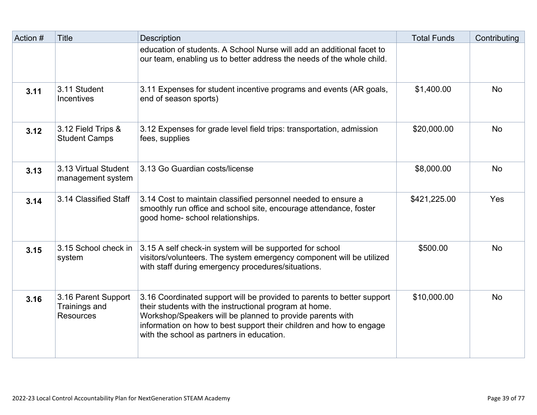| Action # | <b>Title</b>                                             | <b>Description</b>                                                                                                                                                                                                                                                                                                | <b>Total Funds</b> | Contributing |
|----------|----------------------------------------------------------|-------------------------------------------------------------------------------------------------------------------------------------------------------------------------------------------------------------------------------------------------------------------------------------------------------------------|--------------------|--------------|
|          |                                                          | education of students. A School Nurse will add an additional facet to<br>our team, enabling us to better address the needs of the whole child.                                                                                                                                                                    |                    |              |
| 3.11     | 3.11 Student<br><b>Incentives</b>                        | 3.11 Expenses for student incentive programs and events (AR goals,<br>end of season sports)                                                                                                                                                                                                                       | \$1,400.00         | <b>No</b>    |
| 3.12     | 3.12 Field Trips &<br><b>Student Camps</b>               | 3.12 Expenses for grade level field trips: transportation, admission<br>fees, supplies                                                                                                                                                                                                                            | \$20,000.00        | <b>No</b>    |
| 3.13     | 3.13 Virtual Student<br>management system                | 3.13 Go Guardian costs/license                                                                                                                                                                                                                                                                                    | \$8,000.00         | <b>No</b>    |
| 3.14     | 3.14 Classified Staff                                    | 3.14 Cost to maintain classified personnel needed to ensure a<br>smoothly run office and school site, encourage attendance, foster<br>good home-school relationships.                                                                                                                                             | \$421,225.00       | Yes          |
| 3.15     | 3.15 School check in<br>system                           | 3.15 A self check-in system will be supported for school<br>visitors/volunteers. The system emergency component will be utilized<br>with staff during emergency procedures/situations.                                                                                                                            | \$500.00           | <b>No</b>    |
| 3.16     | 3.16 Parent Support<br>Trainings and<br><b>Resources</b> | 3.16 Coordinated support will be provided to parents to better support<br>their students with the instructional program at home.<br>Workshop/Speakers will be planned to provide parents with<br>information on how to best support their children and how to engage<br>with the school as partners in education. | \$10,000.00        | <b>No</b>    |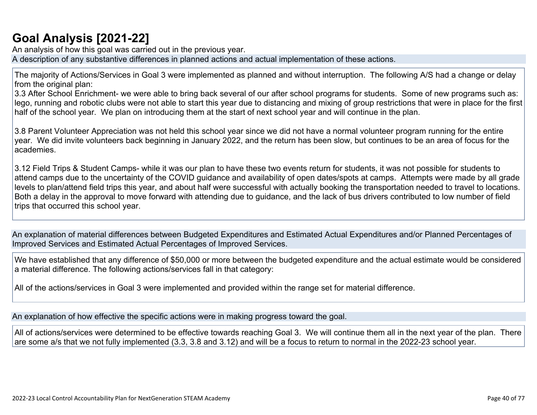## **[Goal Analysis \[2021-22\]](http://www.doc-tracking.com/screenshots/22LCAP/Instructions/22LCAPInstructions.htm#GoalAnalysis)**

An analysis of how this goal was carried out in the previous year.

A description of any substantive differences in planned actions and actual implementation of these actions.

The majority of Actions/Services in Goal 3 were implemented as planned and without interruption. The following A/S had a change or delay from the original plan:

3.3 After School Enrichment- we were able to bring back several of our after school programs for students. Some of new programs such as: lego, running and robotic clubs were not able to start this year due to distancing and mixing of group restrictions that were in place for the first half of the school year. We plan on introducing them at the start of next school year and will continue in the plan.

3.8 Parent Volunteer Appreciation was not held this school year since we did not have a normal volunteer program running for the entire year. We did invite volunteers back beginning in January 2022, and the return has been slow, but continues to be an area of focus for the academies.

3.12 Field Trips & Student Camps- while it was our plan to have these two events return for students, it was not possible for students to attend camps due to the uncertainty of the COVID guidance and availability of open dates/spots at camps. Attempts were made by all grade levels to plan/attend field trips this year, and about half were successful with actually booking the transportation needed to travel to locations. Both a delay in the approval to move forward with attending due to guidance, and the lack of bus drivers contributed to low number of field trips that occurred this school year.

An explanation of material differences between Budgeted Expenditures and Estimated Actual Expenditures and/or Planned Percentages of Improved Services and Estimated Actual Percentages of Improved Services.

We have established that any difference of \$50,000 or more between the budgeted expenditure and the actual estimate would be considered a material difference. The following actions/services fall in that category:

All of the actions/services in Goal 3 were implemented and provided within the range set for material difference.

An explanation of how effective the specific actions were in making progress toward the goal.

All of actions/services were determined to be effective towards reaching Goal 3. We will continue them all in the next year of the plan. There are some a/s that we not fully implemented (3.3, 3.8 and 3.12) and will be a focus to return to normal in the 2022-23 school year.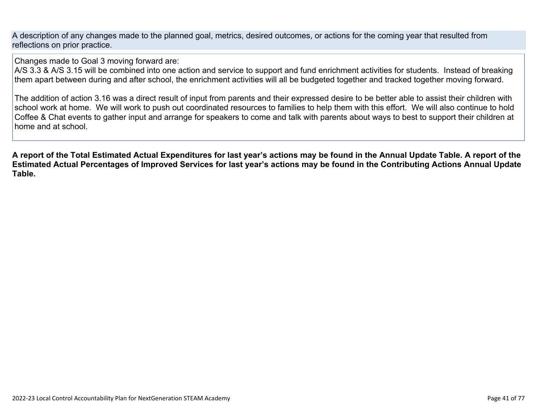A description of any changes made to the planned goal, metrics, desired outcomes, or actions for the coming year that resulted from reflections on prior practice.

Changes made to Goal 3 moving forward are:

A/S 3.3 & A/S 3.15 will be combined into one action and service to support and fund enrichment activities for students. Instead of breaking them apart between during and after school, the enrichment activities will all be budgeted together and tracked together moving forward.

The addition of action 3.16 was a direct result of input from parents and their expressed desire to be better able to assist their children with school work at home. We will work to push out coordinated resources to families to help them with this effort. We will also continue to hold Coffee & Chat events to gather input and arrange for speakers to come and talk with parents about ways to best to support their children at home and at school.

**A report of the Total Estimated Actual Expenditures for last year's actions may be found in the Annual Update Table. A report of the Estimated Actual Percentages of Improved Services for last year's actions may be found in the Contributing Actions Annual Update Table.**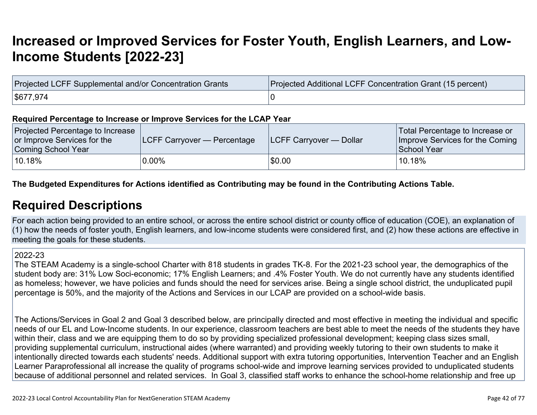## **[Increased or Improved Services for Foster Youth, English Learners, and Low-](http://www.doc-tracking.com/screenshots/22LCAP/Instructions/22LCAPInstructions.htm#IncreasedImprovedServices)[Income Students \[2022-23\]](http://www.doc-tracking.com/screenshots/22LCAP/Instructions/22LCAPInstructions.htm#IncreasedImprovedServices)**

| Projected LCFF Supplemental and/or Concentration Grants | Projected Additional LCFF Concentration Grant (15 percent) |
|---------------------------------------------------------|------------------------------------------------------------|
| \$677,974                                               |                                                            |

#### **Required Percentage to Increase or Improve Services for the LCAP Year**

| Projected Percentage to Increase<br>or Improve Services for the<br>Coming School Year | <b>LCFF Carryover — Percentage</b> | <b>ILCFF Carryover — Dollar</b> | Total Percentage to Increase or<br>Improve Services for the Coming<br>School Year |
|---------------------------------------------------------------------------------------|------------------------------------|---------------------------------|-----------------------------------------------------------------------------------|
| 10.18%                                                                                | $0.00\%$                           | \$0.00                          | $^{\backprime}$ 10.18%                                                            |

### **The Budgeted Expenditures for Actions identified as Contributing may be found in the Contributing Actions Table.**

### **[Required Descriptions](http://www.doc-tracking.com/screenshots/22LCAP/Instructions/22LCAPInstructions.htm#RequiredDescriptions)**

For each action being provided to an entire school, or across the entire school district or county office of education (COE), an explanation of (1) how the needs of foster youth, English learners, and low-income students were considered first, and (2) how these actions are effective in meeting the goals for these students.

#### 2022-23

The STEAM Academy is a single-school Charter with 818 students in grades TK-8. For the 2021-23 school year, the demographics of the student body are: 31% Low Soci-economic; 17% English Learners; and .4% Foster Youth. We do not currently have any students identified as homeless; however, we have policies and funds should the need for services arise. Being a single school district, the unduplicated pupil percentage is 50%, and the majority of the Actions and Services in our LCAP are provided on a school-wide basis.

The Actions/Services in Goal 2 and Goal 3 described below, are principally directed and most effective in meeting the individual and specific needs of our EL and Low-Income students. In our experience, classroom teachers are best able to meet the needs of the students they have within their, class and we are equipping them to do so by providing specialized professional development; keeping class sizes small, providing supplemental curriculum, instructional aides (where warranted) and providing weekly tutoring to their own students to make it intentionally directed towards each students' needs. Additional support with extra tutoring opportunities, Intervention Teacher and an English Learner Paraprofessional all increase the quality of programs school-wide and improve learning services provided to unduplicated students because of additional personnel and related services. In Goal 3, classified staff works to enhance the school-home relationship and free up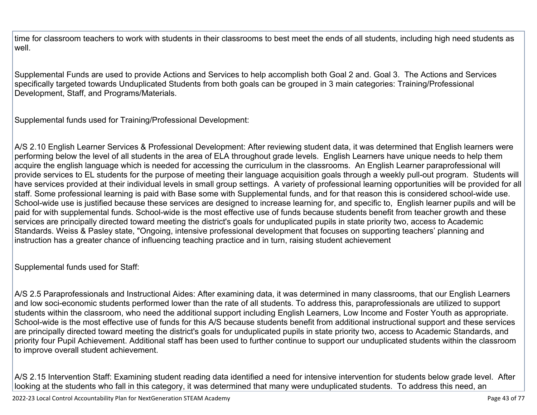time for classroom teachers to work with students in their classrooms to best meet the ends of all students, including high need students as well.

Supplemental Funds are used to provide Actions and Services to help accomplish both Goal 2 and. Goal 3. The Actions and Services specifically targeted towards Unduplicated Students from both goals can be grouped in 3 main categories: Training/Professional Development, Staff, and Programs/Materials.

Supplemental funds used for Training/Professional Development:

A/S 2.10 English Learner Services & Professional Development: After reviewing student data, it was determined that English learners were performing below the level of all students in the area of ELA throughout grade levels. English Learners have unique needs to help them acquire the english language which is needed for accessing the curriculum in the classrooms. An English Learner paraprofessional will provide services to EL students for the purpose of meeting their language acquisition goals through a weekly pull-out program. Students will have services provided at their individual levels in small group settings. A variety of professional learning opportunities will be provided for all staff. Some professional learning is paid with Base some with Supplemental funds, and for that reason this is considered school-wide use. School-wide use is justified because these services are designed to increase learning for, and specific to, English learner pupils and will be paid for with supplemental funds. School-wide is the most effective use of funds because students benefit from teacher growth and these services are principally directed toward meeting the district's goals for unduplicated pupils in state priority two, access to Academic Standards. Weiss & Pasley state, "Ongoing, intensive professional development that focuses on supporting teachers' planning and instruction has a greater chance of influencing teaching practice and in turn, raising student achievement

Supplemental funds used for Staff:

A/S 2.5 Paraprofessionals and Instructional Aides: After examining data, it was determined in many classrooms, that our English Learners and low soci-economic students performed lower than the rate of all students. To address this, paraprofessionals are utilized to support students within the classroom, who need the additional support including English Learners, Low Income and Foster Youth as appropriate. School-wide is the most effective use of funds for this A/S because students benefit from additional instructional support and these services are principally directed toward meeting the district's goals for unduplicated pupils in state priority two, access to Academic Standards, and priority four Pupil Achievement. Additional staff has been used to further continue to support our unduplicated students within the classroom to improve overall student achievement.

A/S 2.15 Intervention Staff: Examining student reading data identified a need for intensive intervention for students below grade level. After looking at the students who fall in this category, it was determined that many were unduplicated students. To address this need, an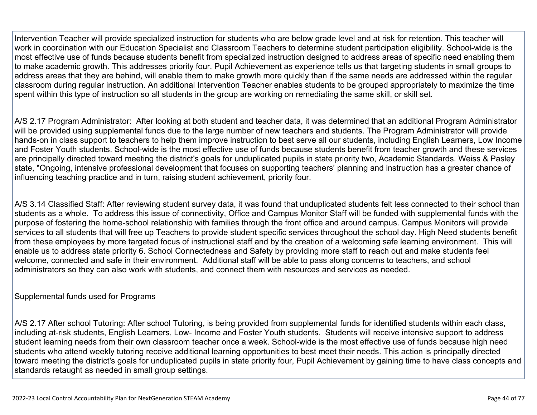Intervention Teacher will provide specialized instruction for students who are below grade level and at risk for retention. This teacher will work in coordination with our Education Specialist and Classroom Teachers to determine student participation eligibility. School-wide is the most effective use of funds because students benefit from specialized instruction designed to address areas of specific need enabling them to make academic growth. This addresses priority four, Pupil Achievement as experience tells us that targeting students in small groups to address areas that they are behind, will enable them to make growth more quickly than if the same needs are addressed within the regular classroom during regular instruction. An additional Intervention Teacher enables students to be grouped appropriately to maximize the time spent within this type of instruction so all students in the group are working on remediating the same skill, or skill set.

A/S 2.17 Program Administrator: After looking at both student and teacher data, it was determined that an additional Program Administrator will be provided using supplemental funds due to the large number of new teachers and students. The Program Administrator will provide hands-on in class support to teachers to help them improve instruction to best serve all our students, including English Learners, Low Income and Foster Youth students. School-wide is the most effective use of funds because students benefit from teacher growth and these services are principally directed toward meeting the district's goals for unduplicated pupils in state priority two, Academic Standards. Weiss & Pasley state, "Ongoing, intensive professional development that focuses on supporting teachers' planning and instruction has a greater chance of influencing teaching practice and in turn, raising student achievement, priority four.

A/S 3.14 Classified Staff: After reviewing student survey data, it was found that unduplicated students felt less connected to their school than students as a whole. To address this issue of connectivity, Office and Campus Monitor Staff will be funded with supplemental funds with the purpose of fostering the home-school relationship with families through the front office and around campus. Campus Monitors will provide services to all students that will free up Teachers to provide student specific services throughout the school day. High Need students benefit from these employees by more targeted focus of instructional staff and by the creation of a welcoming safe learning environment. This will enable us to address state priority 6. School Connectedness and Safety by providing more staff to reach out and make students feel welcome, connected and safe in their environment. Additional staff will be able to pass along concerns to teachers, and school administrators so they can also work with students, and connect them with resources and services as needed.

Supplemental funds used for Programs

A/S 2.17 After school Tutoring: After school Tutoring, is being provided from supplemental funds for identified students within each class, including at-risk students, English Learners, Low- Income and Foster Youth students. Students will receive intensive support to address student learning needs from their own classroom teacher once a week. School-wide is the most effective use of funds because high need students who attend weekly tutoring receive additional learning opportunities to best meet their needs. This action is principally directed toward meeting the district's goals for unduplicated pupils in state priority four, Pupil Achievement by gaining time to have class concepts and standards retaught as needed in small group settings.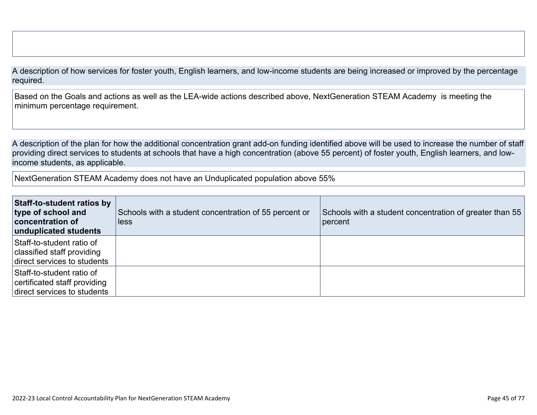A description of how services for foster youth, English learners, and low-income students are being increased or improved by the percentage required.

Based on the Goals and actions as well as the LEA-wide actions described above, NextGeneration STEAM Academy is meeting the minimum percentage requirement.

A description of the plan for how the additional concentration grant add-on funding identified above will be used to increase the number of staff providing direct services to students at schools that have a high concentration (above 55 percent) of foster youth, English learners, and lowincome students, as applicable.

NextGeneration STEAM Academy does not have an Unduplicated population above 55%

| <b>Staff-to-student ratios by</b><br>type of school and<br><b>concentration of</b><br>unduplicated students | Schools with a student concentration of 55 percent or<br>less | Schools with a student concentration of greater than 55<br>percent |
|-------------------------------------------------------------------------------------------------------------|---------------------------------------------------------------|--------------------------------------------------------------------|
| Staff-to-student ratio of<br>classified staff providing<br>direct services to students                      |                                                               |                                                                    |
| Staff-to-student ratio of<br>certificated staff providing<br>direct services to students                    |                                                               |                                                                    |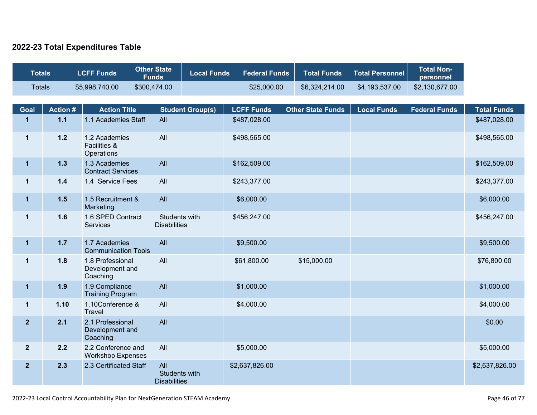### **2022-23 Total Expenditures Table**

| <b>Totals</b>  |                 | <b>LCFF Funds</b>                     |                                                | <b>Other State</b><br><b>Funds</b> |                                      | <b>Local Funds</b>      |                   | <b>Federal Funds</b> | <b>Total Funds</b>       | <b>Total Personnel</b> | <b>Total Non-</b><br>personnel |                    |
|----------------|-----------------|---------------------------------------|------------------------------------------------|------------------------------------|--------------------------------------|-------------------------|-------------------|----------------------|--------------------------|------------------------|--------------------------------|--------------------|
| <b>Totals</b>  |                 | \$5,998,740.00                        |                                                | \$300,474.00                       |                                      |                         |                   | \$25,000.00          | \$6,324,214.00           | \$4,193,537.00         | \$2,130,677.00                 |                    |
| Goal           | <b>Action #</b> |                                       | <b>Action Title</b>                            |                                    |                                      | <b>Student Group(s)</b> | <b>LCFF Funds</b> |                      | <b>Other State Funds</b> | <b>Local Funds</b>     | <b>Federal Funds</b>           | <b>Total Funds</b> |
| $\mathbf{1}$   | $1.1$           |                                       | 1.1 Academies Staff                            | All                                |                                      |                         | \$487,028.00      |                      |                          |                        |                                | \$487,028.00       |
| $\mathbf{1}$   | $1.2$           | <b>Facilities &amp;</b><br>Operations | 1.2 Academies                                  | All                                |                                      |                         | \$498,565.00      |                      |                          |                        |                                | \$498,565.00       |
| $\mathbf 1$    | 1.3             |                                       | 1.3 Academies<br><b>Contract Services</b>      | All                                |                                      |                         | \$162,509.00      |                      |                          |                        |                                | \$162,509.00       |
| $\mathbf{1}$   | $1.4$           |                                       | 1.4 Service Fees                               | All                                |                                      |                         | \$243,377.00      |                      |                          |                        |                                | \$243,377.00       |
| $\mathbf 1$    | $1.5$           | Marketing                             | 1.5 Recruitment &                              | All                                |                                      |                         | \$6,000.00        |                      |                          |                        |                                | \$6,000.00         |
| $\mathbf 1$    | 1.6             | <b>Services</b>                       | 1.6 SPED Contract                              |                                    | Students with<br><b>Disabilities</b> |                         | \$456,247.00      |                      |                          |                        |                                | \$456,247.00       |
| $\mathbf{1}$   | $1.7$           |                                       | 1.7 Academies<br><b>Communication Tools</b>    | All                                |                                      |                         | \$9,500.00        |                      |                          |                        |                                | \$9,500.00         |
| $\mathbf{1}$   | 1.8             | Coaching                              | 1.8 Professional<br>Development and            | All                                |                                      |                         | \$61,800.00       |                      | \$15,000.00              |                        |                                | \$76,800.00        |
| $\mathbf 1$    | 1.9             |                                       | 1.9 Compliance<br><b>Training Program</b>      | All                                |                                      |                         | \$1,000.00        |                      |                          |                        |                                | \$1,000.00         |
| $\mathbf 1$    | 1.10            | <b>Travel</b>                         | 1.10Conference &                               | All                                |                                      |                         | \$4,000.00        |                      |                          |                        |                                | \$4,000.00         |
| $\overline{2}$ | 2.1             | Coaching                              | 2.1 Professional<br>Development and            | All                                |                                      |                         |                   |                      |                          |                        |                                | \$0.00             |
| $\overline{2}$ | 2.2             |                                       | 2.2 Conference and<br><b>Workshop Expenses</b> | All                                |                                      |                         | \$5,000.00        |                      |                          |                        |                                | \$5,000.00         |
| $\overline{2}$ | 2.3             |                                       | 2.3 Certificated Staff                         | All                                | Students with<br><b>Disabilities</b> |                         | \$2,637,826.00    |                      |                          |                        |                                | \$2,637,826.00     |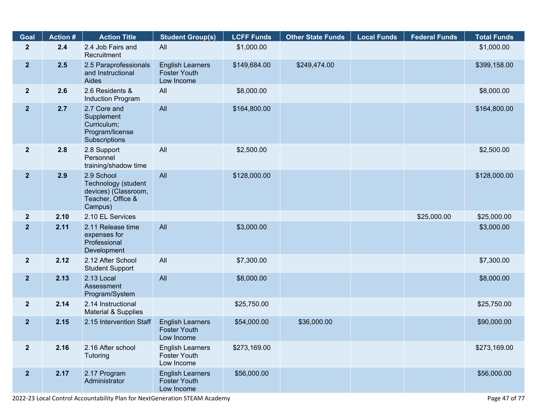| Goal           | <b>Action #</b> | <b>Action Title</b>                                                                       | <b>Student Group(s)</b>                                      | <b>LCFF Funds</b> | <b>Other State Funds</b> | <b>Local Funds</b> | <b>Federal Funds</b> | <b>Total Funds</b> |
|----------------|-----------------|-------------------------------------------------------------------------------------------|--------------------------------------------------------------|-------------------|--------------------------|--------------------|----------------------|--------------------|
| $\mathbf{2}$   | 2.4             | 2.4 Job Fairs and<br>Recruitment                                                          | All                                                          | \$1,000.00        |                          |                    |                      | \$1,000.00         |
| 2 <sub>2</sub> | 2.5             | 2.5 Paraprofessionals<br>and Instructional<br>Aides                                       | <b>English Learners</b><br><b>Foster Youth</b><br>Low Income | \$149,684.00      | \$249,474.00             |                    |                      | \$399,158.00       |
| 2 <sup>2</sup> | 2.6             | 2.6 Residents &<br>Induction Program                                                      | All                                                          | \$8,000.00        |                          |                    |                      | \$8,000.00         |
| 2 <sub>2</sub> | 2.7             | 2.7 Core and<br>Supplement<br>Curriculum;<br>Program/license<br>Subscriptions             | All                                                          | \$164,800.00      |                          |                    |                      | \$164,800.00       |
| $\mathbf{2}$   | 2.8             | 2.8 Support<br>Personnel<br>training/shadow time                                          | All                                                          | \$2,500.00        |                          |                    |                      | \$2,500.00         |
| 2 <sup>2</sup> | 2.9             | 2.9 School<br>Technology (student<br>devices) (Classroom,<br>Teacher, Office &<br>Campus) | All                                                          | \$128,000.00      |                          |                    |                      | \$128,000.00       |
| 2 <sup>2</sup> | 2.10            | 2.10 EL Services                                                                          |                                                              |                   |                          |                    | \$25,000.00          | \$25,000.00        |
| 2 <sup>2</sup> | 2.11            | 2.11 Release time<br>expenses for<br>Professional<br>Development                          | All                                                          | \$3,000.00        |                          |                    |                      | \$3,000.00         |
| 2 <sup>2</sup> | 2.12            | 2.12 After School<br><b>Student Support</b>                                               | All                                                          | \$7,300.00        |                          |                    |                      | \$7,300.00         |
| 2 <sup>2</sup> | 2.13            | 2.13 Local<br>Assessment<br>Program/System                                                | All                                                          | \$8,000.00        |                          |                    |                      | \$8,000.00         |
| $\mathbf{2}$   | 2.14            | 2.14 Instructional<br>Material & Supplies                                                 |                                                              | \$25,750.00       |                          |                    |                      | \$25,750.00        |
| 2 <sup>2</sup> | 2.15            | 2.15 Intervention Staff                                                                   | <b>English Learners</b><br><b>Foster Youth</b><br>Low Income | \$54,000.00       | \$36,000.00              |                    |                      | \$90,000.00        |
| $\mathbf{2}$   | 2.16            | 2.16 After school<br>Tutoring                                                             | <b>English Learners</b><br><b>Foster Youth</b><br>Low Income | \$273,169.00      |                          |                    |                      | \$273,169.00       |
| 2 <sub>2</sub> | 2.17            | 2.17 Program<br>Administrator                                                             | <b>English Learners</b><br><b>Foster Youth</b><br>Low Income | \$56,000.00       |                          |                    |                      | \$56,000.00        |

2022-23 Local Control Accountability Plan for NextGeneration STEAM Academy **Page 47** of 77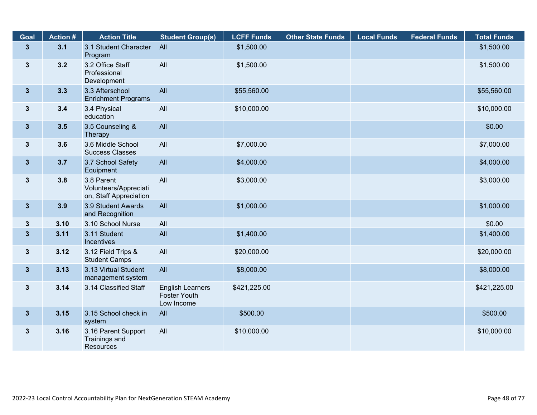| <b>Goal</b>     | <b>Action #</b> | <b>Action Title</b>                                           | <b>Student Group(s)</b>                                      | <b>LCFF Funds</b> | <b>Other State Funds</b> | <b>Local Funds</b> | <b>Federal Funds</b> | <b>Total Funds</b> |
|-----------------|-----------------|---------------------------------------------------------------|--------------------------------------------------------------|-------------------|--------------------------|--------------------|----------------------|--------------------|
| $3\overline{3}$ | 3.1             | 3.1 Student Character<br>Program                              | All                                                          | \$1,500.00        |                          |                    |                      | \$1,500.00         |
| $\mathbf{3}$    | 3.2             | 3.2 Office Staff<br>Professional<br>Development               | All                                                          | \$1,500.00        |                          |                    |                      | \$1,500.00         |
| 3 <sup>1</sup>  | 3.3             | 3.3 Afterschool<br><b>Enrichment Programs</b>                 | All                                                          | \$55,560.00       |                          |                    |                      | \$55,560.00        |
| $3\phantom{a}$  | 3.4             | 3.4 Physical<br>education                                     | All                                                          | \$10,000.00       |                          |                    |                      | \$10,000.00        |
| 3 <sup>5</sup>  | 3.5             | 3.5 Counseling &<br>Therapy                                   | All                                                          |                   |                          |                    |                      | \$0.00             |
| $3\phantom{a}$  | 3.6             | 3.6 Middle School<br><b>Success Classes</b>                   | All                                                          | \$7,000.00        |                          |                    |                      | \$7,000.00         |
| $3\phantom{a}$  | 3.7             | 3.7 School Safety<br>Equipment                                | All                                                          | \$4,000.00        |                          |                    |                      | \$4,000.00         |
| $\mathbf{3}$    | 3.8             | 3.8 Parent<br>Volunteers/Appreciati<br>on, Staff Appreciation | All                                                          | \$3,000.00        |                          |                    |                      | \$3,000.00         |
| 3 <sup>1</sup>  | 3.9             | 3.9 Student Awards<br>and Recognition                         | All                                                          | \$1,000.00        |                          |                    |                      | \$1,000.00         |
| $\mathbf{3}$    | 3.10            | 3.10 School Nurse                                             | All                                                          |                   |                          |                    |                      | \$0.00             |
| $\mathbf{3}$    | 3.11            | 3.11 Student<br>Incentives                                    | All                                                          | \$1,400.00        |                          |                    |                      | \$1,400.00         |
| $3\phantom{a}$  | 3.12            | 3.12 Field Trips &<br><b>Student Camps</b>                    | All                                                          | \$20,000.00       |                          |                    |                      | \$20,000.00        |
| $3\phantom{a}$  | 3.13            | 3.13 Virtual Student<br>management system                     | All                                                          | \$8,000.00        |                          |                    |                      | \$8,000.00         |
| $\mathbf{3}$    | 3.14            | 3.14 Classified Staff                                         | <b>English Learners</b><br><b>Foster Youth</b><br>Low Income | \$421,225.00      |                          |                    |                      | \$421,225.00       |
| $3\phantom{a}$  | 3.15            | 3.15 School check in<br>system                                | All                                                          | \$500.00          |                          |                    |                      | \$500.00           |
| $3\phantom{a}$  | 3.16            | 3.16 Parent Support<br>Trainings and<br>Resources             | All                                                          | \$10,000.00       |                          |                    |                      | \$10,000.00        |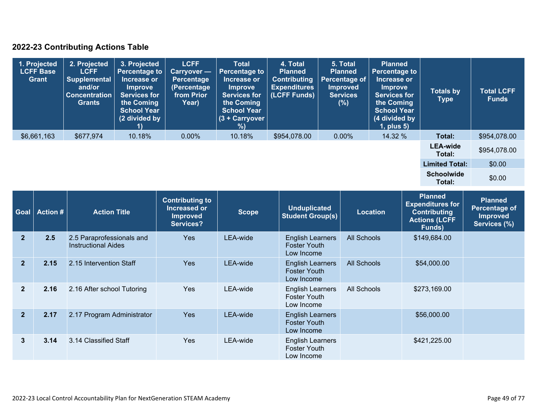### **2022-23 Contributing Actions Table**

| 1. Projected<br><b>LCFF Base</b><br>Grant | 2. Projected<br><b>LCFF</b><br><b>Supplemental</b><br>and/or<br><b>Concentration</b><br>Grants | 3. Projected<br><b>Percentage to</b><br>Increase or<br><b>Improve</b><br><b>Services for</b><br>the Coming<br><b>School Year</b><br>(2 divided by | <b>LCFF</b><br><b>Carryover</b> —<br><b>Percentage</b><br>(Percentage<br>from Prior<br>Year) | <b>Total</b><br><b>Percentage to</b><br>Increase or<br><b>Improve</b><br><b>Services for</b><br>the Coming<br><b>School Year</b><br>$(3 +$ Carryover<br>%) | 4. Total<br><b>Planned</b><br><b>Contributing</b><br><b>Expenditures</b><br>(LCFF Funds) | 5. Total<br><b>Planned</b><br><b>Percentage of</b><br><b>Improved</b><br><b>Services</b><br>(%) | <b>Planned</b><br><b>Percentage to</b><br>Increase or<br><b>Improve</b><br><b>Services for</b><br>the Coming<br><b>School Year</b><br>(4 divided by<br>$1$ , plus $5$ ) | <b>Totals by</b><br>Type    | <b>Total LCFF</b><br><b>Funds</b> |
|-------------------------------------------|------------------------------------------------------------------------------------------------|---------------------------------------------------------------------------------------------------------------------------------------------------|----------------------------------------------------------------------------------------------|------------------------------------------------------------------------------------------------------------------------------------------------------------|------------------------------------------------------------------------------------------|-------------------------------------------------------------------------------------------------|-------------------------------------------------------------------------------------------------------------------------------------------------------------------------|-----------------------------|-----------------------------------|
| \$6,661,163                               | \$677,974                                                                                      | 10.18%                                                                                                                                            | $0.00\%$                                                                                     | 10.18%                                                                                                                                                     | \$954,078.00                                                                             | $0.00\%$                                                                                        | 14.32 %                                                                                                                                                                 | Total:                      | \$954,078.00                      |
|                                           |                                                                                                |                                                                                                                                                   |                                                                                              |                                                                                                                                                            |                                                                                          |                                                                                                 |                                                                                                                                                                         | <b>LEA-wide</b><br>Total:   | \$954,078.00                      |
|                                           |                                                                                                |                                                                                                                                                   |                                                                                              |                                                                                                                                                            |                                                                                          |                                                                                                 |                                                                                                                                                                         | <b>Limited Total:</b>       | \$0.00                            |
|                                           |                                                                                                |                                                                                                                                                   |                                                                                              |                                                                                                                                                            |                                                                                          |                                                                                                 |                                                                                                                                                                         | <b>Schoolwide</b><br>Total: | \$0.00                            |

| <b>Goal</b>    | <b>Action #</b> | <b>Action Title</b>                                     | <b>Contributing to</b><br>Increased or<br><b>Improved</b><br>Services? | Scope    | <b>Unduplicated</b><br><b>Student Group(s)</b>               | <b>Location</b>    | <b>Planned</b><br><b>Expenditures for</b><br><b>Contributing</b><br><b>Actions (LCFF</b><br>Funds) | <b>Planned</b><br>Percentage of<br><b>Improved</b><br>Services (%) |
|----------------|-----------------|---------------------------------------------------------|------------------------------------------------------------------------|----------|--------------------------------------------------------------|--------------------|----------------------------------------------------------------------------------------------------|--------------------------------------------------------------------|
| $\overline{2}$ | 2.5             | 2.5 Paraprofessionals and<br><b>Instructional Aides</b> | <b>Yes</b>                                                             | LEA-wide | <b>English Learners</b><br><b>Foster Youth</b><br>Low Income | <b>All Schools</b> | \$149,684.00                                                                                       |                                                                    |
| $\overline{2}$ | 2.15            | 2.15 Intervention Staff                                 | <b>Yes</b>                                                             | LEA-wide | <b>English Learners</b><br><b>Foster Youth</b><br>Low Income | <b>All Schools</b> | \$54,000.00                                                                                        |                                                                    |
| $\overline{2}$ | 2.16            | 2.16 After school Tutoring                              | <b>Yes</b>                                                             | LEA-wide | <b>English Learners</b><br><b>Foster Youth</b><br>Low Income | All Schools        | \$273,169.00                                                                                       |                                                                    |
| $\overline{2}$ | 2.17            | 2.17 Program Administrator                              | <b>Yes</b>                                                             | LEA-wide | <b>English Learners</b><br><b>Foster Youth</b><br>Low Income |                    | \$56,000.00                                                                                        |                                                                    |
| 3              | 3.14            | 3.14 Classified Staff                                   | <b>Yes</b>                                                             | LEA-wide | <b>English Learners</b><br><b>Foster Youth</b><br>Low Income |                    | \$421,225.00                                                                                       |                                                                    |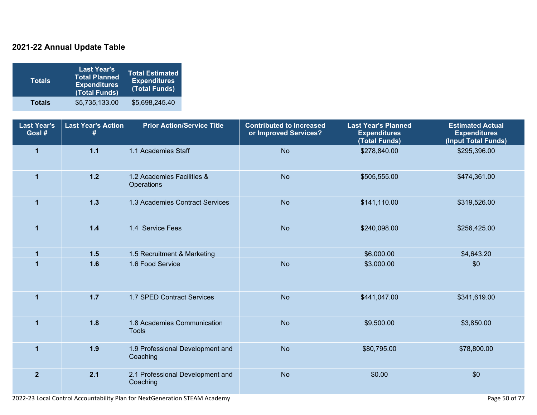### **2021-22 Annual Update Table**

| <b>Totals</b> | <b>Last Year's</b><br><b>Total Planned</b><br><b>Expenditures</b><br>(Total Funds) | <b>Total Estimated</b><br><b>Expenditures</b><br>(Total Funds) |
|---------------|------------------------------------------------------------------------------------|----------------------------------------------------------------|
| <b>Totals</b> | \$5,735,133.00                                                                     | \$5,698,245.40                                                 |

| <b>Last Year's</b><br>Goal # | <b>Last Year's Action</b><br># | <b>Prior Action/Service Title</b>               | <b>Contributed to Increased</b><br>or Improved Services? | <b>Last Year's Planned</b><br><b>Expenditures</b><br>(Total Funds) | <b>Estimated Actual</b><br><b>Expenditures</b><br>(Input Total Funds) |
|------------------------------|--------------------------------|-------------------------------------------------|----------------------------------------------------------|--------------------------------------------------------------------|-----------------------------------------------------------------------|
| $\mathbf{1}$                 | $1.1$                          | 1.1 Academies Staff                             | <b>No</b>                                                | \$278,840.00                                                       | \$295,396.00                                                          |
| $\overline{1}$               | $1.2$                          | 1.2 Academies Facilities &<br><b>Operations</b> | <b>No</b>                                                | \$505,555.00                                                       | \$474,361.00                                                          |
| $\overline{1}$               | $1.3$                          | 1.3 Academies Contract Services                 | <b>No</b>                                                | \$141,110.00                                                       | \$319,526.00                                                          |
| $\overline{1}$               | 1.4                            | 1.4 Service Fees                                | <b>No</b>                                                | \$240,098.00                                                       | \$256,425.00                                                          |
| $\overline{1}$               | 1.5                            | 1.5 Recruitment & Marketing                     |                                                          | \$6,000.00                                                         | \$4,643.20                                                            |
|                              | 1.6                            | 1.6 Food Service                                | <b>No</b>                                                | \$3,000.00                                                         | \$0                                                                   |
| $\overline{1}$               | $1.7$                          | 1.7 SPED Contract Services                      | <b>No</b>                                                | \$441,047.00                                                       | \$341,619.00                                                          |
| $\overline{1}$               | 1.8                            | 1.8 Academies Communication<br><b>Tools</b>     | <b>No</b>                                                | \$9,500.00                                                         | \$3,850.00                                                            |
| $\overline{1}$               | 1.9                            | 1.9 Professional Development and<br>Coaching    | <b>No</b>                                                | \$80,795.00                                                        | \$78,800.00                                                           |
| $\overline{2}$               | 2.1                            | 2.1 Professional Development and<br>Coaching    | <b>No</b>                                                | \$0.00                                                             | \$0                                                                   |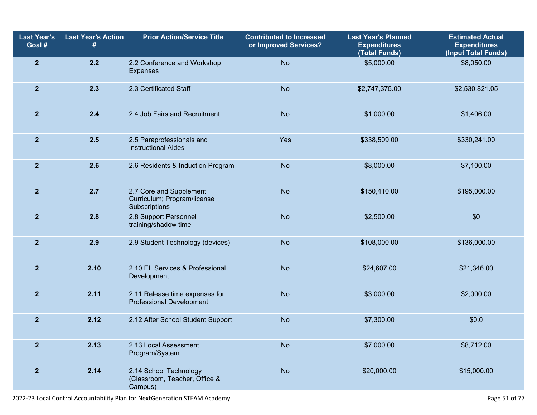| <b>Last Year's</b><br>Goal # | <b>Last Year's Action</b> | <b>Prior Action/Service Title</b>                                       | <b>Contributed to Increased</b><br>or Improved Services? | <b>Last Year's Planned</b><br><b>Expenditures</b><br>(Total Funds) | <b>Estimated Actual</b><br><b>Expenditures</b><br>(Input Total Funds) |  |
|------------------------------|---------------------------|-------------------------------------------------------------------------|----------------------------------------------------------|--------------------------------------------------------------------|-----------------------------------------------------------------------|--|
| $\overline{\mathbf{2}}$      | 2.2                       | 2.2 Conference and Workshop<br><b>Expenses</b>                          | <b>No</b>                                                | \$5,000.00                                                         | \$8,050.00                                                            |  |
| $\overline{2}$               | 2.3                       | 2.3 Certificated Staff                                                  | <b>No</b>                                                | \$2,747,375.00                                                     | \$2,530,821.05                                                        |  |
| $\overline{2}$               | 2.4                       | 2.4 Job Fairs and Recruitment                                           | <b>No</b>                                                | \$1,000.00                                                         | \$1,406.00                                                            |  |
| $\overline{2}$               | 2.5                       | 2.5 Paraprofessionals and<br><b>Instructional Aides</b>                 | Yes                                                      | \$338,509.00                                                       | \$330,241.00                                                          |  |
| $\overline{2}$               | 2.6                       | 2.6 Residents & Induction Program                                       | <b>No</b>                                                | \$8,000.00                                                         | \$7,100.00                                                            |  |
| $\mathbf{2}$                 | 2.7                       | 2.7 Core and Supplement<br>Curriculum; Program/license<br>Subscriptions | <b>No</b>                                                | \$150,410.00                                                       | \$195,000.00                                                          |  |
| $\mathbf{2}$                 | 2.8                       | 2.8 Support Personnel<br>training/shadow time                           | <b>No</b>                                                | \$2,500.00                                                         | \$0                                                                   |  |
| $\overline{2}$               | 2.9                       | 2.9 Student Technology (devices)                                        | <b>No</b>                                                | \$108,000.00                                                       | \$136,000.00                                                          |  |
| $\overline{2}$               | 2.10                      | 2.10 EL Services & Professional<br>Development                          | <b>No</b>                                                | \$24,607.00                                                        | \$21,346.00                                                           |  |
| $\overline{2}$               | 2.11                      | 2.11 Release time expenses for<br><b>Professional Development</b>       | <b>No</b>                                                | \$3,000.00                                                         | \$2,000.00                                                            |  |
| $\overline{2}$               | 2.12                      | 2.12 After School Student Support                                       | <b>No</b>                                                | \$7,300.00                                                         | \$0.0                                                                 |  |
| $\overline{2}$               | 2.13                      | 2.13 Local Assessment<br>Program/System                                 | <b>No</b>                                                | \$7,000.00                                                         | \$8,712.00                                                            |  |
| $\overline{\mathbf{2}}$      | 2.14                      | 2.14 School Technology<br>(Classroom, Teacher, Office &<br>Campus)      | <b>No</b>                                                | \$20,000.00                                                        | \$15,000.00                                                           |  |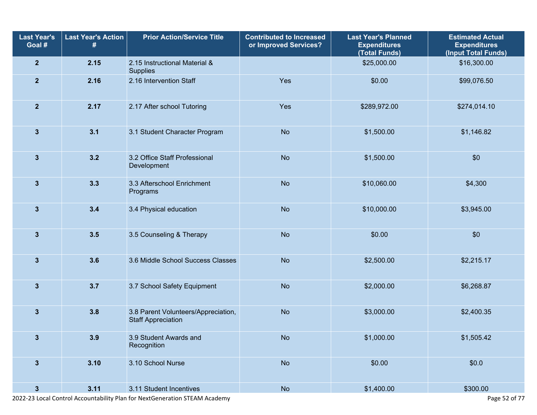| <b>Last Year's</b><br>Goal # | <b>Last Year's Action</b><br># | <b>Prior Action/Service Title</b>                                | <b>Contributed to Increased</b><br>or Improved Services? | <b>Last Year's Planned</b><br><b>Expenditures</b><br>(Total Funds) | <b>Estimated Actual</b><br><b>Expenditures</b><br>(Input Total Funds) |
|------------------------------|--------------------------------|------------------------------------------------------------------|----------------------------------------------------------|--------------------------------------------------------------------|-----------------------------------------------------------------------|
| $\overline{2}$               | 2.15                           | 2.15 Instructional Material &<br>Supplies                        |                                                          | \$25,000.00                                                        | \$16,300.00                                                           |
| $\overline{\mathbf{2}}$      | 2.16                           | 2.16 Intervention Staff                                          | Yes                                                      | \$0.00                                                             | \$99,076.50                                                           |
| $\mathbf{2}$                 | 2.17                           | 2.17 After school Tutoring                                       | Yes                                                      | \$289,972.00                                                       | \$274,014.10                                                          |
| $\mathbf{3}$                 | 3.1                            | 3.1 Student Character Program                                    | <b>No</b>                                                | \$1,500.00                                                         | \$1,146.82                                                            |
| $\mathbf{3}$                 | 3.2                            | 3.2 Office Staff Professional<br>Development                     | <b>No</b>                                                | \$1,500.00                                                         | \$0                                                                   |
| $\mathbf{3}$                 | 3.3                            | 3.3 Afterschool Enrichment<br>Programs                           | <b>No</b>                                                | \$10,060.00                                                        | \$4,300                                                               |
| $\mathbf{3}$                 | 3.4                            | 3.4 Physical education                                           | <b>No</b>                                                | \$10,000.00                                                        | \$3,945.00                                                            |
| $\mathbf{3}$                 | 3.5                            | 3.5 Counseling & Therapy                                         | <b>No</b>                                                | \$0.00                                                             | \$0                                                                   |
| $\mathbf{3}$                 | 3.6                            | 3.6 Middle School Success Classes                                | <b>No</b>                                                | \$2,500.00                                                         | \$2,215.17                                                            |
| $\mathbf{3}$                 | 3.7                            | 3.7 School Safety Equipment                                      | <b>No</b>                                                | \$2,000.00                                                         | \$6,268.87                                                            |
| $\mathbf{3}$                 | 3.8                            | 3.8 Parent Volunteers/Appreciation,<br><b>Staff Appreciation</b> | <b>No</b>                                                | \$3,000.00                                                         | \$2,400.35                                                            |
| 3                            | 3.9                            | 3.9 Student Awards and<br>Recognition                            | <b>No</b>                                                | \$1,000.00                                                         | \$1,505.42                                                            |
| $\mathbf{3}$                 | 3.10                           | 3.10 School Nurse                                                | <b>No</b><br>\$0.00                                      |                                                                    | \$0.0\$                                                               |
| $\mathbf{3}$                 | 3.11                           | 3.11 Student Incentives                                          | No                                                       | \$1,400.00                                                         | \$300.00                                                              |

2022-23 Local Control Accountability Plan for NextGeneration STEAM Academy **Page 52** of 77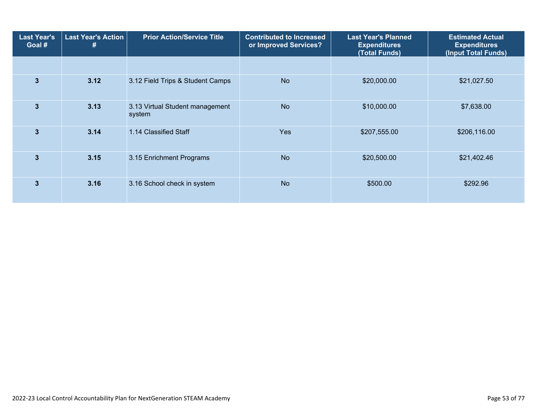| <b>Last Year's</b><br>Goal # | <b>Last Year's Action</b><br># | <b>Prior Action/Service Title</b>         | <b>Contributed to Increased</b><br>or Improved Services? | <b>Last Year's Planned</b><br><b>Expenditures</b><br>(Total Funds) | <b>Estimated Actual</b><br><b>Expenditures</b><br>(Input Total Funds) |  |
|------------------------------|--------------------------------|-------------------------------------------|----------------------------------------------------------|--------------------------------------------------------------------|-----------------------------------------------------------------------|--|
|                              |                                |                                           |                                                          |                                                                    |                                                                       |  |
| $\overline{3}$               | 3.12                           | 3.12 Field Trips & Student Camps          | <b>No</b>                                                | \$20,000.00                                                        | \$21,027.50                                                           |  |
| $\mathbf{3}$                 | 3.13                           | 3.13 Virtual Student management<br>system | <b>No</b>                                                | \$10,000.00                                                        | \$7,638.00                                                            |  |
| $\overline{3}$               | 3.14                           | 1.14 Classified Staff                     | <b>Yes</b>                                               | \$207,555.00                                                       | \$206,116.00                                                          |  |
| 3                            | 3.15                           | 3.15 Enrichment Programs                  | <b>No</b>                                                | \$20,500.00                                                        | \$21,402.46                                                           |  |
| 3                            | 3.16                           | 3.16 School check in system               | <b>No</b>                                                | \$500.00                                                           | \$292.96                                                              |  |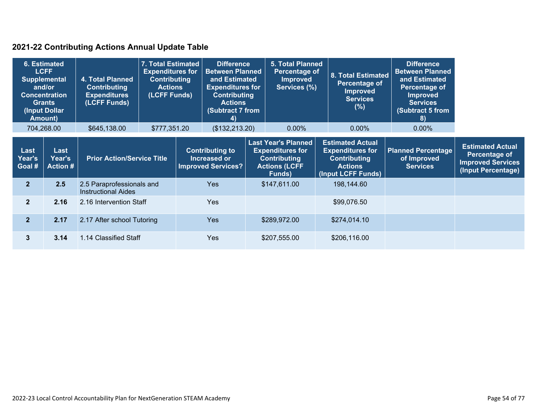### **2021-22 Contributing Actions Annual Update Table**

| 6. Estimated             | <b>LCFF</b><br><b>Supplemental</b><br>and/or<br><b>Concentration</b><br><b>Grants</b><br>(Input Dollar<br><b>Amount)</b> | 4. Total Planned<br><b>Contributing</b><br><b>Expenditures</b><br>(LCFF Funds) | 7. Total Estimated<br><b>Expenditures for</b><br><b>Contributing</b><br><b>Actions</b><br>(LCFF Funds) | <b>Difference</b><br><b>Between Planned</b><br>and Estimated<br><b>Expenditures for</b><br><b>Contributing</b><br><b>Actions</b><br>(Subtract 7 from<br>4) | <b>5. Total Planned</b><br>Percentage of<br><b>Improved</b><br>Services (%)                                    | <b>8. Total Estimated</b><br>Percentage of<br><b>Improved</b><br><b>Services</b><br>(%)                           | <b>Difference</b><br><b>Between Planned</b><br>and Estimated<br>Percentage of<br><b>Improved</b><br><b>Services</b><br><b>Subtract 5 from</b><br>8) |                                                                                            |
|--------------------------|--------------------------------------------------------------------------------------------------------------------------|--------------------------------------------------------------------------------|--------------------------------------------------------------------------------------------------------|------------------------------------------------------------------------------------------------------------------------------------------------------------|----------------------------------------------------------------------------------------------------------------|-------------------------------------------------------------------------------------------------------------------|-----------------------------------------------------------------------------------------------------------------------------------------------------|--------------------------------------------------------------------------------------------|
|                          | 704,268.00                                                                                                               | \$645,138.00                                                                   | \$777,351.20                                                                                           | (\$132,213.20)                                                                                                                                             | 0.00%                                                                                                          | $0.00\%$                                                                                                          | $0.00\%$                                                                                                                                            |                                                                                            |
| Last<br>Year's<br>Goal # | Last<br>Year's<br><b>Action #</b>                                                                                        | <b>Prior Action/Service Title</b>                                              |                                                                                                        | <b>Contributing to</b><br>Increased or<br><b>Improved Services?</b>                                                                                        | <b>Last Year's Planned</b><br><b>Expenditures for</b><br><b>Contributing</b><br><b>Actions (LCFF</b><br>Funds) | <b>Estimated Actual</b><br><b>Expenditures for</b><br><b>Contributing</b><br><b>Actions</b><br>(Input LCFF Funds) | <b>Planned Percentage</b><br>of Improved<br><b>Services</b>                                                                                         | <b>Estimated Actual</b><br>Percentage of<br><b>Improved Services</b><br>(Input Percentage) |
| 2 <sup>1</sup>           | 2.5                                                                                                                      | 2.5 Paraprofessionals and<br><b>Instructional Aides</b>                        |                                                                                                        | <b>Yes</b>                                                                                                                                                 | \$147,611.00                                                                                                   | 198,144.60                                                                                                        |                                                                                                                                                     |                                                                                            |
| $\mathbf{2}$             | 2.16                                                                                                                     | 2.16 Intervention Staff                                                        |                                                                                                        | <b>Yes</b>                                                                                                                                                 |                                                                                                                | \$99,076.50                                                                                                       |                                                                                                                                                     |                                                                                            |
| 2 <sup>1</sup>           | 2.17                                                                                                                     | 2.17 After school Tutoring                                                     |                                                                                                        | Yes                                                                                                                                                        | \$289,972.00                                                                                                   | \$274,014.10                                                                                                      |                                                                                                                                                     |                                                                                            |
| 3                        | 3.14                                                                                                                     | 1.14 Classified Staff                                                          |                                                                                                        | <b>Yes</b>                                                                                                                                                 | \$207,555.00                                                                                                   | \$206,116.00                                                                                                      |                                                                                                                                                     |                                                                                            |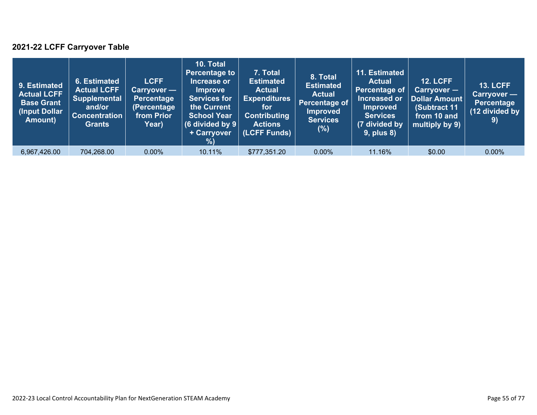### **2021-22 LCFF Carryover Table**

| 9. Estimated<br><b>Actual LCFF</b><br><b>Base Grant</b><br>(Input Dollar)<br>Amount) | 6. Estimated<br><b>Actual LCFF</b><br><b>Supplemental</b><br>and/or<br><b>Concentration</b><br><b>Grants</b> | <b>LCFF</b><br>Carryover —<br><b>Percentage</b><br>(Percentage<br>from Prior<br>Year) | 10. Total<br><b>Percentage to</b><br>Increase or<br><b>Improve</b><br><b>Services for</b><br>the Current<br><b>School Year</b><br>(6 divided by $9$ $ $<br>+ Carryover<br>% | 7. Total<br><b>Estimated</b><br><b>Actual</b><br><b>Expenditures</b><br>for<br><b>Contributing</b><br><b>Actions</b><br>(LCFF Funds) | 8. Total<br><b>Estimated</b><br><b>Actual</b><br>Percentage of<br><b>Improved</b><br><b>Services</b><br>(%) | 11. Estimated<br><b>Actual</b><br>Percentage of<br>Increased or<br><b>Improved</b><br><b>Services</b><br>(7 divided by<br><b>9, plus 8)</b> | <b>12. LCFF</b><br>$Carryover -$<br>Dollar Amount<br>(Subtract 11<br>from 10 and<br>multiply by 9) | <b>13. LCFF</b><br>Carryover -<br><b>Percentage</b><br>(12 divided by<br>9) |
|--------------------------------------------------------------------------------------|--------------------------------------------------------------------------------------------------------------|---------------------------------------------------------------------------------------|-----------------------------------------------------------------------------------------------------------------------------------------------------------------------------|--------------------------------------------------------------------------------------------------------------------------------------|-------------------------------------------------------------------------------------------------------------|---------------------------------------------------------------------------------------------------------------------------------------------|----------------------------------------------------------------------------------------------------|-----------------------------------------------------------------------------|
| 6,967,426.00                                                                         | 704,268.00                                                                                                   | $0.00\%$                                                                              | 10.11%                                                                                                                                                                      | \$777,351.20                                                                                                                         | $0.00\%$                                                                                                    | 11.16%                                                                                                                                      | \$0.00                                                                                             | $0.00\%$                                                                    |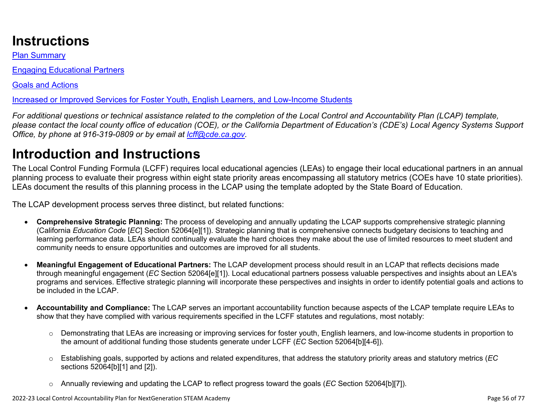# **Instructions**

Plan Summary

Engaging Educational Partners

Goals and Actions

Increased or Improved Services for Foster Youth, English Learners, and Low-Income Students

*For additional questions or technical assistance related to the completion of the Local Control and Accountability Plan (LCAP) template, please contact the local county office of education (COE), or the California Department of Education's (CDE's) Local Agency Systems Support Office, by phone at 916-319-0809 or by email at [lcff@cde.ca.gov](mailto:lcff@cde.ca.gov).*

# **Introduction and Instructions**

The Local Control Funding Formula (LCFF) requires local educational agencies (LEAs) to engage their local educational partners in an annual planning process to evaluate their progress within eight state priority areas encompassing all statutory metrics (COEs have 10 state priorities). LEAs document the results of this planning process in the LCAP using the template adopted by the State Board of Education.

The LCAP development process serves three distinct, but related functions:

- **Comprehensive Strategic Planning:** The process of developing and annually updating the LCAP supports comprehensive strategic planning (California *Education Code* [*EC*] Section 52064[e][1]). Strategic planning that is comprehensive connects budgetary decisions to teaching and learning performance data. LEAs should continually evaluate the hard choices they make about the use of limited resources to meet student and community needs to ensure opportunities and outcomes are improved for all students.
- **Meaningful Engagement of Educational Partners:** The LCAP development process should result in an LCAP that reflects decisions made through meaningful engagement (*EC* Section 52064[e][1]). Local educational partners possess valuable perspectives and insights about an LEA's programs and services. Effective strategic planning will incorporate these perspectives and insights in order to identify potential goals and actions to be included in the LCAP.
- **Accountability and Compliance:** The LCAP serves an important accountability function because aspects of the LCAP template require LEAs to show that they have complied with various requirements specified in the LCFF statutes and regulations, most notably:
	- o Demonstrating that LEAs are increasing or improving services for foster youth, English learners, and low-income students in proportion to the amount of additional funding those students generate under LCFF (*EC* Section 52064[b][4-6]).
	- o Establishing goals, supported by actions and related expenditures, that address the statutory priority areas and statutory metrics (*EC* sections 52064[b][1] and [2]).
	- o Annually reviewing and updating the LCAP to reflect progress toward the goals (*EC* Section 52064[b][7]).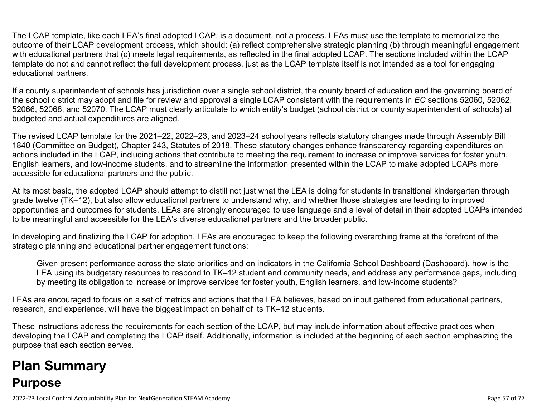The LCAP template, like each LEA's final adopted LCAP, is a document, not a process. LEAs must use the template to memorialize the outcome of their LCAP development process, which should: (a) reflect comprehensive strategic planning (b) through meaningful engagement with educational partners that (c) meets legal requirements, as reflected in the final adopted LCAP. The sections included within the LCAP template do not and cannot reflect the full development process, just as the LCAP template itself is not intended as a tool for engaging educational partners.

If a county superintendent of schools has jurisdiction over a single school district, the county board of education and the governing board of the school district may adopt and file for review and approval a single LCAP consistent with the requirements in *EC* sections 52060, 52062, 52066, 52068, and 52070. The LCAP must clearly articulate to which entity's budget (school district or county superintendent of schools) all budgeted and actual expenditures are aligned.

The revised LCAP template for the 2021–22, 2022–23, and 2023–24 school years reflects statutory changes made through Assembly Bill 1840 (Committee on Budget), Chapter 243, Statutes of 2018. These statutory changes enhance transparency regarding expenditures on actions included in the LCAP, including actions that contribute to meeting the requirement to increase or improve services for foster youth, English learners, and low-income students, and to streamline the information presented within the LCAP to make adopted LCAPs more accessible for educational partners and the public.

At its most basic, the adopted LCAP should attempt to distill not just what the LEA is doing for students in transitional kindergarten through grade twelve (TK–12), but also allow educational partners to understand why, and whether those strategies are leading to improved opportunities and outcomes for students. LEAs are strongly encouraged to use language and a level of detail in their adopted LCAPs intended to be meaningful and accessible for the LEA's diverse educational partners and the broader public.

In developing and finalizing the LCAP for adoption, LEAs are encouraged to keep the following overarching frame at the forefront of the strategic planning and educational partner engagement functions:

Given present performance across the state priorities and on indicators in the California School Dashboard (Dashboard), how is the LEA using its budgetary resources to respond to TK–12 student and community needs, and address any performance gaps, including by meeting its obligation to increase or improve services for foster youth, English learners, and low-income students?

LEAs are encouraged to focus on a set of metrics and actions that the LEA believes, based on input gathered from educational partners, research, and experience, will have the biggest impact on behalf of its TK–12 students.

These instructions address the requirements for each section of the LCAP, but may include information about effective practices when developing the LCAP and completing the LCAP itself. Additionally, information is included at the beginning of each section emphasizing the purpose that each section serves.

# **Plan Summary Purpose**

2022-23 Local Control Accountability Plan for NextGeneration STEAM Academy Page 57 of 77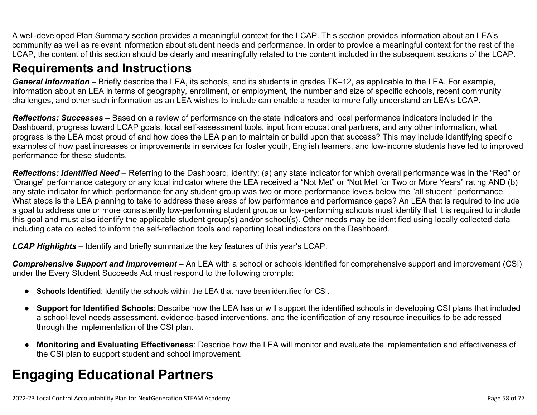A well-developed Plan Summary section provides a meaningful context for the LCAP. This section provides information about an LEA's community as well as relevant information about student needs and performance. In order to provide a meaningful context for the rest of the LCAP, the content of this section should be clearly and meaningfully related to the content included in the subsequent sections of the LCAP.

### **Requirements and Instructions**

*General Information* – Briefly describe the LEA, its schools, and its students in grades TK–12, as applicable to the LEA. For example, information about an LEA in terms of geography, enrollment, or employment, the number and size of specific schools, recent community challenges, and other such information as an LEA wishes to include can enable a reader to more fully understand an LEA's LCAP.

*Reflections: Successes* – Based on a review of performance on the state indicators and local performance indicators included in the Dashboard, progress toward LCAP goals, local self-assessment tools, input from educational partners, and any other information, what progress is the LEA most proud of and how does the LEA plan to maintain or build upon that success? This may include identifying specific examples of how past increases or improvements in services for foster youth, English learners, and low-income students have led to improved performance for these students.

*Reflections: Identified Need* – Referring to the Dashboard, identify: (a) any state indicator for which overall performance was in the "Red" or "Orange" performance category or any local indicator where the LEA received a "Not Met" or "Not Met for Two or More Years" rating AND (b) any state indicator for which performance for any student group was two or more performance levels below the "all student*"* performance. What steps is the LEA planning to take to address these areas of low performance and performance gaps? An LEA that is required to include a goal to address one or more consistently low-performing student groups or low-performing schools must identify that it is required to include this goal and must also identify the applicable student group(s) and/or school(s). Other needs may be identified using locally collected data including data collected to inform the self-reflection tools and reporting local indicators on the Dashboard.

*LCAP Highlights* – Identify and briefly summarize the key features of this year's LCAP.

*Comprehensive Support and Improvement* – An LEA with a school or schools identified for comprehensive support and improvement (CSI) under the Every Student Succeeds Act must respond to the following prompts:

- **Schools Identified**: Identify the schools within the LEA that have been identified for CSI.
- **Support for Identified Schools**: Describe how the LEA has or will support the identified schools in developing CSI plans that included a school-level needs assessment, evidence-based interventions, and the identification of any resource inequities to be addressed through the implementation of the CSI plan.
- **Monitoring and Evaluating Effectiveness**: Describe how the LEA will monitor and evaluate the implementation and effectiveness of the CSI plan to support student and school improvement.

# **Engaging Educational Partners**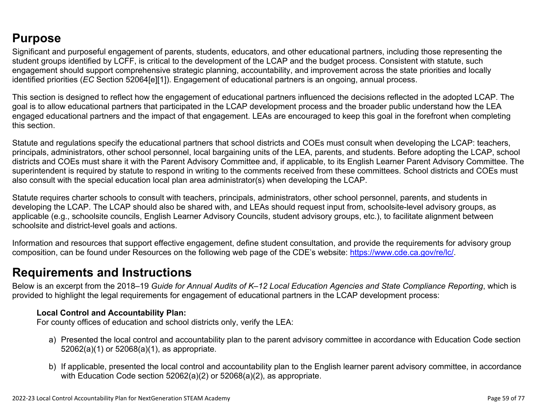### **Purpose**

Significant and purposeful engagement of parents, students, educators, and other educational partners, including those representing the student groups identified by LCFF, is critical to the development of the LCAP and the budget process. Consistent with statute, such engagement should support comprehensive strategic planning, accountability, and improvement across the state priorities and locally identified priorities (*EC* Section 52064[e][1]). Engagement of educational partners is an ongoing, annual process.

This section is designed to reflect how the engagement of educational partners influenced the decisions reflected in the adopted LCAP. The goal is to allow educational partners that participated in the LCAP development process and the broader public understand how the LEA engaged educational partners and the impact of that engagement. LEAs are encouraged to keep this goal in the forefront when completing this section.

Statute and regulations specify the educational partners that school districts and COEs must consult when developing the LCAP: teachers, principals, administrators, other school personnel, local bargaining units of the LEA, parents, and students. Before adopting the LCAP, school districts and COEs must share it with the Parent Advisory Committee and, if applicable, to its English Learner Parent Advisory Committee. The superintendent is required by statute to respond in writing to the comments received from these committees. School districts and COEs must also consult with the special education local plan area administrator(s) when developing the LCAP.

Statute requires charter schools to consult with teachers, principals, administrators, other school personnel, parents, and students in developing the LCAP. The LCAP should also be shared with, and LEAs should request input from, schoolsite-level advisory groups, as applicable (e.g., schoolsite councils, English Learner Advisory Councils, student advisory groups, etc.), to facilitate alignment between schoolsite and district-level goals and actions.

Information and resources that support effective engagement, define student consultation, and provide the requirements for advisory group composition, can be found under Resources on the following web page of the CDE's website: <https://www.cde.ca.gov/re/lc/>.

### **Requirements and Instructions**

Below is an excerpt from the 2018–19 *Guide for Annual Audits of K–12 Local Education Agencies and State Compliance Reporting*, which is provided to highlight the legal requirements for engagement of educational partners in the LCAP development process:

### **Local Control and Accountability Plan:**

For county offices of education and school districts only, verify the LEA:

- a) Presented the local control and accountability plan to the parent advisory committee in accordance with Education Code section 52062(a)(1) or 52068(a)(1), as appropriate.
- b) If applicable, presented the local control and accountability plan to the English learner parent advisory committee, in accordance with Education Code section 52062(a)(2) or 52068(a)(2), as appropriate.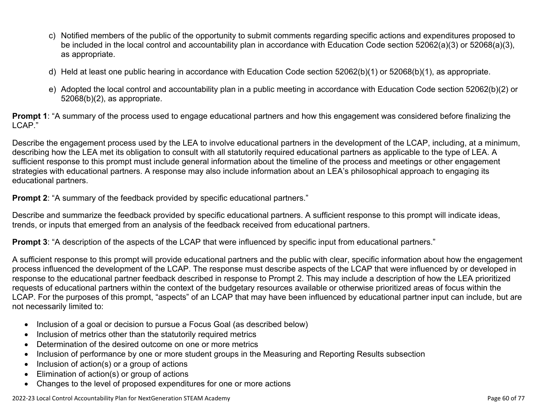- c) Notified members of the public of the opportunity to submit comments regarding specific actions and expenditures proposed to be included in the local control and accountability plan in accordance with Education Code section 52062(a)(3) or 52068(a)(3), as appropriate.
- d) Held at least one public hearing in accordance with Education Code section 52062(b)(1) or 52068(b)(1), as appropriate.
- e) Adopted the local control and accountability plan in a public meeting in accordance with Education Code section 52062(b)(2) or 52068(b)(2), as appropriate.

**Prompt 1**: "A summary of the process used to engage educational partners and how this engagement was considered before finalizing the LCAP."

Describe the engagement process used by the LEA to involve educational partners in the development of the LCAP, including, at a minimum, describing how the LEA met its obligation to consult with all statutorily required educational partners as applicable to the type of LEA. A sufficient response to this prompt must include general information about the timeline of the process and meetings or other engagement strategies with educational partners. A response may also include information about an LEA's philosophical approach to engaging its educational partners.

**Prompt 2:** "A summary of the feedback provided by specific educational partners."

Describe and summarize the feedback provided by specific educational partners. A sufficient response to this prompt will indicate ideas, trends, or inputs that emerged from an analysis of the feedback received from educational partners.

**Prompt 3**: "A description of the aspects of the LCAP that were influenced by specific input from educational partners."

A sufficient response to this prompt will provide educational partners and the public with clear, specific information about how the engagement process influenced the development of the LCAP. The response must describe aspects of the LCAP that were influenced by or developed in response to the educational partner feedback described in response to Prompt 2. This may include a description of how the LEA prioritized requests of educational partners within the context of the budgetary resources available or otherwise prioritized areas of focus within the LCAP. For the purposes of this prompt, "aspects" of an LCAP that may have been influenced by educational partner input can include, but are not necessarily limited to:

- Inclusion of a goal or decision to pursue a Focus Goal (as described below)
- Inclusion of metrics other than the statutorily required metrics
- Determination of the desired outcome on one or more metrics
- Inclusion of performance by one or more student groups in the Measuring and Reporting Results subsection
- Inclusion of action(s) or a group of actions
- Elimination of action(s) or group of actions
- Changes to the level of proposed expenditures for one or more actions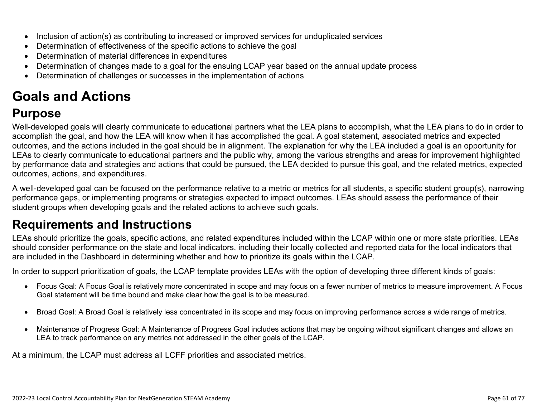- Inclusion of action(s) as contributing to increased or improved services for unduplicated services
- Determination of effectiveness of the specific actions to achieve the goal
- Determination of material differences in expenditures
- Determination of changes made to a goal for the ensuing LCAP year based on the annual update process
- Determination of challenges or successes in the implementation of actions

# **Goals and Actions**

## **Purpose**

Well-developed goals will clearly communicate to educational partners what the LEA plans to accomplish, what the LEA plans to do in order to accomplish the goal, and how the LEA will know when it has accomplished the goal. A goal statement, associated metrics and expected outcomes, and the actions included in the goal should be in alignment. The explanation for why the LEA included a goal is an opportunity for LEAs to clearly communicate to educational partners and the public why, among the various strengths and areas for improvement highlighted by performance data and strategies and actions that could be pursued, the LEA decided to pursue this goal, and the related metrics, expected outcomes, actions, and expenditures.

A well-developed goal can be focused on the performance relative to a metric or metrics for all students, a specific student group(s), narrowing performance gaps, or implementing programs or strategies expected to impact outcomes. LEAs should assess the performance of their student groups when developing goals and the related actions to achieve such goals.

## **Requirements and Instructions**

LEAs should prioritize the goals, specific actions, and related expenditures included within the LCAP within one or more state priorities. LEAs should consider performance on the state and local indicators, including their locally collected and reported data for the local indicators that are included in the Dashboard in determining whether and how to prioritize its goals within the LCAP.

In order to support prioritization of goals, the LCAP template provides LEAs with the option of developing three different kinds of goals:

- Focus Goal: A Focus Goal is relatively more concentrated in scope and may focus on a fewer number of metrics to measure improvement. A Focus Goal statement will be time bound and make clear how the goal is to be measured.
- Broad Goal: A Broad Goal is relatively less concentrated in its scope and may focus on improving performance across a wide range of metrics.
- Maintenance of Progress Goal: A Maintenance of Progress Goal includes actions that may be ongoing without significant changes and allows an LEA to track performance on any metrics not addressed in the other goals of the LCAP.

At a minimum, the LCAP must address all LCFF priorities and associated metrics.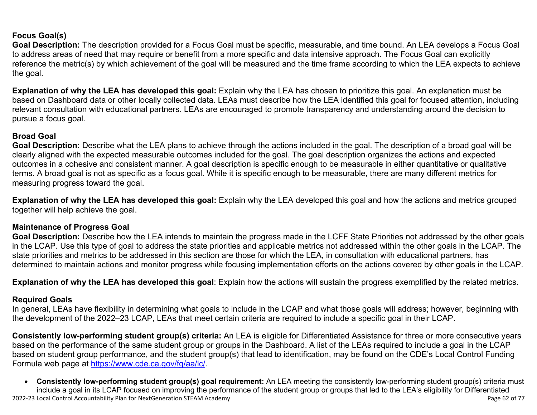### **Focus Goal(s)**

**Goal Description:** The description provided for a Focus Goal must be specific, measurable, and time bound. An LEA develops a Focus Goal to address areas of need that may require or benefit from a more specific and data intensive approach. The Focus Goal can explicitly reference the metric(s) by which achievement of the goal will be measured and the time frame according to which the LEA expects to achieve the goal.

**Explanation of why the LEA has developed this goal:** Explain why the LEA has chosen to prioritize this goal. An explanation must be based on Dashboard data or other locally collected data. LEAs must describe how the LEA identified this goal for focused attention, including relevant consultation with educational partners. LEAs are encouraged to promote transparency and understanding around the decision to pursue a focus goal.

#### **Broad Goal**

Goal Description: Describe what the LEA plans to achieve through the actions included in the goal. The description of a broad goal will be clearly aligned with the expected measurable outcomes included for the goal. The goal description organizes the actions and expected outcomes in a cohesive and consistent manner. A goal description is specific enough to be measurable in either quantitative or qualitative terms. A broad goal is not as specific as a focus goal. While it is specific enough to be measurable, there are many different metrics for measuring progress toward the goal.

**Explanation of why the LEA has developed this goal:** Explain why the LEA developed this goal and how the actions and metrics grouped together will help achieve the goal.

#### **Maintenance of Progress Goal**

**Goal Description:** Describe how the LEA intends to maintain the progress made in the LCFF State Priorities not addressed by the other goals in the LCAP. Use this type of goal to address the state priorities and applicable metrics not addressed within the other goals in the LCAP. The state priorities and metrics to be addressed in this section are those for which the LEA, in consultation with educational partners, has determined to maintain actions and monitor progress while focusing implementation efforts on the actions covered by other goals in the LCAP.

**Explanation of why the LEA has developed this goal**: Explain how the actions will sustain the progress exemplified by the related metrics.

#### **Required Goals**

In general, LEAs have flexibility in determining what goals to include in the LCAP and what those goals will address; however, beginning with the development of the 2022–23 LCAP, LEAs that meet certain criteria are required to include a specific goal in their LCAP.

**Consistently low-performing student group(s) criteria:** An LEA is eligible for Differentiated Assistance for three or more consecutive years based on the performance of the same student group or groups in the Dashboard. A list of the LEAs required to include a goal in the LCAP based on student group performance, and the student group(s) that lead to identification, may be found on the CDE's Local Control Funding Formula web page at [https://www.cde.ca.gov/fg/aa/lc/.](https://www.cde.ca.gov/fg/aa/lc/)

2022-23 Local Control Accountability Plan for NextGeneration STEAM Academy **Page 62** of 77 • **Consistently low-performing student group(s) goal requirement:** An LEA meeting the consistently low-performing student group(s) criteria must include a goal in its LCAP focused on improving the performance of the student group or groups that led to the LEA's eligibility for Differentiated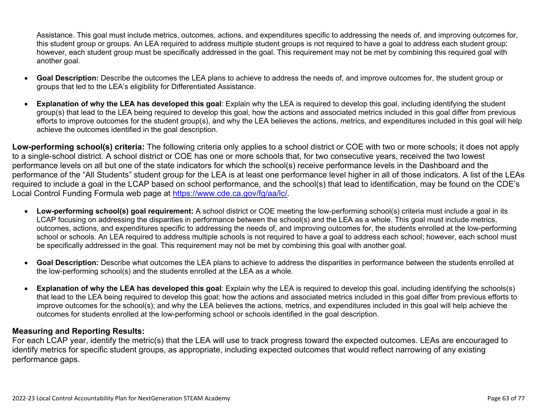Assistance. This goal must include metrics, outcomes, actions, and expenditures specific to addressing the needs of, and improving outcomes for, this student group or groups. An LEA required to address multiple student groups is not required to have a goal to address each student group; however, each student group must be specifically addressed in the goal. This requirement may not be met by combining this required goal with another goal.

- **Goal Description:** Describe the outcomes the LEA plans to achieve to address the needs of, and improve outcomes for, the student group or groups that led to the LEA's eligibility for Differentiated Assistance.
- **Explanation of why the LEA has developed this goal**: Explain why the LEA is required to develop this goal, including identifying the student group(s) that lead to the LEA being required to develop this goal, how the actions and associated metrics included in this goal differ from previous efforts to improve outcomes for the student group(s), and why the LEA believes the actions, metrics, and expenditures included in this goal will help achieve the outcomes identified in the goal description.

**Low-performing school(s) criteria:** The following criteria only applies to a school district or COE with two or more schools; it does not apply to a single-school district. A school district or COE has one or more schools that, for two consecutive years, received the two lowest performance levels on all but one of the state indicators for which the school(s) receive performance levels in the Dashboard and the performance of the "All Students" student group for the LEA is at least one performance level higher in all of those indicators. A list of the LEAs required to include a goal in the LCAP based on school performance, and the school(s) that lead to identification, may be found on the CDE's Local Control Funding Formula web page at [https://www.cde.ca.gov/fg/aa/lc/.](https://www.cde.ca.gov/fg/aa/lc/)

- **Low-performing school(s) goal requirement:** A school district or COE meeting the low-performing school(s) criteria must include a goal in its LCAP focusing on addressing the disparities in performance between the school(s) and the LEA as a whole. This goal must include metrics, outcomes, actions, and expenditures specific to addressing the needs of, and improving outcomes for, the students enrolled at the low-performing school or schools. An LEA required to address multiple schools is not required to have a goal to address each school; however, each school must be specifically addressed in the goal. This requirement may not be met by combining this goal with another goal.
- **Goal Description:** Describe what outcomes the LEA plans to achieve to address the disparities in performance between the students enrolled at the low-performing school(s) and the students enrolled at the LEA as a whole.
- **Explanation of why the LEA has developed this goal**: Explain why the LEA is required to develop this goal, including identifying the schools(s) that lead to the LEA being required to develop this goal; how the actions and associated metrics included in this goal differ from previous efforts to improve outcomes for the school(s); and why the LEA believes the actions, metrics, and expenditures included in this goal will help achieve the outcomes for students enrolled at the low-performing school or schools identified in the goal description.

### **Measuring and Reporting Results:**

For each LCAP year, identify the metric(s) that the LEA will use to track progress toward the expected outcomes. LEAs are encouraged to identify metrics for specific student groups, as appropriate, including expected outcomes that would reflect narrowing of any existing performance gaps.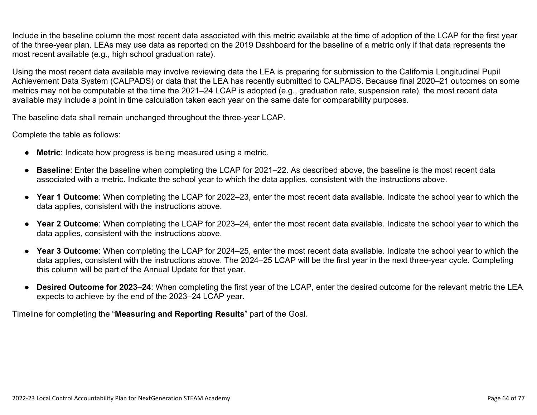Include in the baseline column the most recent data associated with this metric available at the time of adoption of the LCAP for the first year of the three-year plan. LEAs may use data as reported on the 2019 Dashboard for the baseline of a metric only if that data represents the most recent available (e.g., high school graduation rate).

Using the most recent data available may involve reviewing data the LEA is preparing for submission to the California Longitudinal Pupil Achievement Data System (CALPADS) or data that the LEA has recently submitted to CALPADS. Because final 2020–21 outcomes on some metrics may not be computable at the time the 2021–24 LCAP is adopted (e.g., graduation rate, suspension rate), the most recent data available may include a point in time calculation taken each year on the same date for comparability purposes.

The baseline data shall remain unchanged throughout the three-year LCAP.

Complete the table as follows:

- **Metric**: Indicate how progress is being measured using a metric.
- **Baseline**: Enter the baseline when completing the LCAP for 2021–22. As described above, the baseline is the most recent data associated with a metric. Indicate the school year to which the data applies, consistent with the instructions above.
- **Year 1 Outcome**: When completing the LCAP for 2022–23, enter the most recent data available. Indicate the school year to which the data applies, consistent with the instructions above.
- **Year 2 Outcome**: When completing the LCAP for 2023–24, enter the most recent data available. Indicate the school year to which the data applies, consistent with the instructions above.
- **Year 3 Outcome**: When completing the LCAP for 2024–25, enter the most recent data available. Indicate the school year to which the data applies, consistent with the instructions above. The 2024–25 LCAP will be the first year in the next three-year cycle. Completing this column will be part of the Annual Update for that year.
- **Desired Outcome for 2023**–**24**: When completing the first year of the LCAP, enter the desired outcome for the relevant metric the LEA expects to achieve by the end of the 2023–24 LCAP year.

Timeline for completing the "**Measuring and Reporting Results**" part of the Goal.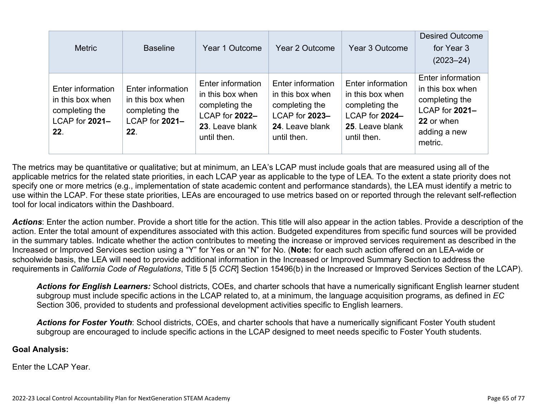| <b>Metric</b>                                                                    | <b>Baseline</b>                                                                  | Year 1 Outcome                                                                                              | Year 2 Outcome                                                                                              | Year 3 Outcome                                                                                              | <b>Desired Outcome</b><br>for Year 3<br>$(2023 - 24)$                                                              |
|----------------------------------------------------------------------------------|----------------------------------------------------------------------------------|-------------------------------------------------------------------------------------------------------------|-------------------------------------------------------------------------------------------------------------|-------------------------------------------------------------------------------------------------------------|--------------------------------------------------------------------------------------------------------------------|
| Enter information<br>in this box when<br>completing the<br>LCAP for 2021-<br>22. | Enter information<br>in this box when<br>completing the<br>LCAP for 2021-<br>22. | Enter information<br>in this box when<br>completing the<br>LCAP for 2022-<br>23. Leave blank<br>until then. | Enter information<br>in this box when<br>completing the<br>LCAP for 2023-<br>24. Leave blank<br>until then. | Enter information<br>in this box when<br>completing the<br>LCAP for 2024-<br>25. Leave blank<br>until then. | Enter information<br>in this box when<br>completing the<br>LCAP for 2021-<br>22 or when<br>adding a new<br>metric. |

The metrics may be quantitative or qualitative; but at minimum, an LEA's LCAP must include goals that are measured using all of the applicable metrics for the related state priorities, in each LCAP year as applicable to the type of LEA. To the extent a state priority does not specify one or more metrics (e.g., implementation of state academic content and performance standards), the LEA must identify a metric to use within the LCAP. For these state priorities, LEAs are encouraged to use metrics based on or reported through the relevant self-reflection tool for local indicators within the Dashboard.

*Actions*: Enter the action number. Provide a short title for the action. This title will also appear in the action tables. Provide a description of the action. Enter the total amount of expenditures associated with this action. Budgeted expenditures from specific fund sources will be provided in the summary tables. Indicate whether the action contributes to meeting the increase or improved services requirement as described in the Increased or Improved Services section using a "Y" for Yes or an "N" for No. (**Note:** for each such action offered on an LEA-wide or schoolwide basis, the LEA will need to provide additional information in the Increased or Improved Summary Section to address the requirements in *California Code of Regulations*, Title 5 [5 *CCR*] Section 15496(b) in the Increased or Improved Services Section of the LCAP).

*Actions for English Learners:* School districts, COEs, and charter schools that have a numerically significant English learner student subgroup must include specific actions in the LCAP related to, at a minimum, the language acquisition programs, as defined in *EC* Section 306, provided to students and professional development activities specific to English learners.

*Actions for Foster Youth*: School districts, COEs, and charter schools that have a numerically significant Foster Youth student subgroup are encouraged to include specific actions in the LCAP designed to meet needs specific to Foster Youth students.

#### **Goal Analysis:**

Enter the LCAP Year.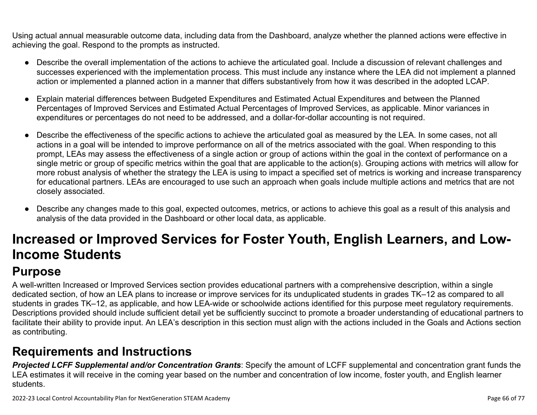Using actual annual measurable outcome data, including data from the Dashboard, analyze whether the planned actions were effective in achieving the goal. Respond to the prompts as instructed.

- Describe the overall implementation of the actions to achieve the articulated goal. Include a discussion of relevant challenges and successes experienced with the implementation process. This must include any instance where the LEA did not implement a planned action or implemented a planned action in a manner that differs substantively from how it was described in the adopted LCAP.
- Explain material differences between Budgeted Expenditures and Estimated Actual Expenditures and between the Planned Percentages of Improved Services and Estimated Actual Percentages of Improved Services, as applicable. Minor variances in expenditures or percentages do not need to be addressed, and a dollar-for-dollar accounting is not required.
- Describe the effectiveness of the specific actions to achieve the articulated goal as measured by the LEA. In some cases, not all actions in a goal will be intended to improve performance on all of the metrics associated with the goal. When responding to this prompt, LEAs may assess the effectiveness of a single action or group of actions within the goal in the context of performance on a single metric or group of specific metrics within the goal that are applicable to the action(s). Grouping actions with metrics will allow for more robust analysis of whether the strategy the LEA is using to impact a specified set of metrics is working and increase transparency for educational partners. LEAs are encouraged to use such an approach when goals include multiple actions and metrics that are not closely associated.
- Describe any changes made to this goal, expected outcomes, metrics, or actions to achieve this goal as a result of this analysis and analysis of the data provided in the Dashboard or other local data, as applicable.

# **Increased or Improved Services for Foster Youth, English Learners, and Low-Income Students**

## **Purpose**

A well-written Increased or Improved Services section provides educational partners with a comprehensive description, within a single dedicated section, of how an LEA plans to increase or improve services for its unduplicated students in grades TK–12 as compared to all students in grades TK–12, as applicable, and how LEA-wide or schoolwide actions identified for this purpose meet regulatory requirements. Descriptions provided should include sufficient detail yet be sufficiently succinct to promote a broader understanding of educational partners to facilitate their ability to provide input. An LEA's description in this section must align with the actions included in the Goals and Actions section as contributing.

## **Requirements and Instructions**

*Projected LCFF Supplemental and/or Concentration Grants*: Specify the amount of LCFF supplemental and concentration grant funds the LEA estimates it will receive in the coming year based on the number and concentration of low income, foster youth, and English learner students.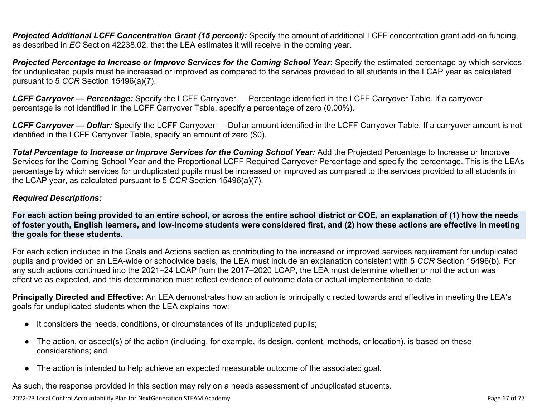**Projected Additional LCFF Concentration Grant (15 percent):** Specify the amount of additional LCFF concentration grant add-on funding, as described in *EC* Section 42238.02, that the LEA estimates it will receive in the coming year.

*Projected Percentage to Increase or Improve Services for the Coming School Year***:** Specify the estimated percentage by which services for unduplicated pupils must be increased or improved as compared to the services provided to all students in the LCAP year as calculated pursuant to 5 *CCR* Section 15496(a)(7).

*LCFF Carryover — Percentage:* Specify the LCFF Carryover — Percentage identified in the LCFF Carryover Table. If a carryover percentage is not identified in the LCFF Carryover Table, specify a percentage of zero (0.00%).

*LCFF Carryover — Dollar:* Specify the LCFF Carryover — Dollar amount identified in the LCFF Carryover Table. If a carryover amount is not identified in the LCFF Carryover Table, specify an amount of zero (\$0).

**Total Percentage to Increase or Improve Services for the Coming School Year:** Add the Projected Percentage to Increase or Improve Services for the Coming School Year and the Proportional LCFF Required Carryover Percentage and specify the percentage. This is the LEAs percentage by which services for unduplicated pupils must be increased or improved as compared to the services provided to all students in the LCAP year, as calculated pursuant to 5 *CCR* Section 15496(a)(7).

#### *Required Descriptions:*

**For each action being provided to an entire school, or across the entire school district or COE, an explanation of (1) how the needs of foster youth, English learners, and low-income students were considered first, and (2) how these actions are effective in meeting the goals for these students.**

For each action included in the Goals and Actions section as contributing to the increased or improved services requirement for unduplicated pupils and provided on an LEA-wide or schoolwide basis, the LEA must include an explanation consistent with 5 *CCR* Section 15496(b). For any such actions continued into the 2021–24 LCAP from the 2017–2020 LCAP, the LEA must determine whether or not the action was effective as expected, and this determination must reflect evidence of outcome data or actual implementation to date.

**Principally Directed and Effective:** An LEA demonstrates how an action is principally directed towards and effective in meeting the LEA's goals for unduplicated students when the LEA explains how:

- It considers the needs, conditions, or circumstances of its unduplicated pupils;
- The action, or aspect(s) of the action (including, for example, its design, content, methods, or location), is based on these considerations; and
- The action is intended to help achieve an expected measurable outcome of the associated goal.

As such, the response provided in this section may rely on a needs assessment of unduplicated students.

2022-23 Local Control Accountability Plan for NextGeneration STEAM Academy Page 67 of 77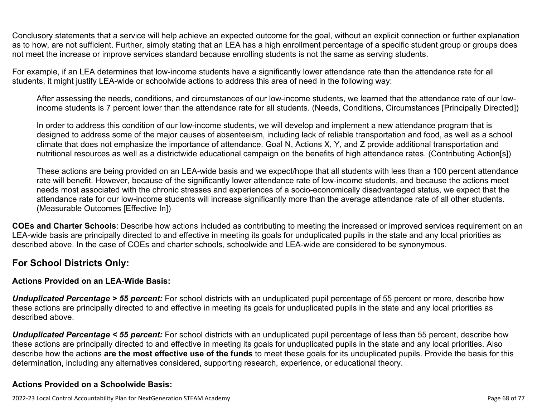Conclusory statements that a service will help achieve an expected outcome for the goal, without an explicit connection or further explanation as to how, are not sufficient. Further, simply stating that an LEA has a high enrollment percentage of a specific student group or groups does not meet the increase or improve services standard because enrolling students is not the same as serving students.

For example, if an LEA determines that low-income students have a significantly lower attendance rate than the attendance rate for all students, it might justify LEA-wide or schoolwide actions to address this area of need in the following way:

After assessing the needs, conditions, and circumstances of our low-income students, we learned that the attendance rate of our lowincome students is 7 percent lower than the attendance rate for all students. (Needs, Conditions, Circumstances [Principally Directed])

In order to address this condition of our low-income students, we will develop and implement a new attendance program that is designed to address some of the major causes of absenteeism, including lack of reliable transportation and food, as well as a school climate that does not emphasize the importance of attendance. Goal N, Actions X, Y, and Z provide additional transportation and nutritional resources as well as a districtwide educational campaign on the benefits of high attendance rates. (Contributing Action[s])

These actions are being provided on an LEA-wide basis and we expect/hope that all students with less than a 100 percent attendance rate will benefit. However, because of the significantly lower attendance rate of low-income students, and because the actions meet needs most associated with the chronic stresses and experiences of a socio-economically disadvantaged status, we expect that the attendance rate for our low-income students will increase significantly more than the average attendance rate of all other students. (Measurable Outcomes [Effective In])

**COEs and Charter Schools**: Describe how actions included as contributing to meeting the increased or improved services requirement on an LEA-wide basis are principally directed to and effective in meeting its goals for unduplicated pupils in the state and any local priorities as described above. In the case of COEs and charter schools, schoolwide and LEA-wide are considered to be synonymous.

### **For School Districts Only:**

### **Actions Provided on an LEA-Wide Basis:**

*Unduplicated Percentage > 55 percent:* For school districts with an unduplicated pupil percentage of 55 percent or more, describe how these actions are principally directed to and effective in meeting its goals for unduplicated pupils in the state and any local priorities as described above.

*Unduplicated Percentage < 55 percent:* For school districts with an unduplicated pupil percentage of less than 55 percent, describe how these actions are principally directed to and effective in meeting its goals for unduplicated pupils in the state and any local priorities. Also describe how the actions **are the most effective use of the funds** to meet these goals for its unduplicated pupils. Provide the basis for this determination, including any alternatives considered, supporting research, experience, or educational theory.

### **Actions Provided on a Schoolwide Basis:**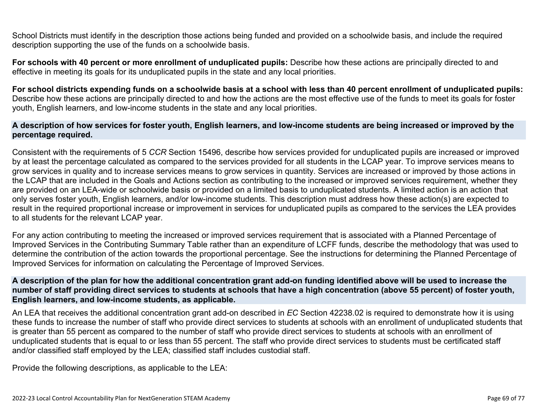School Districts must identify in the description those actions being funded and provided on a schoolwide basis, and include the required description supporting the use of the funds on a schoolwide basis.

**For schools with 40 percent or more enrollment of unduplicated pupils:** Describe how these actions are principally directed to and effective in meeting its goals for its unduplicated pupils in the state and any local priorities.

**For school districts expending funds on a schoolwide basis at a school with less than 40 percent enrollment of unduplicated pupils:** Describe how these actions are principally directed to and how the actions are the most effective use of the funds to meet its goals for foster youth, English learners, and low-income students in the state and any local priorities.

#### **A description of how services for foster youth, English learners, and low-income students are being increased or improved by the percentage required.**

Consistent with the requirements of 5 *CCR* Section 15496, describe how services provided for unduplicated pupils are increased or improved by at least the percentage calculated as compared to the services provided for all students in the LCAP year. To improve services means to grow services in quality and to increase services means to grow services in quantity. Services are increased or improved by those actions in the LCAP that are included in the Goals and Actions section as contributing to the increased or improved services requirement, whether they are provided on an LEA-wide or schoolwide basis or provided on a limited basis to unduplicated students. A limited action is an action that only serves foster youth, English learners, and/or low-income students. This description must address how these action(s) are expected to result in the required proportional increase or improvement in services for unduplicated pupils as compared to the services the LEA provides to all students for the relevant LCAP year.

For any action contributing to meeting the increased or improved services requirement that is associated with a Planned Percentage of Improved Services in the Contributing Summary Table rather than an expenditure of LCFF funds, describe the methodology that was used to determine the contribution of the action towards the proportional percentage. See the instructions for determining the Planned Percentage of Improved Services for information on calculating the Percentage of Improved Services.

#### **A description of the plan for how the additional concentration grant add-on funding identified above will be used to increase the number of staff providing direct services to students at schools that have a high concentration (above 55 percent) of foster youth, English learners, and low-income students, as applicable.**

An LEA that receives the additional concentration grant add-on described in *EC* Section 42238.02 is required to demonstrate how it is using these funds to increase the number of staff who provide direct services to students at schools with an enrollment of unduplicated students that is greater than 55 percent as compared to the number of staff who provide direct services to students at schools with an enrollment of unduplicated students that is equal to or less than 55 percent. The staff who provide direct services to students must be certificated staff and/or classified staff employed by the LEA; classified staff includes custodial staff.

Provide the following descriptions, as applicable to the LEA: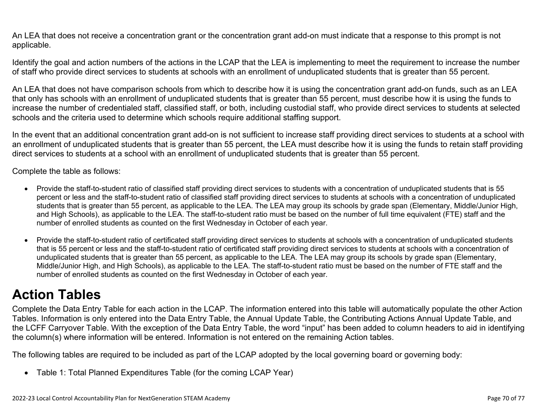An LEA that does not receive a concentration grant or the concentration grant add-on must indicate that a response to this prompt is not applicable.

Identify the goal and action numbers of the actions in the LCAP that the LEA is implementing to meet the requirement to increase the number of staff who provide direct services to students at schools with an enrollment of unduplicated students that is greater than 55 percent.

An LEA that does not have comparison schools from which to describe how it is using the concentration grant add-on funds, such as an LEA that only has schools with an enrollment of unduplicated students that is greater than 55 percent, must describe how it is using the funds to increase the number of credentialed staff, classified staff, or both, including custodial staff, who provide direct services to students at selected schools and the criteria used to determine which schools require additional staffing support.

In the event that an additional concentration grant add-on is not sufficient to increase staff providing direct services to students at a school with an enrollment of unduplicated students that is greater than 55 percent, the LEA must describe how it is using the funds to retain staff providing direct services to students at a school with an enrollment of unduplicated students that is greater than 55 percent.

Complete the table as follows:

- Provide the staff-to-student ratio of classified staff providing direct services to students with a concentration of unduplicated students that is 55 percent or less and the staff-to-student ratio of classified staff providing direct services to students at schools with a concentration of unduplicated students that is greater than 55 percent, as applicable to the LEA. The LEA may group its schools by grade span (Elementary, Middle/Junior High, and High Schools), as applicable to the LEA. The staff-to-student ratio must be based on the number of full time equivalent (FTE) staff and the number of enrolled students as counted on the first Wednesday in October of each year.
- Provide the staff-to-student ratio of certificated staff providing direct services to students at schools with a concentration of unduplicated students that is 55 percent or less and the staff-to-student ratio of certificated staff providing direct services to students at schools with a concentration of unduplicated students that is greater than 55 percent, as applicable to the LEA. The LEA may group its schools by grade span (Elementary, Middle/Junior High, and High Schools), as applicable to the LEA. The staff-to-student ratio must be based on the number of FTE staff and the number of enrolled students as counted on the first Wednesday in October of each year.

## **Action Tables**

Complete the Data Entry Table for each action in the LCAP. The information entered into this table will automatically populate the other Action Tables. Information is only entered into the Data Entry Table, the Annual Update Table, the Contributing Actions Annual Update Table, and the LCFF Carryover Table. With the exception of the Data Entry Table, the word "input" has been added to column headers to aid in identifying the column(s) where information will be entered. Information is not entered on the remaining Action tables.

The following tables are required to be included as part of the LCAP adopted by the local governing board or governing body:

• Table 1: Total Planned Expenditures Table (for the coming LCAP Year)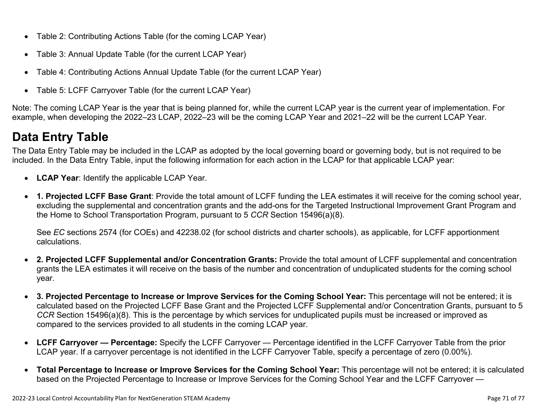- Table 2: Contributing Actions Table (for the coming LCAP Year)
- Table 3: Annual Update Table (for the current LCAP Year)
- Table 4: Contributing Actions Annual Update Table (for the current LCAP Year)
- Table 5: LCFF Carryover Table (for the current LCAP Year)

Note: The coming LCAP Year is the year that is being planned for, while the current LCAP year is the current year of implementation. For example, when developing the 2022–23 LCAP, 2022–23 will be the coming LCAP Year and 2021–22 will be the current LCAP Year.

## **Data Entry Table**

The Data Entry Table may be included in the LCAP as adopted by the local governing board or governing body, but is not required to be included. In the Data Entry Table, input the following information for each action in the LCAP for that applicable LCAP year:

- **LCAP Year**: Identify the applicable LCAP Year.
- **1. Projected LCFF Base Grant**: Provide the total amount of LCFF funding the LEA estimates it will receive for the coming school year, excluding the supplemental and concentration grants and the add-ons for the Targeted Instructional Improvement Grant Program and the Home to School Transportation Program, pursuant to 5 *CCR* Section 15496(a)(8).

See *EC* sections 2574 (for COEs) and 42238.02 (for school districts and charter schools), as applicable, for LCFF apportionment calculations.

- **2. Projected LCFF Supplemental and/or Concentration Grants:** Provide the total amount of LCFF supplemental and concentration grants the LEA estimates it will receive on the basis of the number and concentration of unduplicated students for the coming school year.
- **3. Projected Percentage to Increase or Improve Services for the Coming School Year:** This percentage will not be entered; it is calculated based on the Projected LCFF Base Grant and the Projected LCFF Supplemental and/or Concentration Grants, pursuant to 5 *CCR* Section 15496(a)(8). This is the percentage by which services for unduplicated pupils must be increased or improved as compared to the services provided to all students in the coming LCAP year.
- **LCFF Carryover Percentage:** Specify the LCFF Carryover Percentage identified in the LCFF Carryover Table from the prior LCAP year. If a carryover percentage is not identified in the LCFF Carryover Table, specify a percentage of zero (0.00%).
- **Total Percentage to Increase or Improve Services for the Coming School Year:** This percentage will not be entered; it is calculated based on the Projected Percentage to Increase or Improve Services for the Coming School Year and the LCFF Carryover —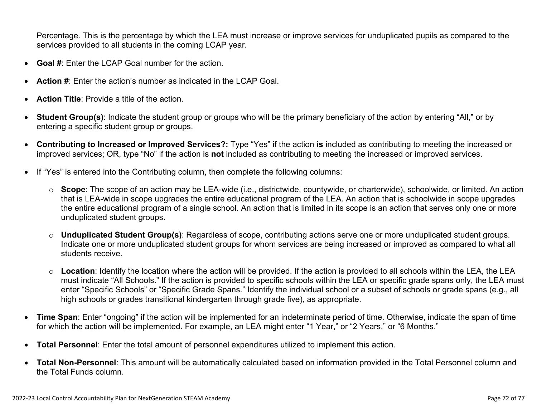Percentage. This is the percentage by which the LEA must increase or improve services for unduplicated pupils as compared to the services provided to all students in the coming LCAP year.

- **Goal #**: Enter the LCAP Goal number for the action.
- **Action #**: Enter the action's number as indicated in the LCAP Goal.
- **Action Title**: Provide a title of the action.
- **Student Group(s)**: Indicate the student group or groups who will be the primary beneficiary of the action by entering "All," or by entering a specific student group or groups.
- **Contributing to Increased or Improved Services?:** Type "Yes" if the action **is** included as contributing to meeting the increased or improved services; OR, type "No" if the action is **not** included as contributing to meeting the increased or improved services.
- If "Yes" is entered into the Contributing column, then complete the following columns:
	- o **Scope**: The scope of an action may be LEA-wide (i.e., districtwide, countywide, or charterwide), schoolwide, or limited. An action that is LEA-wide in scope upgrades the entire educational program of the LEA. An action that is schoolwide in scope upgrades the entire educational program of a single school. An action that is limited in its scope is an action that serves only one or more unduplicated student groups.
	- o **Unduplicated Student Group(s)**: Regardless of scope, contributing actions serve one or more unduplicated student groups. Indicate one or more unduplicated student groups for whom services are being increased or improved as compared to what all students receive.
	- o **Location**: Identify the location where the action will be provided. If the action is provided to all schools within the LEA, the LEA must indicate "All Schools." If the action is provided to specific schools within the LEA or specific grade spans only, the LEA must enter "Specific Schools" or "Specific Grade Spans." Identify the individual school or a subset of schools or grade spans (e.g., all high schools or grades transitional kindergarten through grade five), as appropriate.
- **Time Span**: Enter "ongoing" if the action will be implemented for an indeterminate period of time. Otherwise, indicate the span of time for which the action will be implemented. For example, an LEA might enter "1 Year," or "2 Years," or "6 Months."
- **Total Personnel**: Enter the total amount of personnel expenditures utilized to implement this action.
- **Total Non-Personnel**: This amount will be automatically calculated based on information provided in the Total Personnel column and the Total Funds column.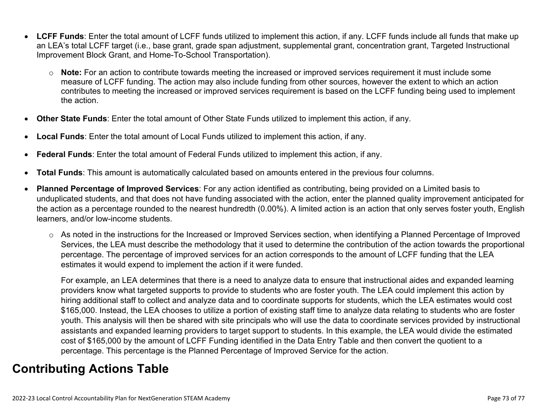- **LCFF Funds**: Enter the total amount of LCFF funds utilized to implement this action, if any. LCFF funds include all funds that make up an LEA's total LCFF target (i.e., base grant, grade span adjustment, supplemental grant, concentration grant, Targeted Instructional Improvement Block Grant, and Home-To-School Transportation).
	- o **Note:** For an action to contribute towards meeting the increased or improved services requirement it must include some measure of LCFF funding. The action may also include funding from other sources, however the extent to which an action contributes to meeting the increased or improved services requirement is based on the LCFF funding being used to implement the action.
- **Other State Funds**: Enter the total amount of Other State Funds utilized to implement this action, if any.
- **Local Funds**: Enter the total amount of Local Funds utilized to implement this action, if any.
- **Federal Funds**: Enter the total amount of Federal Funds utilized to implement this action, if any.
- **Total Funds**: This amount is automatically calculated based on amounts entered in the previous four columns.
- **Planned Percentage of Improved Services**: For any action identified as contributing, being provided on a Limited basis to unduplicated students, and that does not have funding associated with the action, enter the planned quality improvement anticipated for the action as a percentage rounded to the nearest hundredth (0.00%). A limited action is an action that only serves foster youth, English learners, and/or low-income students.
	- o As noted in the instructions for the Increased or Improved Services section, when identifying a Planned Percentage of Improved Services, the LEA must describe the methodology that it used to determine the contribution of the action towards the proportional percentage. The percentage of improved services for an action corresponds to the amount of LCFF funding that the LEA estimates it would expend to implement the action if it were funded.

For example, an LEA determines that there is a need to analyze data to ensure that instructional aides and expanded learning providers know what targeted supports to provide to students who are foster youth. The LEA could implement this action by hiring additional staff to collect and analyze data and to coordinate supports for students, which the LEA estimates would cost \$165,000. Instead, the LEA chooses to utilize a portion of existing staff time to analyze data relating to students who are foster youth. This analysis will then be shared with site principals who will use the data to coordinate services provided by instructional assistants and expanded learning providers to target support to students. In this example, the LEA would divide the estimated cost of \$165,000 by the amount of LCFF Funding identified in the Data Entry Table and then convert the quotient to a percentage. This percentage is the Planned Percentage of Improved Service for the action.

## **Contributing Actions Table**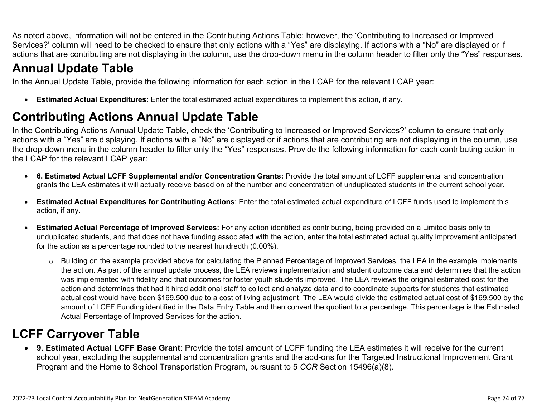As noted above, information will not be entered in the Contributing Actions Table; however, the 'Contributing to Increased or Improved Services?' column will need to be checked to ensure that only actions with a "Yes" are displaying. If actions with a "No" are displayed or if actions that are contributing are not displaying in the column, use the drop-down menu in the column header to filter only the "Yes" responses.

# **Annual Update Table**

In the Annual Update Table, provide the following information for each action in the LCAP for the relevant LCAP year:

• **Estimated Actual Expenditures**: Enter the total estimated actual expenditures to implement this action, if any.

## **Contributing Actions Annual Update Table**

In the Contributing Actions Annual Update Table, check the 'Contributing to Increased or Improved Services?' column to ensure that only actions with a "Yes" are displaying. If actions with a "No" are displayed or if actions that are contributing are not displaying in the column, use the drop-down menu in the column header to filter only the "Yes" responses. Provide the following information for each contributing action in the LCAP for the relevant LCAP year:

- **6. Estimated Actual LCFF Supplemental and/or Concentration Grants:** Provide the total amount of LCFF supplemental and concentration grants the LEA estimates it will actually receive based on of the number and concentration of unduplicated students in the current school year.
- **Estimated Actual Expenditures for Contributing Actions**: Enter the total estimated actual expenditure of LCFF funds used to implement this action, if any.
- **Estimated Actual Percentage of Improved Services:** For any action identified as contributing, being provided on a Limited basis only to unduplicated students, and that does not have funding associated with the action, enter the total estimated actual quality improvement anticipated for the action as a percentage rounded to the nearest hundredth (0.00%).
	- o Building on the example provided above for calculating the Planned Percentage of Improved Services, the LEA in the example implements the action. As part of the annual update process, the LEA reviews implementation and student outcome data and determines that the action was implemented with fidelity and that outcomes for foster youth students improved. The LEA reviews the original estimated cost for the action and determines that had it hired additional staff to collect and analyze data and to coordinate supports for students that estimated actual cost would have been \$169,500 due to a cost of living adjustment. The LEA would divide the estimated actual cost of \$169,500 by the amount of LCFF Funding identified in the Data Entry Table and then convert the quotient to a percentage. This percentage is the Estimated Actual Percentage of Improved Services for the action.

## **LCFF Carryover Table**

• **9. Estimated Actual LCFF Base Grant**: Provide the total amount of LCFF funding the LEA estimates it will receive for the current school year, excluding the supplemental and concentration grants and the add-ons for the Targeted Instructional Improvement Grant Program and the Home to School Transportation Program, pursuant to 5 *CCR* Section 15496(a)(8).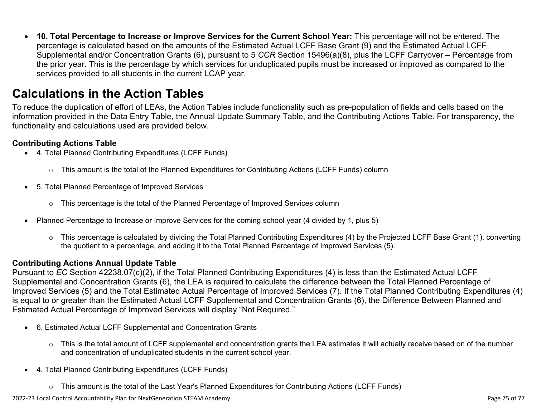• **10. Total Percentage to Increase or Improve Services for the Current School Year:** This percentage will not be entered. The percentage is calculated based on the amounts of the Estimated Actual LCFF Base Grant (9) and the Estimated Actual LCFF Supplemental and/or Concentration Grants (6), pursuant to 5 *CCR* Section 15496(a)(8), plus the LCFF Carryover – Percentage from the prior year. This is the percentage by which services for unduplicated pupils must be increased or improved as compared to the services provided to all students in the current LCAP year.

### **Calculations in the Action Tables**

To reduce the duplication of effort of LEAs, the Action Tables include functionality such as pre-population of fields and cells based on the information provided in the Data Entry Table, the Annual Update Summary Table, and the Contributing Actions Table. For transparency, the functionality and calculations used are provided below.

#### **Contributing Actions Table**

- 4. Total Planned Contributing Expenditures (LCFF Funds)
	- $\circ$  This amount is the total of the Planned Expenditures for Contributing Actions (LCFF Funds) column
- 5. Total Planned Percentage of Improved Services
	- $\circ$  This percentage is the total of the Planned Percentage of Improved Services column
- Planned Percentage to Increase or Improve Services for the coming school year (4 divided by 1, plus 5)
	- o This percentage is calculated by dividing the Total Planned Contributing Expenditures (4) by the Projected LCFF Base Grant (1), converting the quotient to a percentage, and adding it to the Total Planned Percentage of Improved Services (5).

### **Contributing Actions Annual Update Table**

Pursuant to *EC* Section 42238.07(c)(2), if the Total Planned Contributing Expenditures (4) is less than the Estimated Actual LCFF Supplemental and Concentration Grants (6), the LEA is required to calculate the difference between the Total Planned Percentage of Improved Services (5) and the Total Estimated Actual Percentage of Improved Services (7). If the Total Planned Contributing Expenditures (4) is equal to or greater than the Estimated Actual LCFF Supplemental and Concentration Grants (6), the Difference Between Planned and Estimated Actual Percentage of Improved Services will display "Not Required."

- 6. Estimated Actual LCFF Supplemental and Concentration Grants
	- $\circ$  This is the total amount of LCFF supplemental and concentration grants the LEA estimates it will actually receive based on of the number and concentration of unduplicated students in the current school year.
- 4. Total Planned Contributing Expenditures (LCFF Funds)
	- $\circ$  This amount is the total of the Last Year's Planned Expenditures for Contributing Actions (LCFF Funds)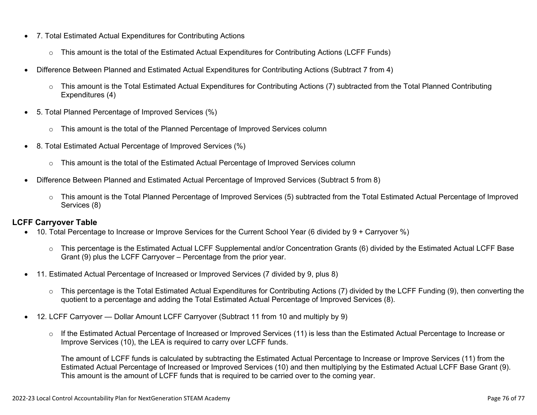- 7. Total Estimated Actual Expenditures for Contributing Actions
	- o This amount is the total of the Estimated Actual Expenditures for Contributing Actions (LCFF Funds)
- Difference Between Planned and Estimated Actual Expenditures for Contributing Actions (Subtract 7 from 4)
	- $\circ$  This amount is the Total Estimated Actual Expenditures for Contributing Actions (7) subtracted from the Total Planned Contributing Expenditures (4)
- 5. Total Planned Percentage of Improved Services (%)
	- $\circ$  This amount is the total of the Planned Percentage of Improved Services column
- 8. Total Estimated Actual Percentage of Improved Services (%)
	- o This amount is the total of the Estimated Actual Percentage of Improved Services column
- Difference Between Planned and Estimated Actual Percentage of Improved Services (Subtract 5 from 8)
	- o This amount is the Total Planned Percentage of Improved Services (5) subtracted from the Total Estimated Actual Percentage of Improved Services (8)

### **LCFF Carryover Table**

- 10. Total Percentage to Increase or Improve Services for the Current School Year (6 divided by 9 + Carryover %)
	- $\circ$  This percentage is the Estimated Actual LCFF Supplemental and/or Concentration Grants (6) divided by the Estimated Actual LCFF Base Grant (9) plus the LCFF Carryover – Percentage from the prior year.
- 11. Estimated Actual Percentage of Increased or Improved Services (7 divided by 9, plus 8)
	- o This percentage is the Total Estimated Actual Expenditures for Contributing Actions (7) divided by the LCFF Funding (9), then converting the quotient to a percentage and adding the Total Estimated Actual Percentage of Improved Services (8).
- 12. LCFF Carryover Dollar Amount LCFF Carryover (Subtract 11 from 10 and multiply by 9)
	- $\circ$  If the Estimated Actual Percentage of Increased or Improved Services (11) is less than the Estimated Actual Percentage to Increase or Improve Services (10), the LEA is required to carry over LCFF funds.

The amount of LCFF funds is calculated by subtracting the Estimated Actual Percentage to Increase or Improve Services (11) from the Estimated Actual Percentage of Increased or Improved Services (10) and then multiplying by the Estimated Actual LCFF Base Grant (9). This amount is the amount of LCFF funds that is required to be carried over to the coming year.